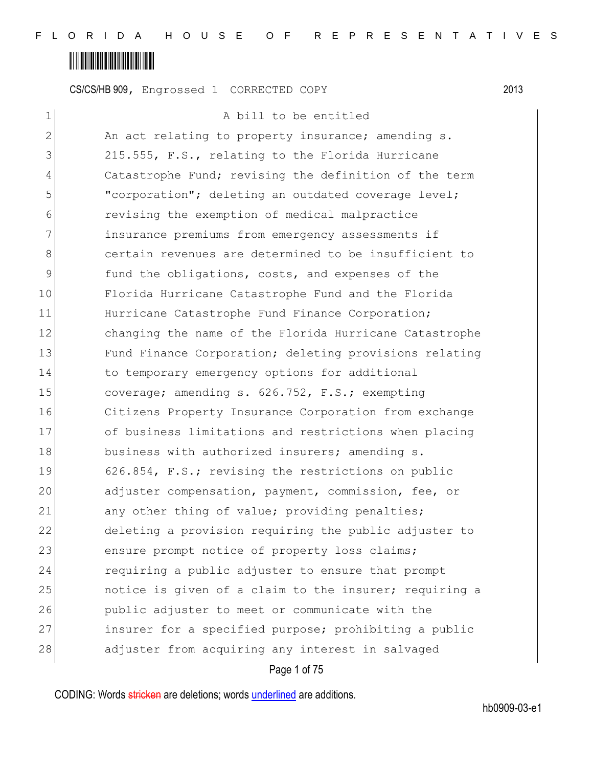### <u> Alban Martin Alban Martin Alban Martin Alban Martin Alban Martin Alban Martin Alban Martin Alban Martin Alban </u>

CS/CS/HB 909, Engrossed 1 CORRECTED COPY 2013

1 a bill to be entitled 2 An act relating to property insurance; amending s. 3 215.555, F.S., relating to the Florida Hurricane 4 Catastrophe Fund; revising the definition of the term 5 "corporation"; deleting an outdated coverage level; 6 revising the exemption of medical malpractice 7 **insurance premiums from emergency assessments if** 8 8 6 certain revenues are determined to be insufficient to 9 **fund the obligations, costs, and expenses of the** 10 Florida Hurricane Catastrophe Fund and the Florida 11 Hurricane Catastrophe Fund Finance Corporation; 12 changing the name of the Florida Hurricane Catastrophe 13 Fund Finance Corporation; deleting provisions relating 14 to temporary emergency options for additional 15 coverage; amending s. 626.752, F.S.; exempting 16 Citizens Property Insurance Corporation from exchange 17 of business limitations and restrictions when placing 18 business with authorized insurers; amending s. 19 626.854, F.S.; revising the restrictions on public 20 adjuster compensation, payment, commission, fee, or 21 any other thing of value; providing penalties; 22 deleting a provision requiring the public adjuster to 23 ensure prompt notice of property loss claims; 24 requiring a public adjuster to ensure that prompt 25 **host in** notice is given of a claim to the insurer; requiring a 26 public adjuster to meet or communicate with the 27 insurer for a specified purpose; prohibiting a public 28 adjuster from acquiring any interest in salvaged

Page 1 of 75

CODING: Words stricken are deletions; words underlined are additions.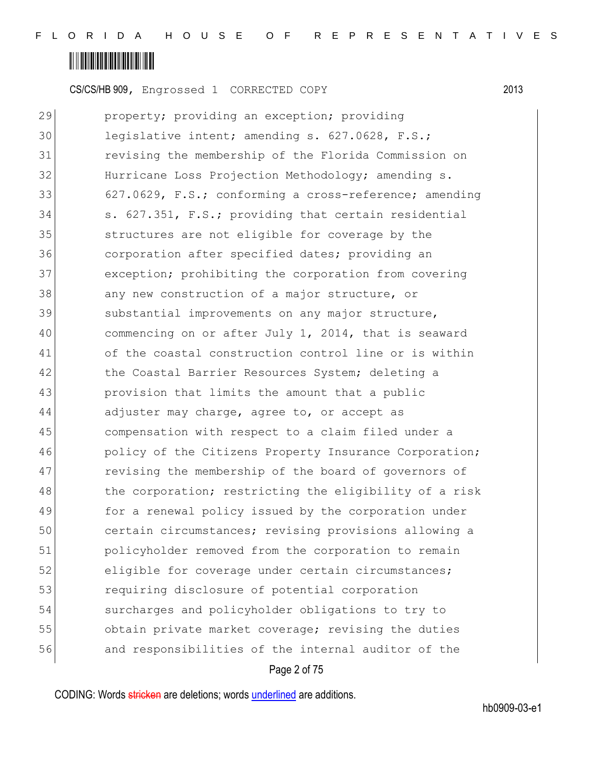### <u> Alban Martin Alban Martin Alban Martin Alban Martin Alban Martin Alban Martin Alban Martin Alban Martin Alban </u>

CS/CS/HB 909, Engrossed 1 CORRECTED COPY 2013

29 property; providing an exception; providing 30 legislative intent; amending s. 627.0628, F.S.; 31 revising the membership of the Florida Commission on 32 Hurricane Loss Projection Methodology; amending s. 33 627.0629, F.S.; conforming a cross-reference; amending 34 s. 627.351, F.S.; providing that certain residential 35 structures are not eligible for coverage by the 36 36 corporation after specified dates; providing an 37 exception; prohibiting the corporation from covering 38 any new construction of a major structure, or 39 substantial improvements on any major structure, 40 commencing on or after July 1, 2014, that is seaward 41 of the coastal construction control line or is within 42 the Coastal Barrier Resources System; deleting a 43 provision that limits the amount that a public 44 adjuster may charge, agree to, or accept as 45 compensation with respect to a claim filed under a 46 **policy of the Citizens Property Insurance Corporation;** 47 revising the membership of the board of governors of 48 the corporation; restricting the eligibility of a risk 49 for a renewal policy issued by the corporation under 50 certain circumstances; revising provisions allowing a 51 policyholder removed from the corporation to remain 52 eligible for coverage under certain circumstances; 53 requiring disclosure of potential corporation 54 surcharges and policyholder obligations to try to 55 obtain private market coverage; revising the duties 56 and responsibilities of the internal auditor of the

#### Page 2 of 75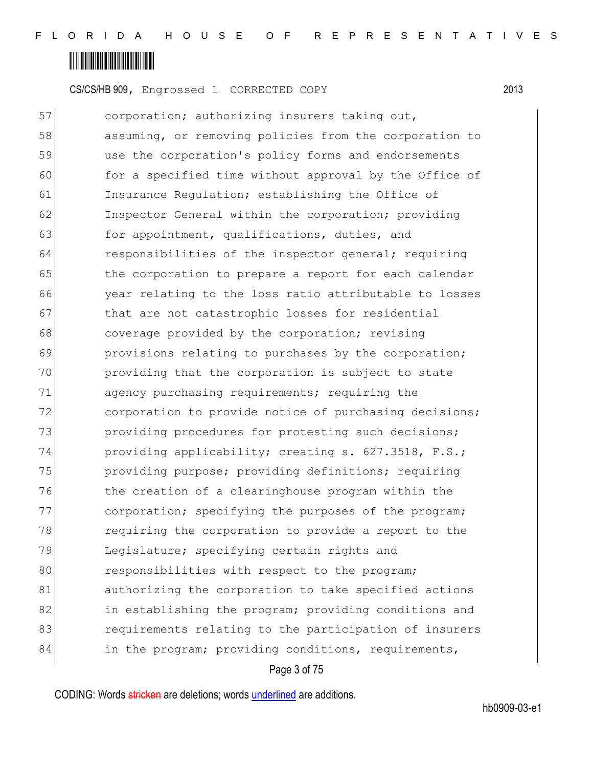

57 corporation; authorizing insurers taking out, 58 assuming, or removing policies from the corporation to 59 use the corporation's policy forms and endorsements 60 for a specified time without approval by the Office of 61 Insurance Regulation; establishing the Office of 62 Inspector General within the corporation; providing 63 for appointment, qualifications, duties, and 64 responsibilities of the inspector general; requiring 65 the corporation to prepare a report for each calendar 66 year relating to the loss ratio attributable to losses 67 that are not catastrophic losses for residential 68 coverage provided by the corporation; revising 69 **provisions relating to purchases by the corporation;** 70 providing that the corporation is subject to state 71 agency purchasing requirements; requiring the 72 corporation to provide notice of purchasing decisions; 73 providing procedures for protesting such decisions; 74 providing applicability; creating s. 627.3518, F.S.; 75 providing purpose; providing definitions; requiring 76 The creation of a clearinghouse program within the 77 corporation; specifying the purposes of the program; 78 requiring the corporation to provide a report to the 79 Legislature; specifying certain rights and 80 responsibilities with respect to the program; 81 authorizing the corporation to take specified actions 82 in establishing the program; providing conditions and 83 **exmallenger represent in the represent** to the participation of insurers 84 in the program; providing conditions, requirements,

#### Page 3 of 75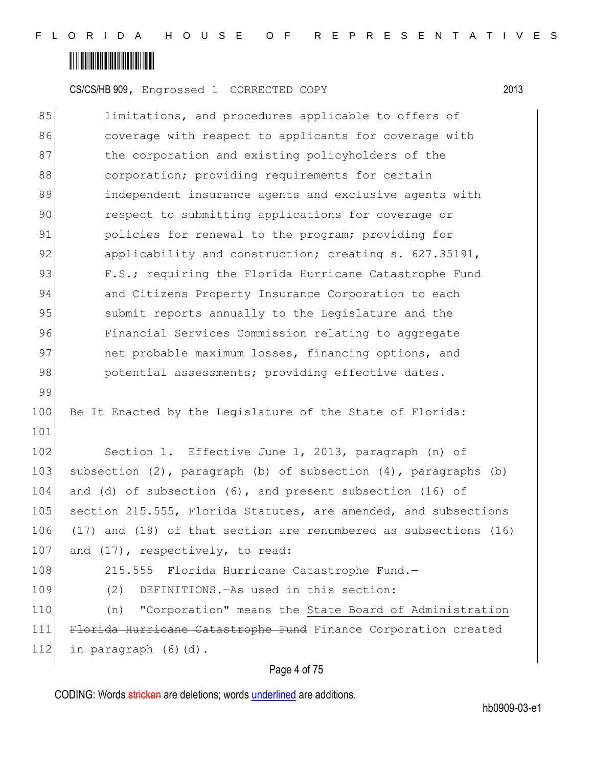## <u> Alban Alban Alban Alban A</u>

99

101

CS/CS/HB 909, Engrossed 1 CORRECTED COPY 2013

85 limitations, and procedures applicable to offers of 86 coverage with respect to applicants for coverage with 87 bhe corporation and existing policyholders of the 88 corporation; providing requirements for certain 89 **independent insurance agents and exclusive agents with** 90 respect to submitting applications for coverage or 91 **policies for renewal to the program;** providing for 92 applicability and construction; creating s. 627.35191, 93 F.S.; requiring the Florida Hurricane Catastrophe Fund 94 and Citizens Property Insurance Corporation to each 95 Submit reports annually to the Legislature and the 96 Financial Services Commission relating to aggregate 97 onchiption on the maximum losses, financing options, and 98 potential assessments; providing effective dates.

100 Be It Enacted by the Legislature of the State of Florida:

102 Section 1. Effective June 1, 2013, paragraph (n) of 103 subsection  $(2)$ , paragraph  $(b)$  of subsection  $(4)$ , paragraphs  $(b)$ 104 and (d) of subsection (6), and present subsection (16) of 105 section 215.555, Florida Statutes, are amended, and subsections 106 (17) and (18) of that section are renumbered as subsections (16) 107 and (17), respectively, to read:

108 215.555 Florida Hurricane Catastrophe Fund.-

109 (2) DEFINITIONS.—As used in this section:

110 (n) "Corporation" means the State Board of Administration 111 Florida Hurricane Catastrophe Fund Finance Corporation created 112 in paragraph  $(6)(d)$ .

### Page 4 of 75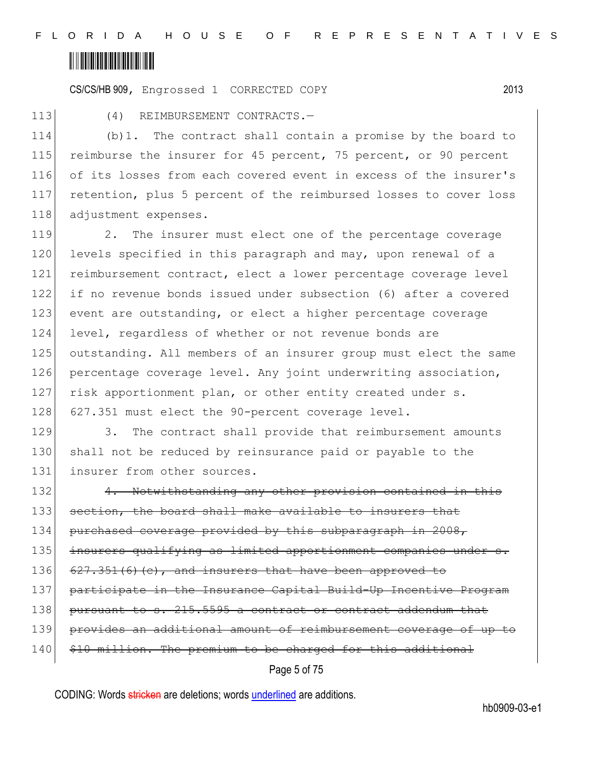CS/CS/HB 909, Engrossed 1 CORRECTED COPY 2013

113 (4) REIMBURSEMENT CONTRACTS.-

114 (b)1. The contract shall contain a promise by the board to 115 reimburse the insurer for 45 percent, 75 percent, or 90 percent 116 of its losses from each covered event in excess of the insurer's 117 retention, plus 5 percent of the reimbursed losses to cover loss 118 adjustment expenses.

119 2. The insurer must elect one of the percentage coverage 120 levels specified in this paragraph and may, upon renewal of a 121 reimbursement contract, elect a lower percentage coverage level 122 if no revenue bonds issued under subsection (6) after a covered 123 event are outstanding, or elect a higher percentage coverage 124 level, regardless of whether or not revenue bonds are 125 outstanding. All members of an insurer group must elect the same 126 percentage coverage level. Any joint underwriting association, 127 risk apportionment plan, or other entity created under s. 128 627.351 must elect the 90-percent coverage level.

129 3. The contract shall provide that reimbursement amounts 130 shall not be reduced by reinsurance paid or payable to the 131 insurer from other sources.

Page 5 of 75 132 4. Notwithstanding any other provision contained in this 133 section, the board shall make available to insurers that 134 purchased coverage provided by this subparagraph in 2008, 135 insurers qualifying as limited apportionment companies under s. 136  $627.351(6)(e)$ , and insurers that have been approved to 137 participate in the Insurance Capital Build-Up Incentive Program 138 pursuant to s. 215.5595 a contract or contract addendum that 139 provides an additional amount of reimbursement coverage of up to 140 \$10 million. The premium to be charged for this additional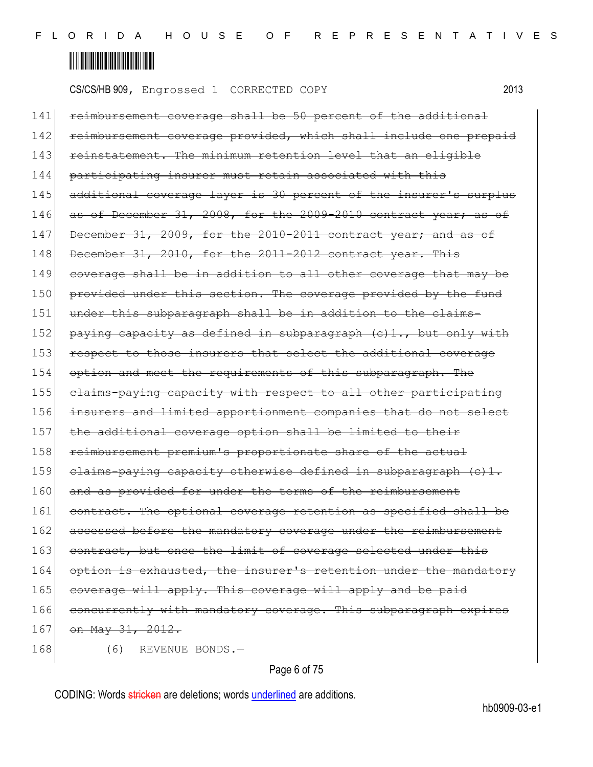CS/CS/HB 909, Engrossed 1 CORRECTED COPY 2013

141 reimbursement coverage shall be 50 percent of the additional 142 reimbursement coverage provided, which shall include one prepaid 143 reinstatement. The minimum retention level that an eligible 144 participating insurer must retain associated with this 145 additional coverage layer is 30 percent of the insurer's surplus  $146$  as of December 31, 2008, for the 2009-2010 contract year; as 147 December 31, 2009, for the 2010-2011 contract year; and as of 148 December 31, 2010, for the 2011-2012 contract year. This 149 coverage shall be in addition to all other coverage that may be 150 provided under this section. The coverage provided by the fund 151 under this subparagraph shall be in addition to the claims-152 paying capacity as defined in subparagraph (c)1., but only with 153 respect to those insurers that select the additional coverage 154 option and meet the requirements of this subparagraph. The 155 claims-paying capacity with respect to all other participating 156 insurers and limited apportionment companies that do not select 157 the additional coverage option shall be limited to their 158 reimbursement premium's proportionate share of the actual 159 claims-paying capacity otherwise defined in subparagraph  $(e)$ 1. 160 and as provided for under the terms of the reimbursement 161 contract. The optional coverage retention as specified shall be 162 accessed before the mandatory coverage under the reimbursement 163 contract, but once the limit of coverage selected under this 164 option is exhausted, the insurer's retention under the mandatory 165 coverage will apply. This coverage will apply and be paid 166 concurrently with mandatory coverage. This subparagraph expires 167 on May 31, 2012. 168 (6) REVENUE BONDS.-

### Page 6 of 75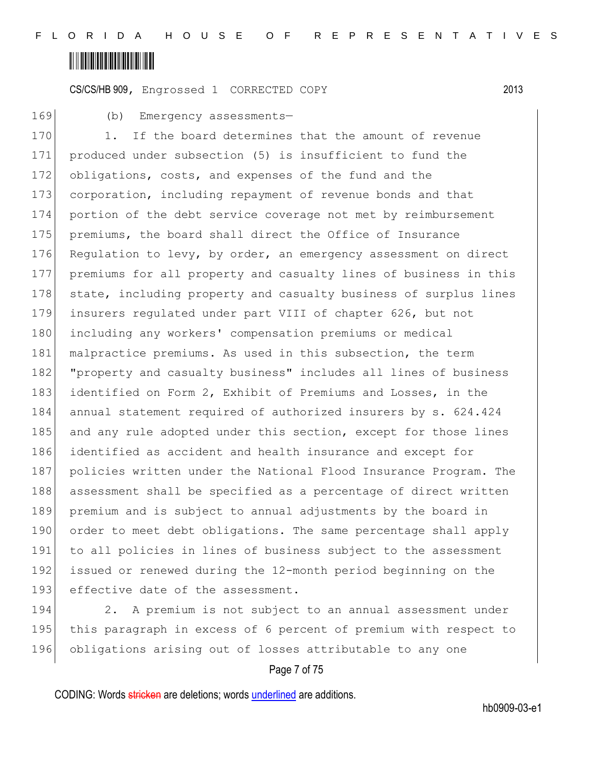## <u> Alban Alban Alban Alban A</u>

CS/CS/HB 909, Engrossed 1 CORRECTED COPY 2013

169 (b) Emergency assessments-

170 1. If the board determines that the amount of revenue 171 produced under subsection (5) is insufficient to fund the 172 obligations, costs, and expenses of the fund and the 173 corporation, including repayment of revenue bonds and that 174 portion of the debt service coverage not met by reimbursement 175 premiums, the board shall direct the Office of Insurance 176 Regulation to levy, by order, an emergency assessment on direct 177 premiums for all property and casualty lines of business in this 178 state, including property and casualty business of surplus lines 179 insurers regulated under part VIII of chapter 626, but not 180 including any workers' compensation premiums or medical 181 malpractice premiums. As used in this subsection, the term 182 "property and casualty business" includes all lines of business 183 identified on Form 2, Exhibit of Premiums and Losses, in the 184 annual statement required of authorized insurers by s. 624.424 185 and any rule adopted under this section, except for those lines 186 identified as accident and health insurance and except for 187 policies written under the National Flood Insurance Program. The 188 assessment shall be specified as a percentage of direct written 189 premium and is subject to annual adjustments by the board in 190 order to meet debt obligations. The same percentage shall apply 191 to all policies in lines of business subject to the assessment 192 issued or renewed during the 12-month period beginning on the 193 effective date of the assessment.

194 2. A premium is not subject to an annual assessment under 195 this paragraph in excess of 6 percent of premium with respect to 196 obligations arising out of losses attributable to any one

### Page 7 of 75

CODING: Words stricken are deletions; words underlined are additions.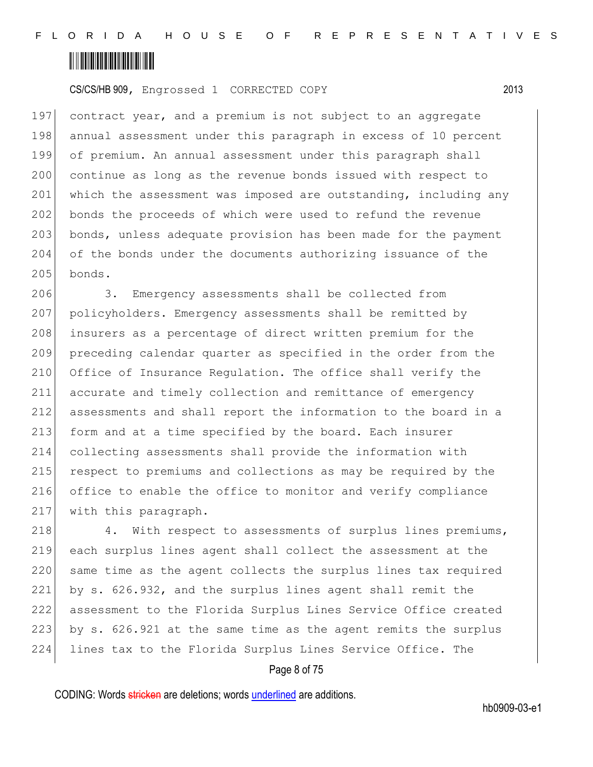## <u> Alban Alban Alban Alban A</u>

CS/CS/HB 909, Engrossed 1 CORRECTED COPY 2013

197 contract year, and a premium is not subject to an aggregate 198 annual assessment under this paragraph in excess of 10 percent 199 of premium. An annual assessment under this paragraph shall 200 continue as long as the revenue bonds issued with respect to 201 which the assessment was imposed are outstanding, including any 202 bonds the proceeds of which were used to refund the revenue 203 bonds, unless adequate provision has been made for the payment 204 of the bonds under the documents authorizing issuance of the  $205$  bonds.

206 3. Emergency assessments shall be collected from 207 policyholders. Emergency assessments shall be remitted by 208 insurers as a percentage of direct written premium for the 209 preceding calendar quarter as specified in the order from the 210 Office of Insurance Regulation. The office shall verify the 211 accurate and timely collection and remittance of emergency 212 assessments and shall report the information to the board in a 213 form and at a time specified by the board. Each insurer 214 collecting assessments shall provide the information with 215 respect to premiums and collections as may be required by the 216 office to enable the office to monitor and verify compliance 217 with this paragraph.

218 4. With respect to assessments of surplus lines premiums, 219 each surplus lines agent shall collect the assessment at the 220 same time as the agent collects the surplus lines tax required 221 by s. 626.932, and the surplus lines agent shall remit the 222 assessment to the Florida Surplus Lines Service Office created 223 by s. 626.921 at the same time as the agent remits the surplus 224 lines tax to the Florida Surplus Lines Service Office. The

#### Page 8 of 75

CODING: Words stricken are deletions; words underlined are additions.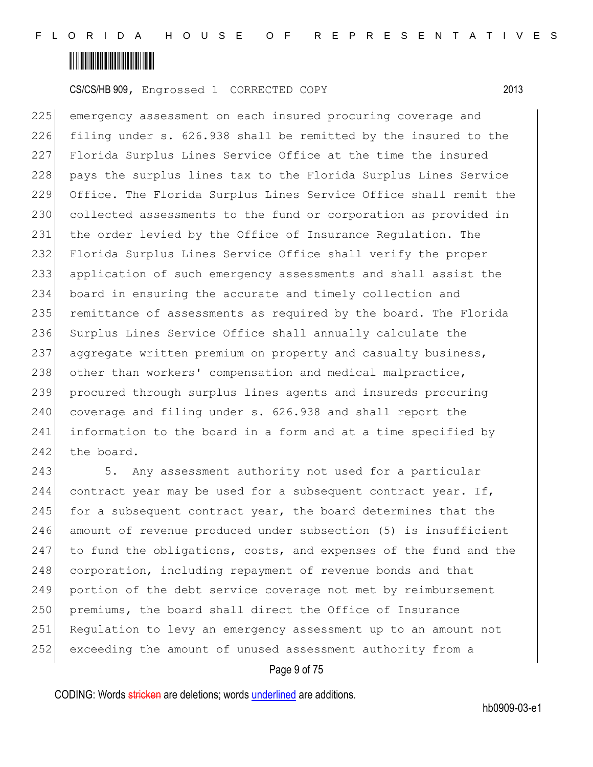

225 emergency assessment on each insured procuring coverage and 226 filing under s. 626.938 shall be remitted by the insured to the 227 Florida Surplus Lines Service Office at the time the insured 228 pays the surplus lines tax to the Florida Surplus Lines Service 229 Office. The Florida Surplus Lines Service Office shall remit the 230 collected assessments to the fund or corporation as provided in 231 the order levied by the Office of Insurance Regulation. The 232 Florida Surplus Lines Service Office shall verify the proper 233 application of such emergency assessments and shall assist the 234 board in ensuring the accurate and timely collection and 235 remittance of assessments as required by the board. The Florida 236 Surplus Lines Service Office shall annually calculate the 237 aggregate written premium on property and casualty business, 238 other than workers' compensation and medical malpractice, 239 procured through surplus lines agents and insureds procuring 240 coverage and filing under s. 626.938 and shall report the 241 information to the board in a form and at a time specified by 242 the board.

243 5. Any assessment authority not used for a particular 244 contract year may be used for a subsequent contract year. If, 245 for a subsequent contract year, the board determines that the 246 amount of revenue produced under subsection (5) is insufficient 247 to fund the obligations, costs, and expenses of the fund and the 248 corporation, including repayment of revenue bonds and that 249 portion of the debt service coverage not met by reimbursement 250 premiums, the board shall direct the Office of Insurance 251 Regulation to levy an emergency assessment up to an amount not 252 exceeding the amount of unused assessment authority from a

#### Page 9 of 75

CODING: Words stricken are deletions; words underlined are additions.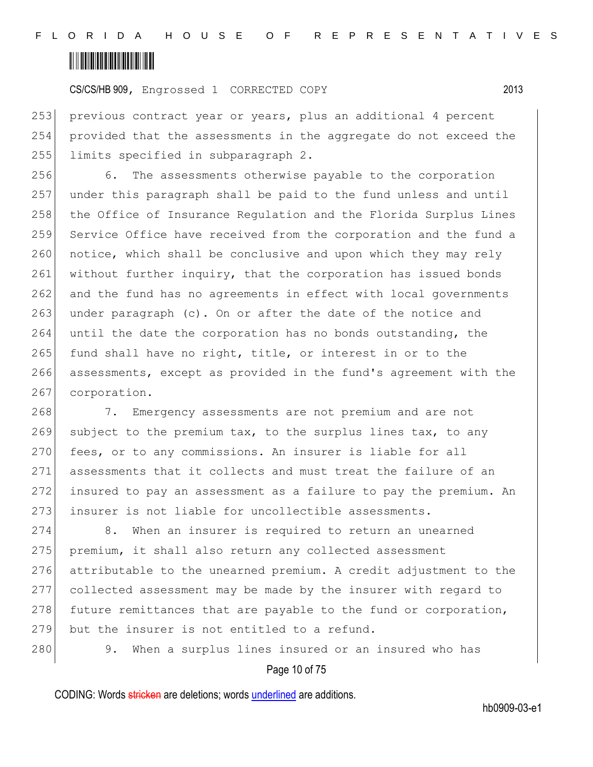

253 previous contract year or years, plus an additional 4 percent 254 provided that the assessments in the aggregate do not exceed the 255 limits specified in subparagraph 2.

256 6. The assessments otherwise payable to the corporation 257 under this paragraph shall be paid to the fund unless and until 258 the Office of Insurance Requlation and the Florida Surplus Lines 259 Service Office have received from the corporation and the fund a 260 notice, which shall be conclusive and upon which they may rely 261 without further inquiry, that the corporation has issued bonds 262 and the fund has no agreements in effect with local governments 263 under paragraph (c). On or after the date of the notice and 264 until the date the corporation has no bonds outstanding, the 265 fund shall have no right, title, or interest in or to the 266 assessments, except as provided in the fund's agreement with the 267 corporation.

268 7. Emergency assessments are not premium and are not 269 subject to the premium tax, to the surplus lines tax, to any 270 fees, or to any commissions. An insurer is liable for all 271 assessments that it collects and must treat the failure of an 272 insured to pay an assessment as a failure to pay the premium. An 273 insurer is not liable for uncollectible assessments.

274 8. When an insurer is required to return an unearned 275 premium, it shall also return any collected assessment 276 attributable to the unearned premium. A credit adjustment to the 277 collected assessment may be made by the insurer with regard to 278 future remittances that are payable to the fund or corporation, 279 but the insurer is not entitled to a refund.

280 9. When a surplus lines insured or an insured who has

Page 10 of 75

CODING: Words stricken are deletions; words underlined are additions.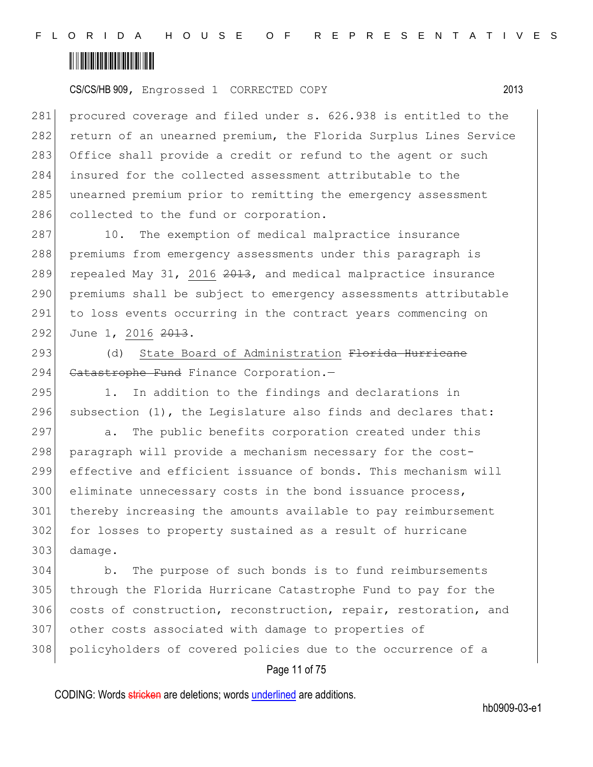

281 procured coverage and filed under s. 626.938 is entitled to the 282 return of an unearned premium, the Florida Surplus Lines Service 283 Office shall provide a credit or refund to the agent or such 284 insured for the collected assessment attributable to the 285 unearned premium prior to remitting the emergency assessment 286 collected to the fund or corporation.

287 10. The exemption of medical malpractice insurance 288 premiums from emergency assessments under this paragraph is 289 repealed May 31, 2016  $2013$ , and medical malpractice insurance 290 premiums shall be subject to emergency assessments attributable 291 to loss events occurring in the contract years commencing on 292 June 1, 2016 2013.

293 (d) State Board of Administration Florida Hurricane 294 Catastrophe Fund Finance Corporation.-

295 1. In addition to the findings and declarations in 296 subsection  $(1)$ , the Legislature also finds and declares that:

297 a. The public benefits corporation created under this 298 paragraph will provide a mechanism necessary for the cost-299 effective and efficient issuance of bonds. This mechanism will 300 eliminate unnecessary costs in the bond issuance process, 301 thereby increasing the amounts available to pay reimbursement 302 for losses to property sustained as a result of hurricane 303 damage.

 b. The purpose of such bonds is to fund reimbursements through the Florida Hurricane Catastrophe Fund to pay for the costs of construction, reconstruction, repair, restoration, and other costs associated with damage to properties of 308 policyholders of covered policies due to the occurrence of a

### Page 11 of 75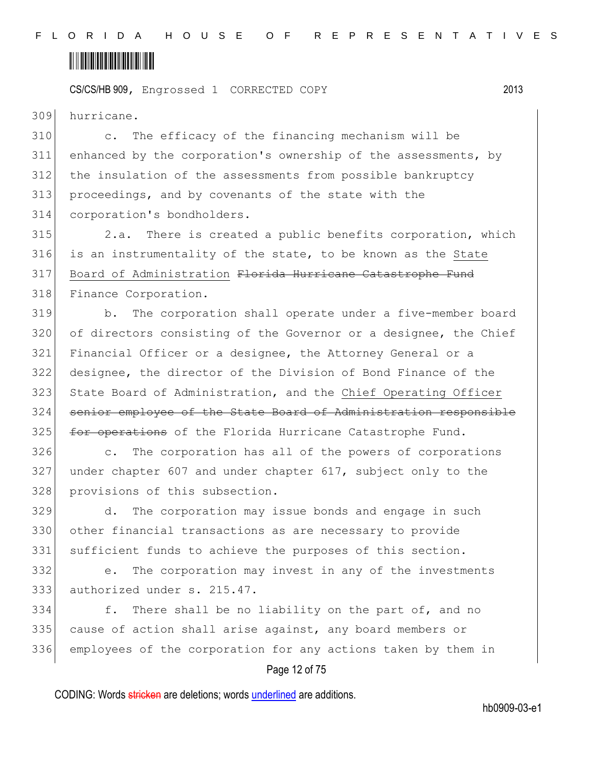

309 hurricane.

 c. The efficacy of the financing mechanism will be enhanced by the corporation's ownership of the assessments, by the insulation of the assessments from possible bankruptcy proceedings, and by covenants of the state with the corporation's bondholders.

315 2.a. There is created a public benefits corporation, which 316 is an instrumentality of the state, to be known as the State 317 Board of Administration Florida Hurricane Catastrophe Fund 318 Finance Corporation.

319 b. The corporation shall operate under a five-member board 320 of directors consisting of the Governor or a designee, the Chief 321 Financial Officer or a designee, the Attorney General or a 322 designee, the director of the Division of Bond Finance of the 323 State Board of Administration, and the Chief Operating Officer 324 senior employee of the State Board of Administration responsible 325 for operations of the Florida Hurricane Catastrophe Fund.

326 c. The corporation has all of the powers of corporations 327 under chapter 607 and under chapter 617, subject only to the 328 provisions of this subsection.

329 d. The corporation may issue bonds and engage in such 330 other financial transactions as are necessary to provide 331 sufficient funds to achieve the purposes of this section.

332 e. The corporation may invest in any of the investments 333 authorized under s. 215.47.

334 f. There shall be no liability on the part of, and no 335 cause of action shall arise against, any board members or 336 employees of the corporation for any actions taken by them in

### Page 12 of 75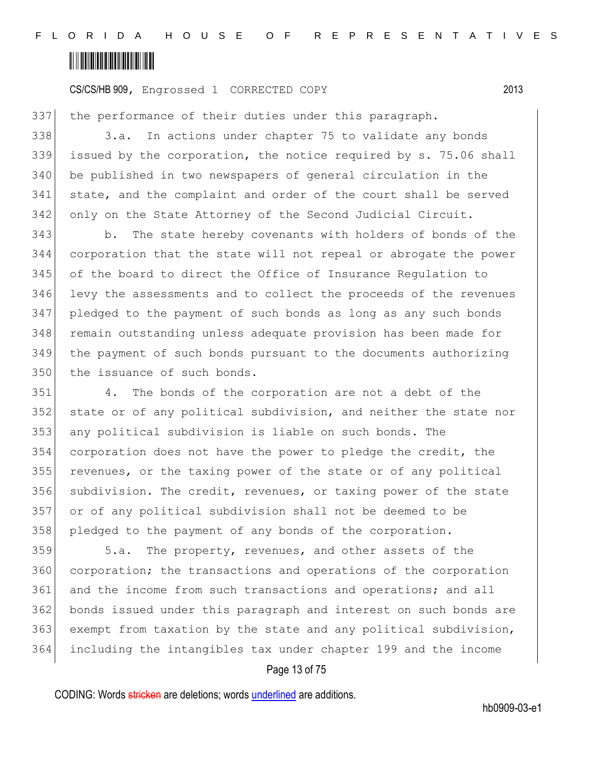

the performance of their duties under this paragraph.

 3.a. In actions under chapter 75 to validate any bonds issued by the corporation, the notice required by s. 75.06 shall 340 be published in two newspapers of general circulation in the state, and the complaint and order of the court shall be served only on the State Attorney of the Second Judicial Circuit.

343 b. The state hereby covenants with holders of bonds of the corporation that the state will not repeal or abrogate the power of the board to direct the Office of Insurance Regulation to levy the assessments and to collect the proceeds of the revenues pledged to the payment of such bonds as long as any such bonds 348 remain outstanding unless adequate provision has been made for the payment of such bonds pursuant to the documents authorizing 350 the issuance of such bonds.

 4. The bonds of the corporation are not a debt of the state or of any political subdivision, and neither the state nor any political subdivision is liable on such bonds. The corporation does not have the power to pledge the credit, the revenues, or the taxing power of the state or of any political 356 subdivision. The credit, revenues, or taxing power of the state or of any political subdivision shall not be deemed to be 358 pledged to the payment of any bonds of the corporation.

 5.a. The property, revenues, and other assets of the corporation; the transactions and operations of the corporation and the income from such transactions and operations; and all bonds issued under this paragraph and interest on such bonds are exempt from taxation by the state and any political subdivision, including the intangibles tax under chapter 199 and the income

### Page 13 of 75

CODING: Words stricken are deletions; words underlined are additions.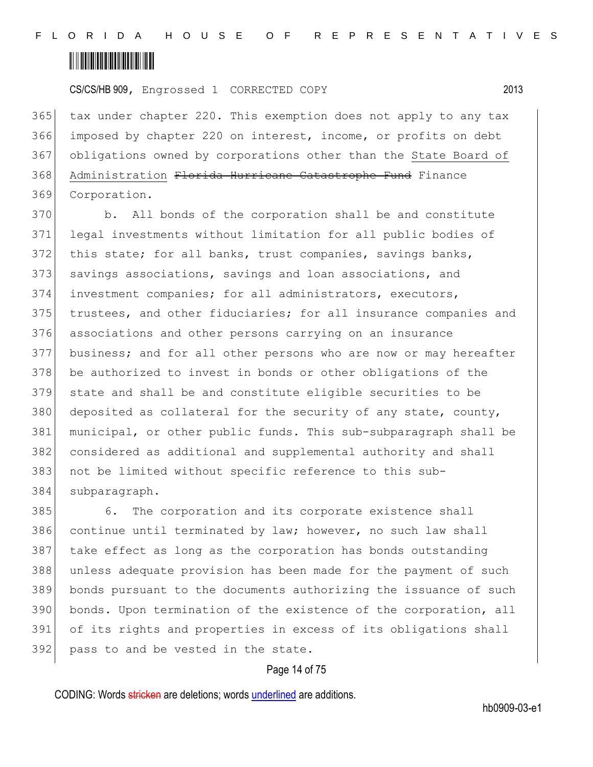

 tax under chapter 220. This exemption does not apply to any tax imposed by chapter 220 on interest, income, or profits on debt obligations owned by corporations other than the State Board of 368 Administration Florida Hurricane Catastrophe Fund Finance Corporation.

370 b. All bonds of the corporation shall be and constitute legal investments without limitation for all public bodies of 372 this state; for all banks, trust companies, savings banks, 373 savings associations, savings and loan associations, and investment companies; for all administrators, executors, trustees, and other fiduciaries; for all insurance companies and associations and other persons carrying on an insurance business; and for all other persons who are now or may hereafter 378 be authorized to invest in bonds or other obligations of the state and shall be and constitute eligible securities to be deposited as collateral for the security of any state, county, municipal, or other public funds. This sub-subparagraph shall be considered as additional and supplemental authority and shall not be limited without specific reference to this sub-subparagraph.

385 6. The corporation and its corporate existence shall continue until terminated by law; however, no such law shall 387 take effect as long as the corporation has bonds outstanding unless adequate provision has been made for the payment of such bonds pursuant to the documents authorizing the issuance of such bonds. Upon termination of the existence of the corporation, all of its rights and properties in excess of its obligations shall 392 pass to and be vested in the state.

#### Page 14 of 75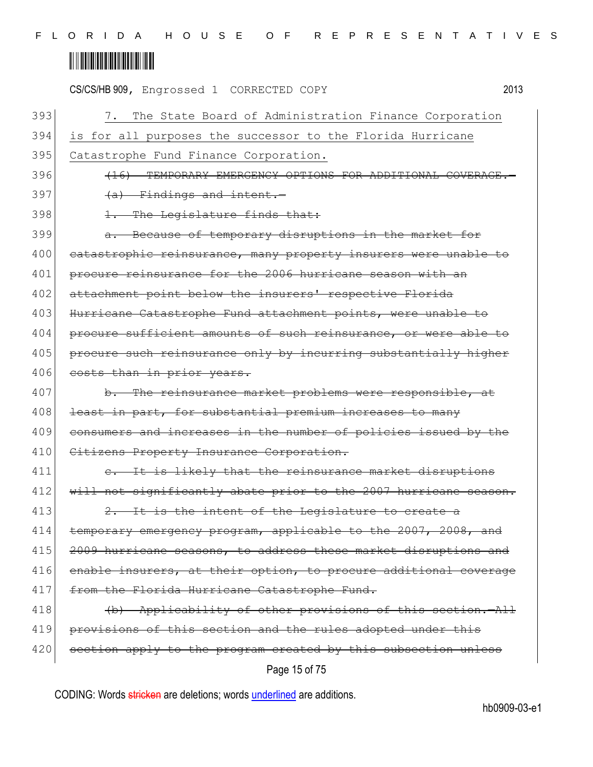|     | 2013<br>CS/CS/HB 909, Engrossed 1 CORRECTED COPY                 |
|-----|------------------------------------------------------------------|
| 393 | 7. The State Board of Administration Finance Corporation         |
| 394 | is for all purposes the successor to the Florida Hurricane       |
| 395 | Catastrophe Fund Finance Corporation.                            |
| 396 | (16) TEMPORARY EMERGENCY OPTIONS FOR ADDITIONAL COVERAGE.        |
| 397 | $(a)$ Findings and intent.                                       |
| 398 | 1. The Legislature finds that:                                   |
| 399 | a. Because of temporary disruptions in the market for            |
| 400 | eatastrophic reinsurance, many property insurers were unable to  |
| 401 | procure reinsurance for the 2006 hurricane season with an        |
| 402 | attachment point below the insurers' respective Florida          |
| 403 | Hurricane Catastrophe Fund attachment points, were unable to     |
| 404 | procure sufficient amounts of such reinsurance, or were able to  |
| 405 | procure such reinsurance only by incurring substantially higher  |
| 406 | costs than in prior years.                                       |
| 407 | b. The reinsurance market problems were responsible, at          |
| 408 | least in part, for substantial premium increases to many         |
| 409 | consumers and increases in the number of policies issued by the  |
| 410 | Citizens Property Insurance Corporation.                         |
| 411 | e. It is likely that the reinsurance market disruptions          |
| 412 | will not significantly abate prior to the 2007 hurricane season. |
| 413 | 2. It is the intent of the Legislature to create a               |
| 414 | temporary emergency program, applicable to the 2007, 2008, and   |
| 415 | 2009 hurricane seasons, to address these market disruptions and  |
| 416 | enable insurers, at their option, to procure additional coverage |
| 417 | from the Florida Hurricane Catastrophe Fund.                     |
| 418 | (b) Applicability of other provisions of this section. All       |
| 419 | provisions of this section and the rules adopted under this      |
| 420 | section apply to the program created by this subsection unless   |
|     | Page 15 of 75                                                    |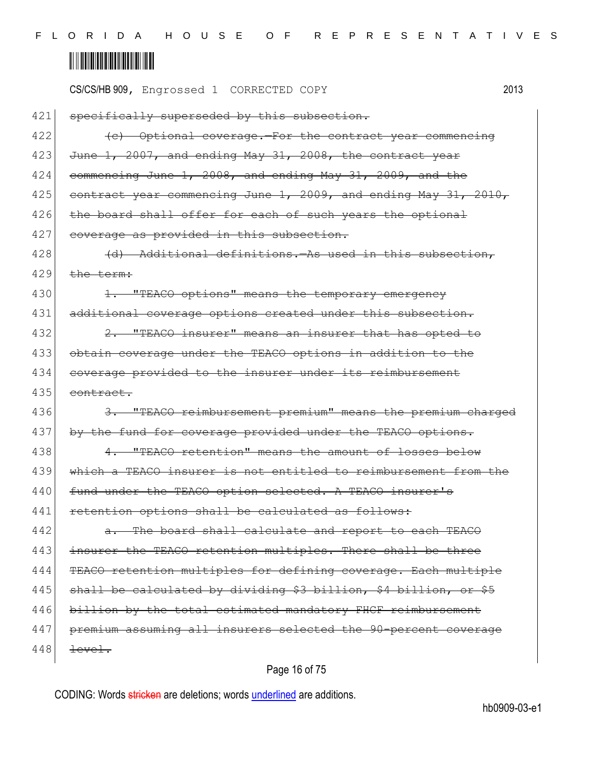|     | 2013<br>CS/CS/HB 909, Engrossed 1 CORRECTED COPY                 |  |
|-----|------------------------------------------------------------------|--|
| 421 | specifically superseded by this subsection.                      |  |
| 422 | (c) Optional coverage. For the contract year commencing          |  |
| 423 | June 1, 2007, and ending May 31, 2008, the contract year         |  |
| 424 | commencing June 1, 2008, and ending May 31, 2009, and the        |  |
| 425 | contract year commencing June 1, 2009, and ending May 31, 2010,  |  |
| 426 | the board shall offer for each of such years the optional        |  |
| 427 | coverage as provided in this subsection.                         |  |
| 428 | (d) Additional definitions. As used in this subsection,          |  |
| 429 | the term:                                                        |  |
| 430 | 1. "TEACO options" means the temporary emergency                 |  |
| 431 | additional coverage options created under this subsection.       |  |
| 432 | "TEACO insurer" means an insurer that has opted to<br>$2 -$      |  |
| 433 | obtain coverage under the TEACO options in addition to the       |  |
| 434 | coverage provided to the insurer under its reimbursement         |  |
| 435 | contract.                                                        |  |
| 436 | 3. "TEACO reimbursement premium" means the premium charged       |  |
| 437 | by the fund for coverage provided under the TEACO options.       |  |
| 438 | 4. "TEACO retention" means the amount of losses below            |  |
| 439 | which a TEACO insurer is not entitled to reimbursement from the  |  |
| 440 | fund under the TEACO option selected. A TEACO insurer's          |  |
| 441 | retention options shall be calculated as follows:                |  |
| 442 | The board shall calculate and report to each TEACO               |  |
| 443 | insurer the TEACO retention multiples. There shall be three      |  |
| 444 | TEACO retention multiples for defining coverage. Each multiple   |  |
| 445 | shall be calculated by dividing \$3 billion, \$4 billion, or \$5 |  |
| 446 | billion by the total estimated mandatory FHCF reimbursement      |  |
| 447 | premium assuming all insurers selected the 90-percent coverage   |  |
| 448 | level.                                                           |  |
|     | $D$ asa $AC$ af $7E$                                             |  |

### Page 16 of 75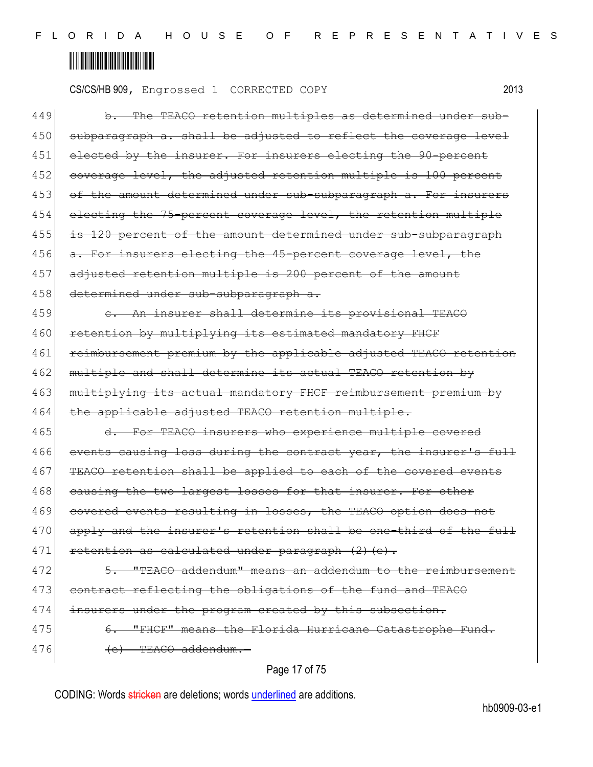CS/CS/HB 909, Engrossed 1 CORRECTED COPY 2013

| 449 | b. The TEACO retention multiples as determined under sub-        |
|-----|------------------------------------------------------------------|
| 450 | subparagraph a. shall be adjusted to reflect the coverage level  |
| 451 | elected by the insurer. For insurers electing the 90-percent     |
| 452 | coverage level, the adjusted retention multiple is 100 percent   |
| 453 | of the amount determined under sub-subparagraph a. For insurers  |
| 454 | electing the 75-percent coverage level, the retention multiple   |
| 455 | is 120 percent of the amount determined under sub-subparagraph   |
| 456 | a. For insurers electing the 45-percent coverage level, the      |
| 457 | adjusted retention multiple is 200 percent of the amount         |
| 458 | determined under sub-subparagraph a.                             |
| 459 | e. An insurer shall determine its provisional TEACO              |
| 460 | retention by multiplying its estimated mandatory FHCF            |
| 461 | reimbursement premium by the applicable adjusted TEACO retention |
| 462 | multiple and shall determine its actual TEACO retention by       |
| 463 | multiplying its actual mandatory FHCF reimbursement premium by   |
| 464 | the applicable adjusted TEACO retention multiple.                |
| 465 | d. For TEACO insurers who experience multiple covered            |
| 466 | events causing loss during the contract year, the insurer's full |
| 467 | TEACO retention shall be applied to each of the covered events   |
| 468 | causing the two largest losses for that insurer. For other       |
| 469 | covered events resulting in losses, the TEACO option does not    |
| 470 | apply and the insurer's retention shall be one-third of the full |
| 471 | retention as calculated under paragraph (2) (e).                 |
| 472 | 5. "TEACO addendum" means an addendum to the reimbursement       |
| 473 | contract reflecting the obligations of the fund and TEACO        |
| 474 | insurers under the program created by this subsection.           |
| 475 | 6. "FHCF" means the Florida Hurricane Catastrophe Fund.          |
| 476 | (e) TEACO addendum.-                                             |
|     |                                                                  |

### Page 17 of 75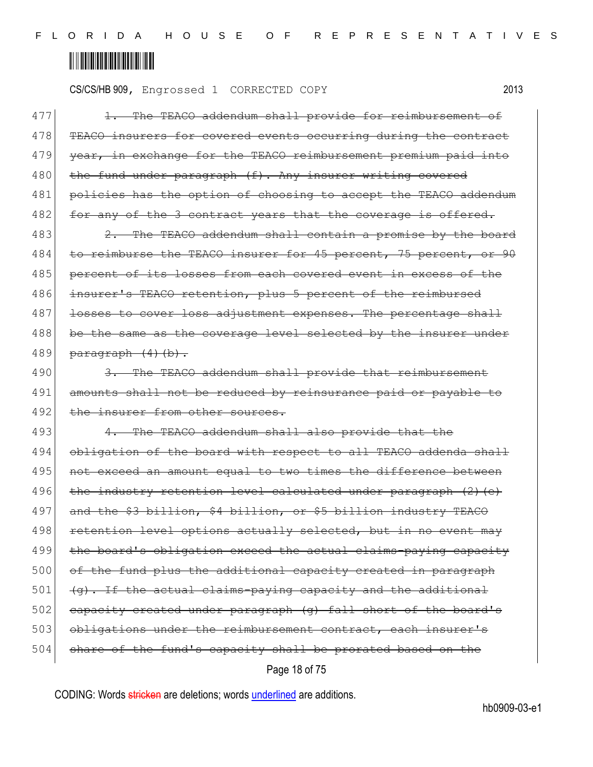CS/CS/HB 909, Engrossed 1 CORRECTED COPY 2013

477 1. The TEACO addendum shall provide for reimbursement of 478 TEACO insurers for covered events occurring during the contract 479 year, in exchange for the TEACO reimbursement premium paid into 480 the fund under paragraph (f). Any insurer writing covered 481 policies has the option of choosing to accept the TEACO addendum 482 for any of the 3 contract years that the coverage is offered.

483 2. The TEACO addendum shall contain a promise by the board 484 to reimburse the TEACO insurer for 45 percent, 75 percent, or 90 485 percent of its losses from each covered event in excess of the 486 insurer's TEACO retention, plus 5 percent of the reimbursed 487 losses to cover loss adjustment expenses. The percentage shall 488 be the same as the coverage level selected by the insurer under 489 paragraph  $(4)$  (b).

490 3. The TEACO addendum shall provide that reimbursement 491 amounts shall not be reduced by reinsurance paid or payable to 492 the insurer from other sources.

Page 18 of 75 493 4. The TEACO addendum shall also provide that the 494 obligation of the board with respect to all TEACO addenda shall 495 | not exceed an amount equal to two times the difference between 496 the industry retention level calculated under paragraph (2)(e) 497 and the \$3 billion, \$4 billion, or \$5 billion industry TEACO 498 retention level options actually selected, but in no event may 499 the board's obligation exceed the actual claims-paying capacity 500 of the fund plus the additional capacity created in paragraph  $501$  (g). If the actual claims-paying capacity and the additional 502 capacity created under paragraph (g) fall short of the board's 503 obligations under the reimbursement contract, each insurer's 504 share of the fund's capacity shall be prorated based on the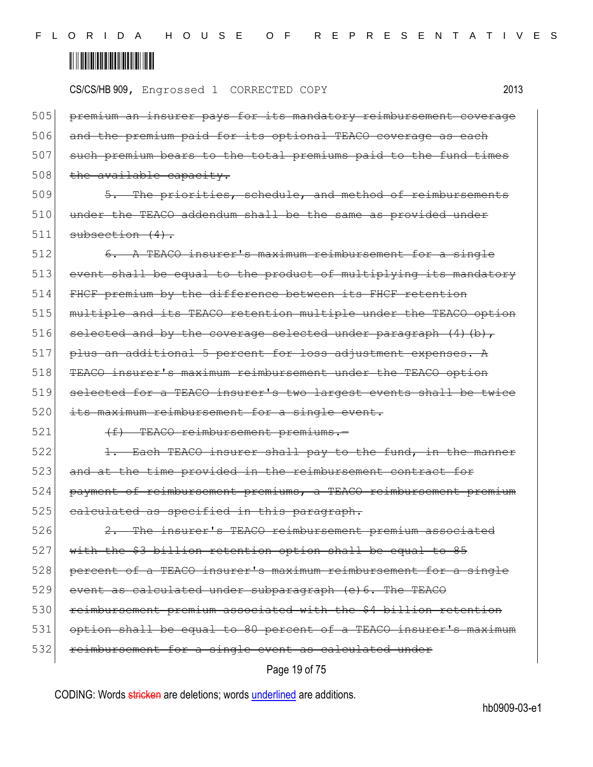CS/CS/HB 909, Engrossed 1 CORRECTED COPY 2013

505 premium an insurer pays for its mandatory reimbursement coverage 506 and the premium paid for its optional TEACO coverage as each 507 such premium bears to the total premiums paid to the fund times  $508$  the available capacity.

509 5. The priorities, schedule, and method of reimbursements  $510$  under the TEACO addendum shall be the same as provided under  $511$  subsection  $(4)$ .

512 6. A TEACO insurer's maximum reimbursement for a single 513 event shall be equal to the product of multiplying its mandatory 514 FHCF premium by the difference between its FHCF retention 515 multiple and its TEACO retention multiple under the TEACO option 516 selected and by the coverage selected under paragraph  $(4)$  (b),  $517$  plus an additional 5 percent for loss adjustment expenses. A 518 TEACO insurer's maximum reimbursement under the TEACO option 519 selected for a TEACO insurer's two largest events shall be twice 520 its maximum reimbursement for a single event.

521 (f) TEACO reimbursement premiums.

522 1. Each TEACO insurer shall pay to the fund, in the manner 523 and at the time provided in the reimbursement contract for 524 payment of reimbursement premiums, a TEACO reimbursement premium 525 calculated as specified in this paragraph.

526 2. The insurer's TEACO reimbursement premium associated 527 with the \$3 billion retention option shall be equal to 85 528 percent of a TEACO insurer's maximum reimbursement for a single 529 event as calculated under subparagraph (e) 6. The TEACO 530 reimbursement premium associated with the \$4 billion retention 531 option shall be equal to 80 percent of a TEACO insurer's maximum 532 reimbursement for a single event as calculated under

### Page 19 of 75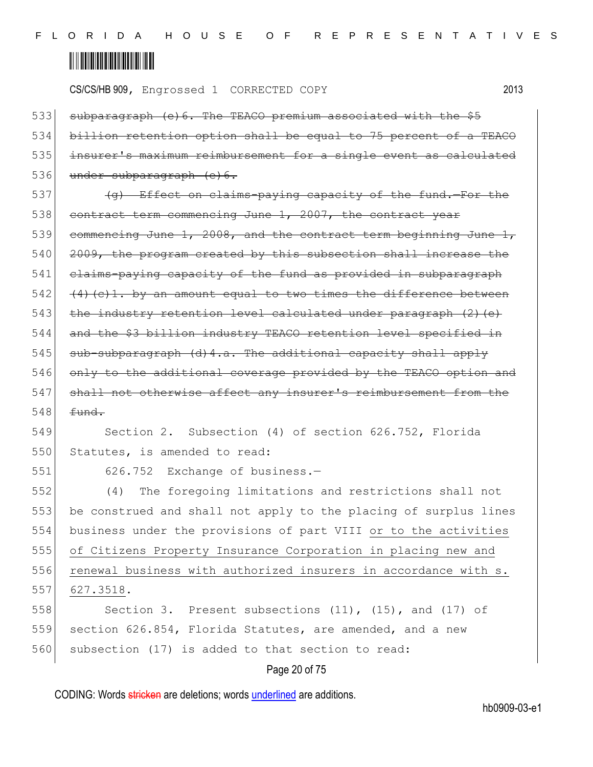CS/CS/HB 909, Engrossed 1 CORRECTED COPY 2013

| 533 | subparagraph (e) 6. The TEACO premium associated with the \$5       |
|-----|---------------------------------------------------------------------|
| 534 | billion retention option shall be equal to 75 percent of a TEACO    |
| 535 | insurer's maximum reimbursement for a single event as calculated    |
| 536 | under subparagraph (e) 6.                                           |
| 537 | (g) Effect on claims-paying capacity of the fund.-For the           |
| 538 | contract term commencing June 1, 2007, the contract year            |
| 539 | commencing June 1, 2008, and the contract term beginning June 1,    |
| 540 | 2009, the program created by this subsection shall increase the     |
| 541 | elaims-paying capacity of the fund as provided in subparagraph      |
| 542 | $(4)$ (c) 1. by an amount equal to two times the difference between |
| 543 | the industry retention level calculated under paragraph (2) (e)     |
| 544 | and the \$3 billion industry TEACO retention level specified in     |
| 545 | sub-subparagraph (d) 4.a. The additional capacity shall apply       |
| 546 | only to the additional coverage provided by the TEACO option and    |
| 547 | shall not otherwise affect any insurer's reimbursement from the     |
| 548 | fund.                                                               |
| 549 | Section 2. Subsection (4) of section 626.752, Florida               |
| 550 | Statutes, is amended to read:                                       |
| 551 | 626.752<br>Exchange of business.-                                   |
| 552 | The foregoing limitations and restrictions shall not<br>(4)         |
| 553 | be construed and shall not apply to the placing of surplus lines    |
| 554 | business under the provisions of part VIII or to the activities     |
| 555 | of Citizens Property Insurance Corporation in placing new and       |
| 556 | renewal business with authorized insurers in accordance with s.     |
| 557 | 627.3518.                                                           |
| 558 | Section 3. Present subsections (11), (15), and (17) of              |
| 559 | section 626.854, Florida Statutes, are amended, and a new           |
| 560 | subsection (17) is added to that section to read:                   |
|     | Page 20 of 75                                                       |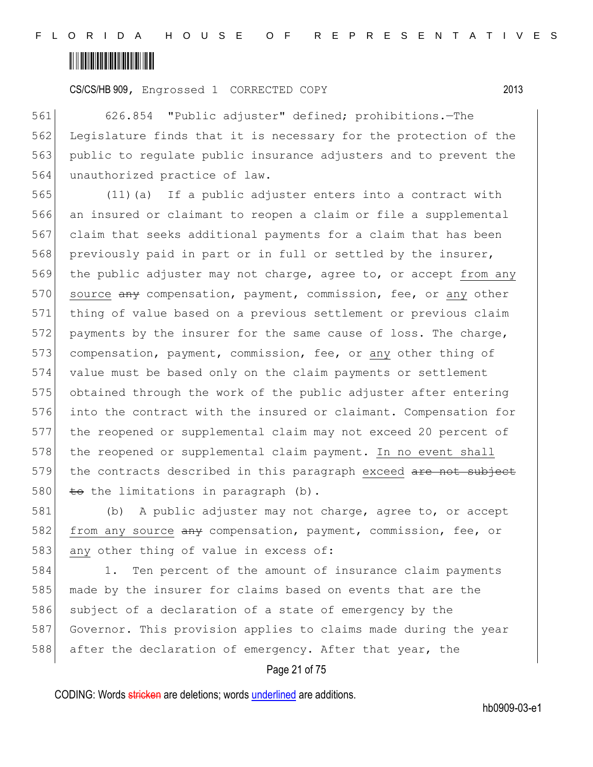CS/CS/HB 909, Engrossed 1 CORRECTED COPY 2013

 626.854 "Public adjuster" defined; prohibitions.—The Legislature finds that it is necessary for the protection of the public to regulate public insurance adjusters and to prevent the unauthorized practice of law.

 (11)(a) If a public adjuster enters into a contract with an insured or claimant to reopen a claim or file a supplemental claim that seeks additional payments for a claim that has been 568 previously paid in part or in full or settled by the insurer, the public adjuster may not charge, agree to, or accept from any 570 source any compensation, payment, commission, fee, or any other thing of value based on a previous settlement or previous claim 572 payments by the insurer for the same cause of loss. The charge, 573 compensation, payment, commission, fee, or any other thing of value must be based only on the claim payments or settlement obtained through the work of the public adjuster after entering into the contract with the insured or claimant. Compensation for the reopened or supplemental claim may not exceed 20 percent of 578 the reopened or supplemental claim payment. In no event shall 579 the contracts described in this paragraph exceed are not subject  $\pm$  the limitations in paragraph (b).

581 (b) A public adjuster may not charge, agree to, or accept 582 from any source  $\frac{1}{2}$  compensation, payment, commission, fee, or 583 any other thing of value in excess of:

584 1. Ten percent of the amount of insurance claim payments 585 made by the insurer for claims based on events that are the 586 subject of a declaration of a state of emergency by the 587 Governor. This provision applies to claims made during the year 588 after the declaration of emergency. After that year, the

### Page 21 of 75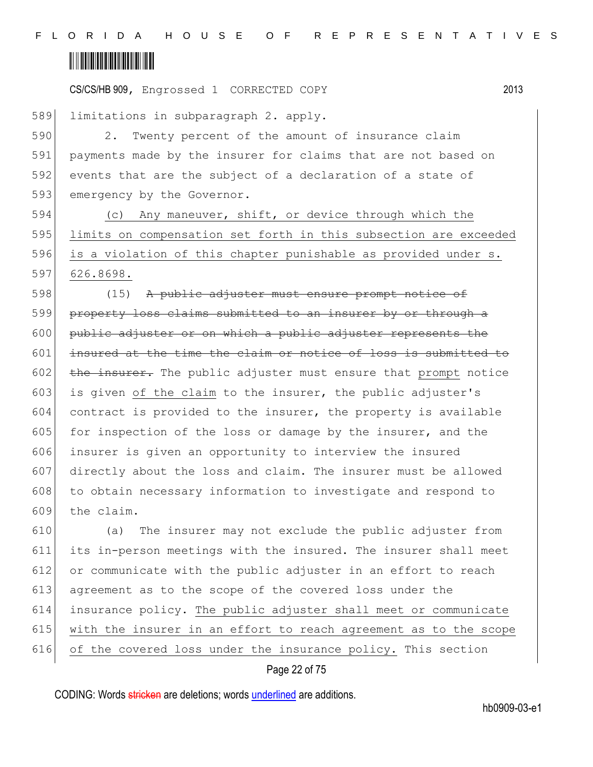

589 limitations in subparagraph 2. apply.

590 2. Twenty percent of the amount of insurance claim 591 payments made by the insurer for claims that are not based on 592 events that are the subject of a declaration of a state of 593 emergency by the Governor.

594 (c) Any maneuver, shift, or device through which the 595 limits on compensation set forth in this subsection are exceeded 596 is a violation of this chapter punishable as provided under s. 597 626.8698.

598 (15) A public adjuster must ensure prompt notice of 599 property loss claims submitted to an insurer by or through a 600 public adjuster or on which a public adjuster represents the 601 insured at the time the claim or notice of loss is submitted to  $602$  the insurer. The public adjuster must ensure that prompt notice 603 is given of the claim to the insurer, the public adjuster's 604 contract is provided to the insurer, the property is available 605 for inspection of the loss or damage by the insurer, and the 606 insurer is given an opportunity to interview the insured 607 directly about the loss and claim. The insurer must be allowed 608 to obtain necessary information to investigate and respond to 609 the claim.

 (a) The insurer may not exclude the public adjuster from its in-person meetings with the insured. The insurer shall meet 612 or communicate with the public adjuster in an effort to reach agreement as to the scope of the covered loss under the insurance policy. The public adjuster shall meet or communicate with the insurer in an effort to reach agreement as to the scope of the covered loss under the insurance policy. This section

### Page 22 of 75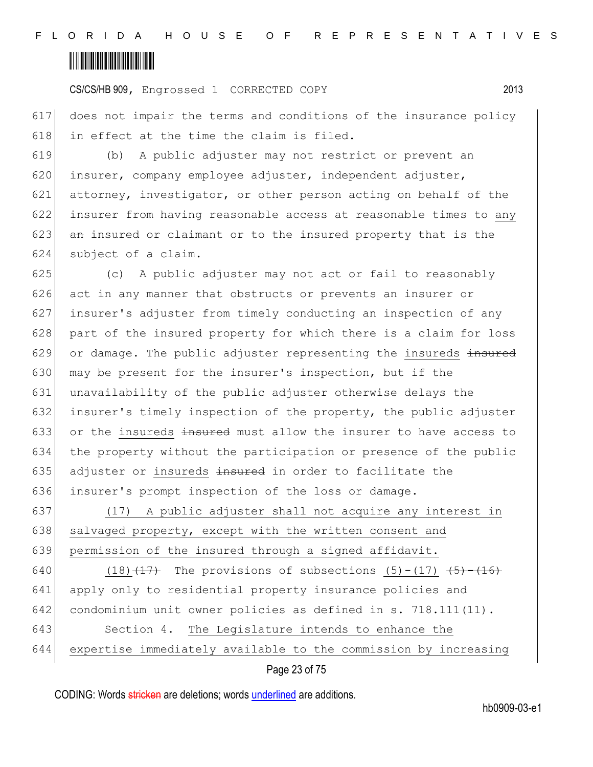CS/CS/HB 909, Engrossed 1 CORRECTED COPY 2013

617 does not impair the terms and conditions of the insurance policy 618 in effect at the time the claim is filed.

 (b) A public adjuster may not restrict or prevent an insurer, company employee adjuster, independent adjuster, attorney, investigator, or other person acting on behalf of the 622 insurer from having reasonable access at reasonable times to any  $\sigma$  an insured or claimant or to the insured property that is the subject of a claim.

625 (c) A public adjuster may not act or fail to reasonably 626 act in any manner that obstructs or prevents an insurer or 627 insurer's adjuster from timely conducting an inspection of any 628 part of the insured property for which there is a claim for loss  $629$  or damage. The public adjuster representing the insureds  $\frac{1}{2}$ 630 may be present for the insurer's inspection, but if the 631 unavailability of the public adjuster otherwise delays the 632 insurer's timely inspection of the property, the public adjuster 633 or the insureds  $\frac{1}{2}$  insured must allow the insurer to have access to 634 the property without the participation or presence of the public 635 adjuster or insureds  $\frac{1}{2}$  insured in order to facilitate the 636 insurer's prompt inspection of the loss or damage.

637 (17) A public adjuster shall not acquire any interest in 638 salvaged property, except with the written consent and 639 permission of the insured through a signed affidavit.

640 (18) $\left(17\right)$  The provisions of subsections (5)-(17)  $\left(5\right)-\left(16\right)$  apply only to residential property insurance policies and condominium unit owner policies as defined in s. 718.111(11). Section 4. The Legislature intends to enhance the expertise immediately available to the commission by increasing

Page 23 of 75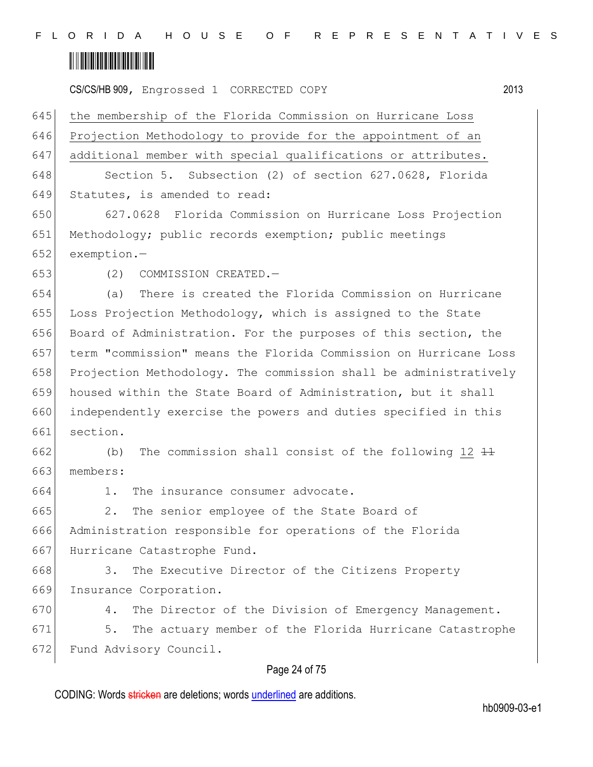F L O R I D A H O U S E O F R E P R E S E N T A T I V E S

## <u> Alban Alban Alban Alban A</u>

CS/CS/HB 909, Engrossed 1 CORRECTED COPY 2013

 the membership of the Florida Commission on Hurricane Loss Projection Methodology to provide for the appointment of an additional member with special qualifications or attributes. 648 Section 5. Subsection (2) of section 627.0628, Florida 649 Statutes, is amended to read: 627.0628 Florida Commission on Hurricane Loss Projection Methodology; public records exemption; public meetings exemption.— (2) COMMISSION CREATED.— (a) There is created the Florida Commission on Hurricane Loss Projection Methodology, which is assigned to the State Board of Administration. For the purposes of this section, the term "commission" means the Florida Commission on Hurricane Loss Projection Methodology. The commission shall be administratively housed within the State Board of Administration, but it shall independently exercise the powers and duties specified in this 661 section. 662 (b) The commission shall consist of the following  $12 \frac{11}{11}$ 663 members: 1. The insurance consumer advocate. 665 2. The senior employee of the State Board of Administration responsible for operations of the Florida Hurricane Catastrophe Fund. 668 3. The Executive Director of the Citizens Property 669 Insurance Corporation. 670 4. The Director of the Division of Emergency Management. 5. The actuary member of the Florida Hurricane Catastrophe 672 Fund Advisory Council.

### Page 24 of 75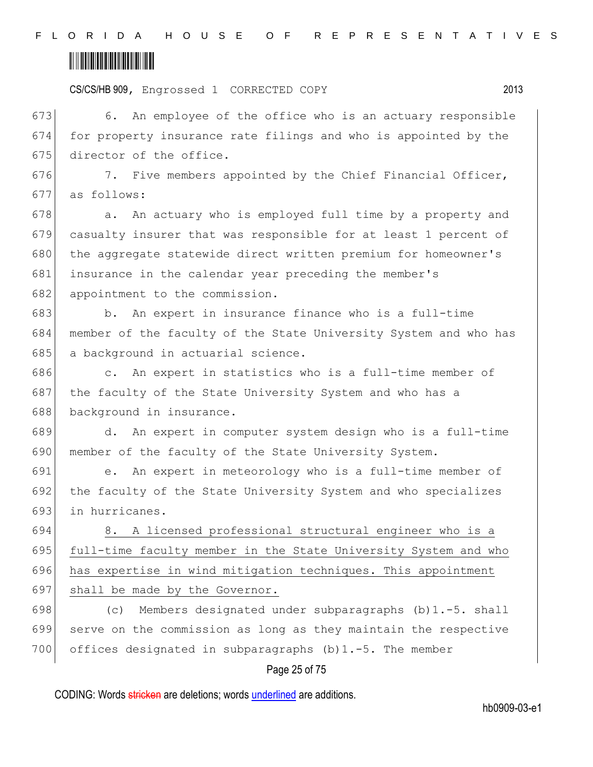CS/CS/HB 909, Engrossed 1 CORRECTED COPY 2013

673 6. An employee of the office who is an actuary responsible 674 for property insurance rate filings and who is appointed by the 675 director of the office.

676 7. Five members appointed by the Chief Financial Officer, 677 as follows:

678 a. An actuary who is employed full time by a property and 679 casualty insurer that was responsible for at least 1 percent of 680 the aggregate statewide direct written premium for homeowner's 681 insurance in the calendar year preceding the member's 682 appointment to the commission.

683 b. An expert in insurance finance who is a full-time 684 member of the faculty of the State University System and who has 685 a background in actuarial science.

686 c. An expert in statistics who is a full-time member of 687 the faculty of the State University System and who has a 688 background in insurance.

689 d. An expert in computer system design who is a full-time 690 member of the faculty of the State University System.

691 e. An expert in meteorology who is a full-time member of 692 the faculty of the State University System and who specializes 693 in hurricanes.

 8. A licensed professional structural engineer who is a full-time faculty member in the State University System and who has expertise in wind mitigation techniques. This appointment 697 shall be made by the Governor.

698  $\vert$  (c) Members designated under subparagraphs (b) 1.-5. shall 699 serve on the commission as long as they maintain the respective 700 offices designated in subparagraphs  $(b)$ 1.-5. The member

### Page 25 of 75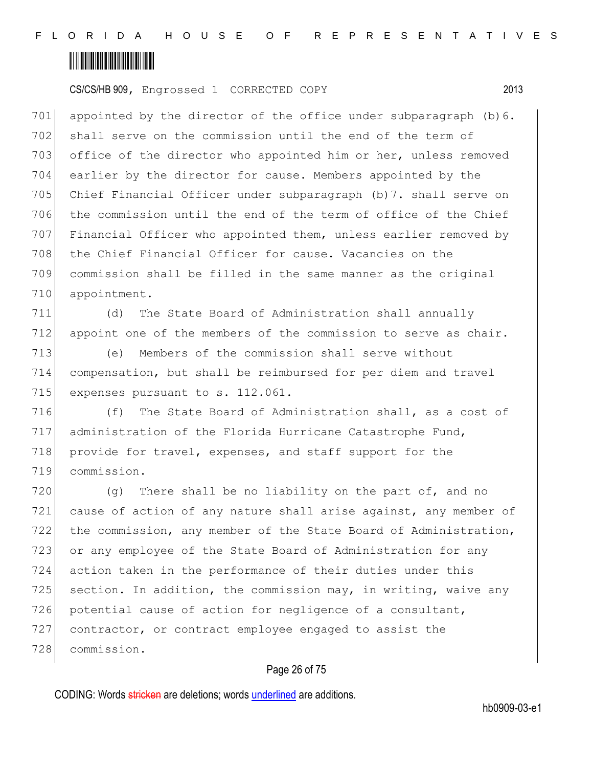CS/CS/HB 909, Engrossed 1 CORRECTED COPY 2013

701 appointed by the director of the office under subparagraph  $(b)$  6. 702 shall serve on the commission until the end of the term of 703 office of the director who appointed him or her, unless removed 704 earlier by the director for cause. Members appointed by the 705 Chief Financial Officer under subparagraph (b)7. shall serve on 706 the commission until the end of the term of office of the Chief 707 Financial Officer who appointed them, unless earlier removed by 708 the Chief Financial Officer for cause. Vacancies on the 709 commission shall be filled in the same manner as the original 710 appointment.

711 (d) The State Board of Administration shall annually 712 appoint one of the members of the commission to serve as chair.

713 (e) Members of the commission shall serve without 714 compensation, but shall be reimbursed for per diem and travel 715 expenses pursuant to s. 112.061.

 (f) The State Board of Administration shall, as a cost of administration of the Florida Hurricane Catastrophe Fund, 718 provide for travel, expenses, and staff support for the commission.

720  $(q)$  There shall be no liability on the part of, and no 721 cause of action of any nature shall arise against, any member of 722 the commission, any member of the State Board of Administration, 723 or any employee of the State Board of Administration for any 724 action taken in the performance of their duties under this 725 section. In addition, the commission may, in writing, waive any 726 potential cause of action for negligence of a consultant, 727 contractor, or contract employee engaged to assist the 728 commission.

### Page 26 of 75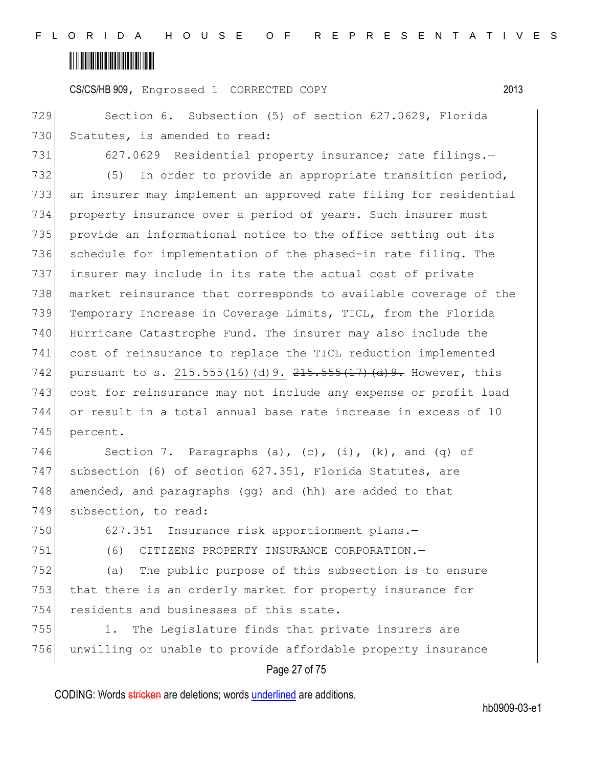CS/CS/HB 909, Engrossed 1 CORRECTED COPY 2013

729 Section 6. Subsection (5) of section 627.0629, Florida 730 Statutes, is amended to read:

731 627.0629 Residential property insurance; rate filings.-

732 (5) In order to provide an appropriate transition period, an insurer may implement an approved rate filing for residential property insurance over a period of years. Such insurer must 735 provide an informational notice to the office setting out its 736 schedule for implementation of the phased-in rate filing. The insurer may include in its rate the actual cost of private market reinsurance that corresponds to available coverage of the Temporary Increase in Coverage Limits, TICL, from the Florida Hurricane Catastrophe Fund. The insurer may also include the cost of reinsurance to replace the TICL reduction implemented 742 pursuant to s. 215.555(16)(d) 9. 215.555(17)(d) 9. However, this cost for reinsurance may not include any expense or profit load or result in a total annual base rate increase in excess of 10 745 percent.

746 Section 7. Paragraphs (a), (c), (i),  $(k)$ , and (q) of 747 subsection (6) of section 627.351, Florida Statutes, are 748 amended, and paragraphs (gg) and (hh) are added to that 749 subsection, to read:

750 627.351 Insurance risk apportionment plans.

751 (6) CITIZENS PROPERTY INSURANCE CORPORATION.—

752 (a) The public purpose of this subsection is to ensure 753 that there is an orderly market for property insurance for 754 residents and businesses of this state.

755 1. The Legislature finds that private insurers are 756 unwilling or unable to provide affordable property insurance

### Page 27 of 75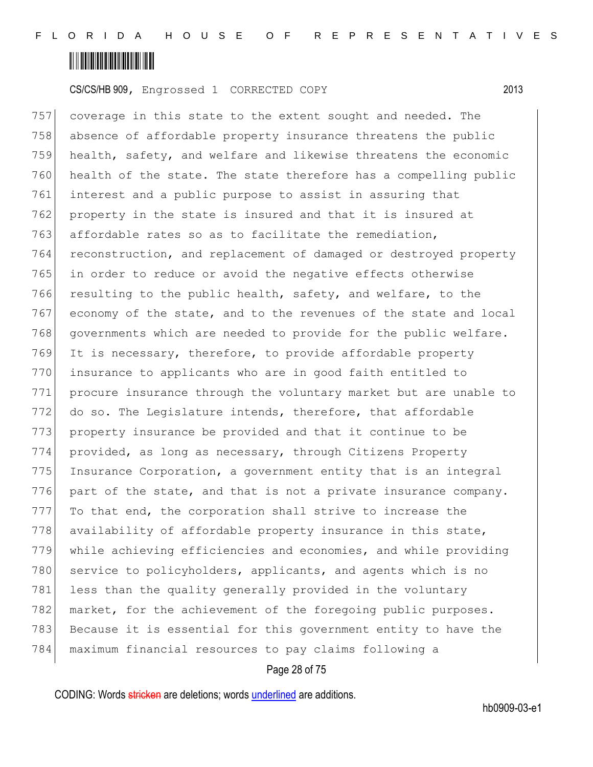

757 coverage in this state to the extent sought and needed. The 758 absence of affordable property insurance threatens the public 759 health, safety, and welfare and likewise threatens the economic 760 health of the state. The state therefore has a compelling public 761 interest and a public purpose to assist in assuring that 762 property in the state is insured and that it is insured at 763 affordable rates so as to facilitate the remediation, 764 reconstruction, and replacement of damaged or destroyed property 765 in order to reduce or avoid the negative effects otherwise 766 resulting to the public health, safety, and welfare, to the 767 economy of the state, and to the revenues of the state and local 768 governments which are needed to provide for the public welfare. 769 It is necessary, therefore, to provide affordable property 770 insurance to applicants who are in good faith entitled to 771 procure insurance through the voluntary market but are unable to 772 do so. The Legislature intends, therefore, that affordable 773 property insurance be provided and that it continue to be 774 provided, as long as necessary, through Citizens Property 775 Insurance Corporation, a government entity that is an integral 776 part of the state, and that is not a private insurance company. 777 To that end, the corporation shall strive to increase the 778 availability of affordable property insurance in this state, 779 while achieving efficiencies and economies, and while providing 780 service to policyholders, applicants, and agents which is no 781 less than the quality generally provided in the voluntary 782 market, for the achievement of the foregoing public purposes. 783 Because it is essential for this government entity to have the 784 maximum financial resources to pay claims following a

### Page 28 of 75

CODING: Words stricken are deletions; words underlined are additions.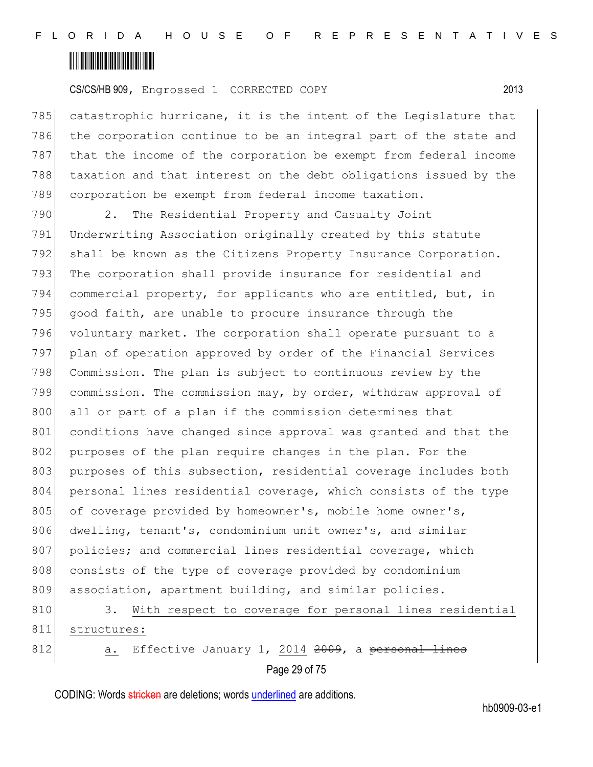

785 catastrophic hurricane, it is the intent of the Legislature that 786 the corporation continue to be an integral part of the state and 787 that the income of the corporation be exempt from federal income 788 taxation and that interest on the debt obligations issued by the 789 corporation be exempt from federal income taxation.

790 2. The Residential Property and Casualty Joint 791 Underwriting Association originally created by this statute 792 shall be known as the Citizens Property Insurance Corporation. 793 The corporation shall provide insurance for residential and 794 commercial property, for applicants who are entitled, but, in 795  $\vert$  good faith, are unable to procure insurance through the 796 voluntary market. The corporation shall operate pursuant to a 797 plan of operation approved by order of the Financial Services 798 Commission. The plan is subject to continuous review by the 799 commission. The commission may, by order, withdraw approval of 800 all or part of a plan if the commission determines that 801 conditions have changed since approval was granted and that the 802 purposes of the plan require changes in the plan. For the 803 purposes of this subsection, residential coverage includes both 804 personal lines residential coverage, which consists of the type 805 of coverage provided by homeowner's, mobile home owner's, 806 dwelling, tenant's, condominium unit owner's, and similar 807 policies; and commercial lines residential coverage, which 808 consists of the type of coverage provided by condominium 809 association, apartment building, and similar policies.

810 3. With respect to coverage for personal lines residential 811 structures: 812 a. Effective January 1, 2014 2009, a personal lines

Page 29 of 75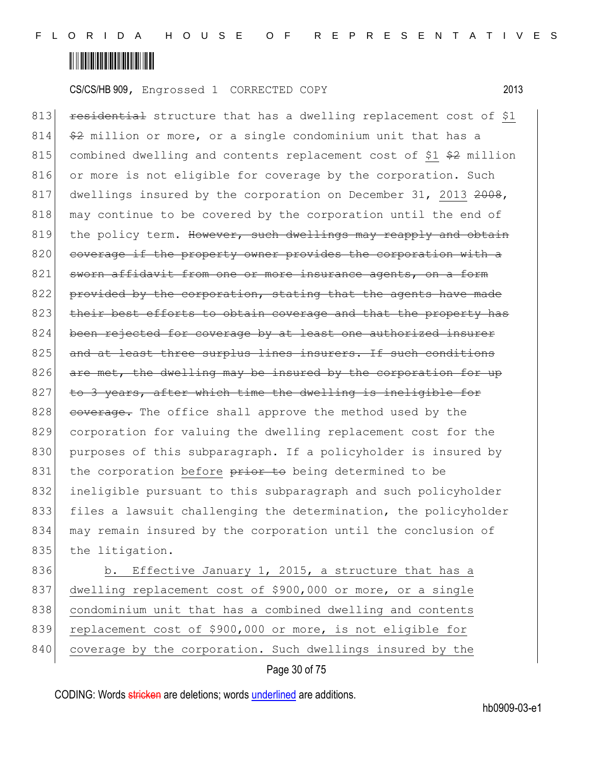

813 **residential** structure that has a dwelling replacement cost of \$1  $814$   $\leftrightarrow$  million or more, or a single condominium unit that has a 815 combined dwelling and contents replacement cost of  $$1$   $$2$  million 816 or more is not eligible for coverage by the corporation. Such 817 dwellings insured by the corporation on December 31, 2013 2008, 818 may continue to be covered by the corporation until the end of 819 the policy term. However, such dwellings may reapply and obtain 820 coverage if the property owner provides the corporation with a 821 sworn affidavit from one or more insurance agents, on a form 822 provided by the corporation, stating that the agents have made 823 their best efforts to obtain coverage and that the property has 824 been rejected for coverage by at least one authorized insurer 825 and at least three surplus lines insurers. If such conditions 826  $\sigma$  are met, the dwelling may be insured by the corporation for up  $827$  to 3 years, after which time the dwelling is ineligible for 828 coverage. The office shall approve the method used by the 829 corporation for valuing the dwelling replacement cost for the 830 purposes of this subparagraph. If a policyholder is insured by 831 the corporation before prior to being determined to be 832 ineligible pursuant to this subparagraph and such policyholder 833 files a lawsuit challenging the determination, the policyholder 834 may remain insured by the corporation until the conclusion of 835 the litigation.

836 b. Effective January 1, 2015, a structure that has a 837 dwelling replacement cost of \$900,000 or more, or a single 838 condominium unit that has a combined dwelling and contents 839 replacement cost of \$900,000 or more, is not eligible for 840 coverage by the corporation. Such dwellings insured by the

### Page 30 of 75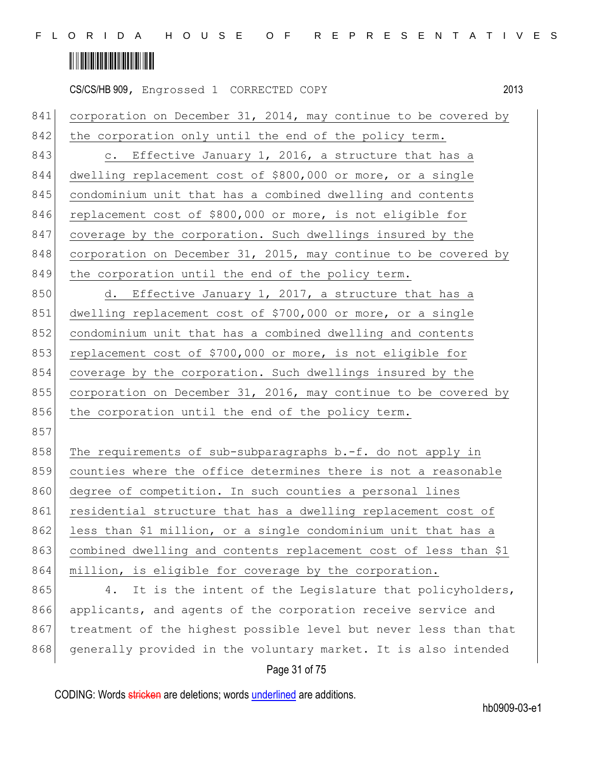|     | 2013<br>CS/CS/HB 909, Engrossed 1 CORRECTED COPY                 |
|-----|------------------------------------------------------------------|
| 841 | corporation on December 31, 2014, may continue to be covered by  |
| 842 | the corporation only until the end of the policy term.           |
| 843 | Effective January 1, 2016, a structure that has a<br>$\circ$ .   |
| 844 | dwelling replacement cost of \$800,000 or more, or a single      |
| 845 | condominium unit that has a combined dwelling and contents       |
| 846 | replacement cost of \$800,000 or more, is not eligible for       |
| 847 | coverage by the corporation. Such dwellings insured by the       |
| 848 | corporation on December 31, 2015, may continue to be covered by  |
| 849 | the corporation until the end of the policy term.                |
| 850 | d. Effective January 1, 2017, a structure that has a             |
| 851 | dwelling replacement cost of \$700,000 or more, or a single      |
| 852 | condominium unit that has a combined dwelling and contents       |
| 853 | replacement cost of \$700,000 or more, is not eligible for       |
| 854 | coverage by the corporation. Such dwellings insured by the       |
| 855 | corporation on December 31, 2016, may continue to be covered by  |
| 856 | the corporation until the end of the policy term.                |
| 857 |                                                                  |
| 858 | The requirements of sub-subparagraphs b.-f. do not apply in      |
| 859 | counties where the office determines there is not a reasonable   |
| 860 | degree of competition. In such counties a personal lines         |
| 861 | residential structure that has a dwelling replacement cost of    |
| 862 | less than \$1 million, or a single condominium unit that has a   |
| 863 | combined dwelling and contents replacement cost of less than \$1 |
| 864 | million, is eligible for coverage by the corporation.            |
| 865 | It is the intent of the Legislature that policyholders,<br>4.    |
| 866 | applicants, and agents of the corporation receive service and    |
| 867 | treatment of the highest possible level but never less than that |
| 868 | generally provided in the voluntary market. It is also intended  |
|     |                                                                  |

### Page 31 of 75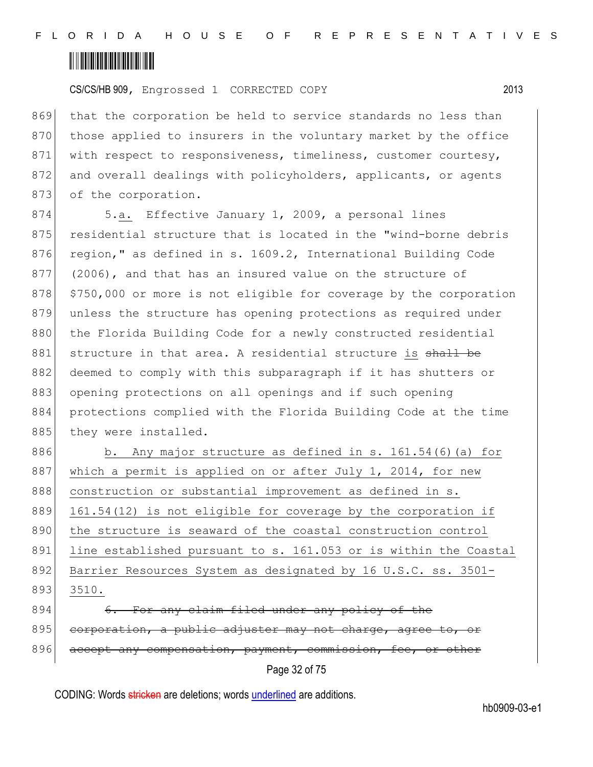CS/CS/HB 909, Engrossed 1 CORRECTED COPY 2013

869 that the corporation be held to service standards no less than 870 those applied to insurers in the voluntary market by the office 871 with respect to responsiveness, timeliness, customer courtesy, 872 and overall dealings with policyholders, applicants, or agents 873 of the corporation.

874 5.a. Effective January 1, 2009, a personal lines 875 residential structure that is located in the "wind-borne debris 876 region," as defined in s. 1609.2, International Building Code 877 (2006), and that has an insured value on the structure of 878 \$750,000 or more is not eligible for coverage by the corporation 879 unless the structure has opening protections as required under 880 the Florida Building Code for a newly constructed residential 881 structure in that area. A residential structure is shall be 882 deemed to comply with this subparagraph if it has shutters or 883 opening protections on all openings and if such opening 884 protections complied with the Florida Building Code at the time 885 they were installed.

886 b. Any major structure as defined in s. 161.54(6) (a) for 887 which a permit is applied on or after July 1, 2014, for new 888 construction or substantial improvement as defined in s. 889 161.54(12) is not eligible for coverage by the corporation if 890 the structure is seaward of the coastal construction control 891 line established pursuant to s. 161.053 or is within the Coastal 892 Barrier Resources System as designated by 16 U.S.C. ss. 3501-893 3510. 894 6. For any claim filed under any policy of the

895 corporation, a public adjuster may not charge, agree to, or 896 accept any compensation, payment, commission, fee, or other

Page 32 of 75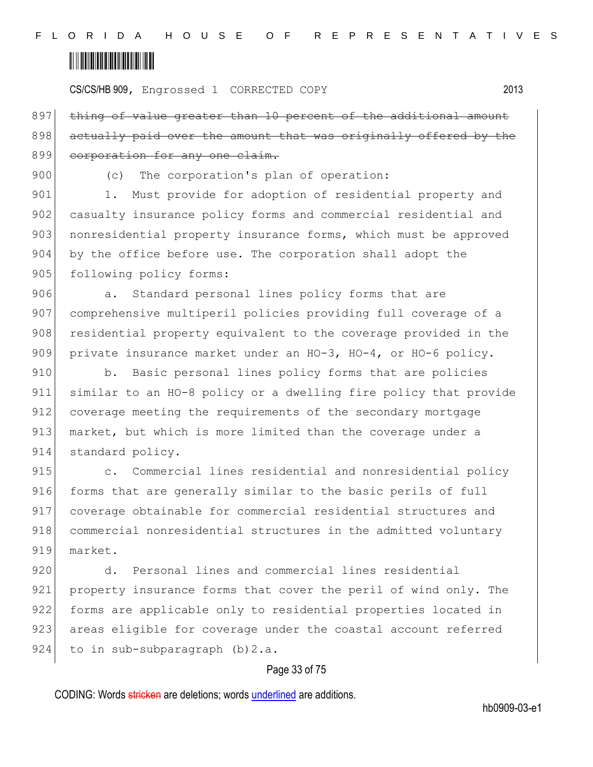CS/CS/HB 909, Engrossed 1 CORRECTED COPY 2013

897 thing of value greater than 10 percent of the additional amount 898 actually paid over the amount that was originally offered by the 899 corporation for any one claim.

900 (c) The corporation's plan of operation:

901 1. Must provide for adoption of residential property and 902 casualty insurance policy forms and commercial residential and 903 nonresidential property insurance forms, which must be approved 904 by the office before use. The corporation shall adopt the 905 following policy forms:

906 a. Standard personal lines policy forms that are 907 comprehensive multiperil policies providing full coverage of a 908 residential property equivalent to the coverage provided in the 909 private insurance market under an HO-3, HO-4, or HO-6 policy.

910 b. Basic personal lines policy forms that are policies 911 similar to an HO-8 policy or a dwelling fire policy that provide 912 coverage meeting the requirements of the secondary mortgage 913 market, but which is more limited than the coverage under a 914 standard policy.

915 **b** c. Commercial lines residential and nonresidential policy 916 forms that are generally similar to the basic perils of full 917 coverage obtainable for commercial residential structures and 918 commercial nonresidential structures in the admitted voluntary 919 market.

920 d. Personal lines and commercial lines residential 921 property insurance forms that cover the peril of wind only. The 922 forms are applicable only to residential properties located in 923 areas eligible for coverage under the coastal account referred 924 to in sub-subparagraph (b) 2.a.

### Page 33 of 75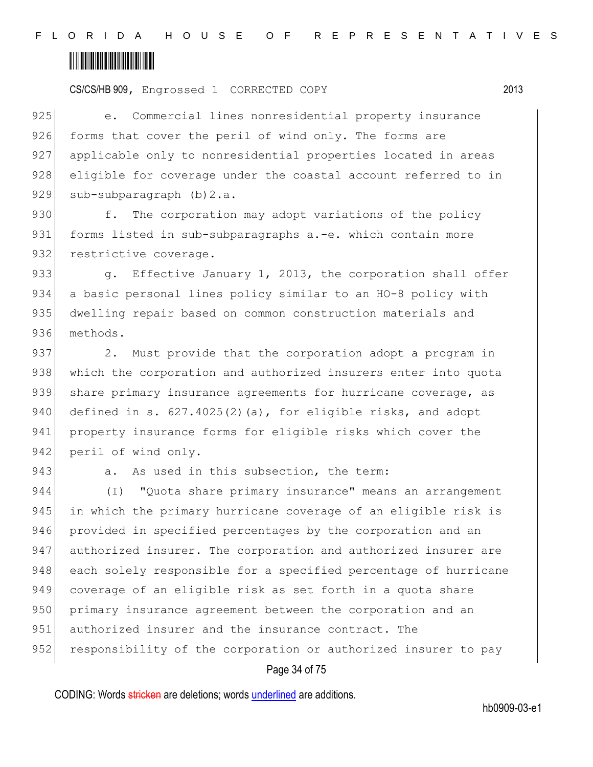CS/CS/HB 909, Engrossed 1 CORRECTED COPY 2013

925 e. Commercial lines nonresidential property insurance 926 forms that cover the peril of wind only. The forms are 927 applicable only to nonresidential properties located in areas 928 eligible for coverage under the coastal account referred to in 929 sub-subparagraph (b) 2.a.

930 f. The corporation may adopt variations of the policy 931 forms listed in sub-subparagraphs a.-e. which contain more 932 restrictive coverage.

933 g. Effective January 1, 2013, the corporation shall offer 934 a basic personal lines policy similar to an HO-8 policy with 935 dwelling repair based on common construction materials and 936 methods.

937 2. Must provide that the corporation adopt a program in 938 which the corporation and authorized insurers enter into quota 939 share primary insurance agreements for hurricane coverage, as 940 defined in s.  $627.4025(2)(a)$ , for eligible risks, and adopt 941 property insurance forms for eligible risks which cover the 942 peril of wind only.

### 943 a. As used in this subsection, the term:

944 (I) "Quota share primary insurance" means an arrangement 945 in which the primary hurricane coverage of an eligible risk is 946 provided in specified percentages by the corporation and an 947 authorized insurer. The corporation and authorized insurer are 948 each solely responsible for a specified percentage of hurricane 949 coverage of an eligible risk as set forth in a quota share 950 primary insurance agreement between the corporation and an 951 authorized insurer and the insurance contract. The 952 responsibility of the corporation or authorized insurer to pay

### Page 34 of 75

CODING: Words stricken are deletions; words underlined are additions.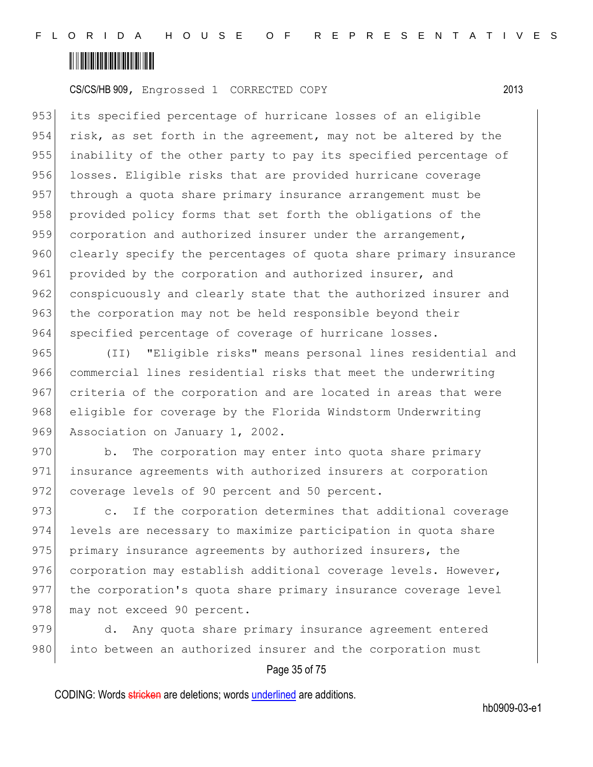

953 its specified percentage of hurricane losses of an eligible 954 risk, as set forth in the agreement, may not be altered by the 955 | inability of the other party to pay its specified percentage of 956 losses. Eligible risks that are provided hurricane coverage 957 through a quota share primary insurance arrangement must be 958 provided policy forms that set forth the obligations of the 959 corporation and authorized insurer under the arrangement, 960 clearly specify the percentages of quota share primary insurance 961 provided by the corporation and authorized insurer, and 962 conspicuously and clearly state that the authorized insurer and 963 the corporation may not be held responsible beyond their 964 specified percentage of coverage of hurricane losses.

965 (II) "Eligible risks" means personal lines residential and 966 commercial lines residential risks that meet the underwriting 967 criteria of the corporation and are located in areas that were 968 eligible for coverage by the Florida Windstorm Underwriting 969 Association on January 1, 2002.

970 b. The corporation may enter into quota share primary 971 insurance agreements with authorized insurers at corporation 972 coverage levels of 90 percent and 50 percent.

973 c. If the corporation determines that additional coverage 974 levels are necessary to maximize participation in quota share 975 primary insurance agreements by authorized insurers, the 976 corporation may establish additional coverage levels. However, 977 the corporation's quota share primary insurance coverage level 978 may not exceed 90 percent.

979 d. Any quota share primary insurance agreement entered 980 into between an authorized insurer and the corporation must

### Page 35 of 75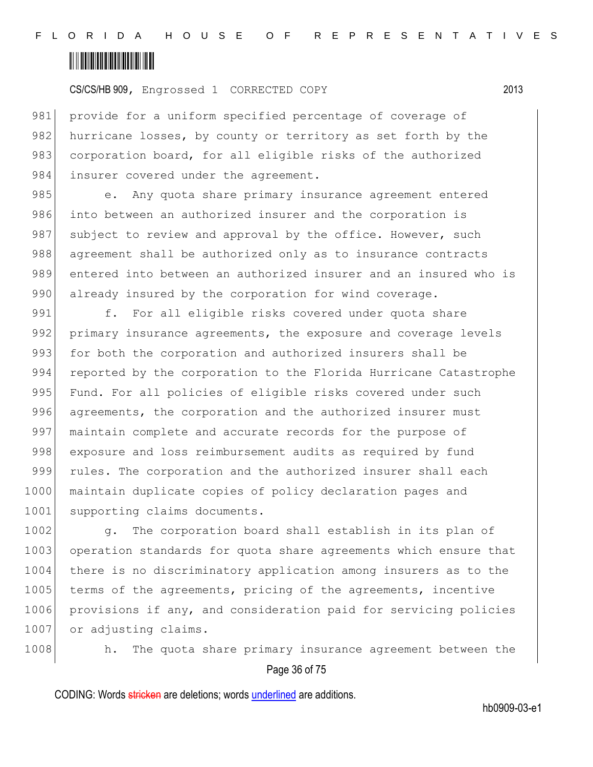

981 provide for a uniform specified percentage of coverage of 982 hurricane losses, by county or territory as set forth by the 983 corporation board, for all eligible risks of the authorized 984 insurer covered under the agreement.

985 e. Any quota share primary insurance agreement entered 986 into between an authorized insurer and the corporation is 987 subject to review and approval by the office. However, such 988 agreement shall be authorized only as to insurance contracts 989 entered into between an authorized insurer and an insured who is 990 already insured by the corporation for wind coverage.

991 f. For all eligible risks covered under quota share 992 primary insurance agreements, the exposure and coverage levels 993 for both the corporation and authorized insurers shall be 994 reported by the corporation to the Florida Hurricane Catastrophe 995 Fund. For all policies of eligible risks covered under such 996 agreements, the corporation and the authorized insurer must 997 maintain complete and accurate records for the purpose of 998 exposure and loss reimbursement audits as required by fund 999 rules. The corporation and the authorized insurer shall each 1000 maintain duplicate copies of policy declaration pages and 1001 supporting claims documents.

1002 g. The corporation board shall establish in its plan of 1003 operation standards for quota share agreements which ensure that 1004 there is no discriminatory application among insurers as to the 1005 terms of the agreements, pricing of the agreements, incentive 1006 provisions if any, and consideration paid for servicing policies 1007 or adjusting claims.



Page 36 of 75 1008 h. The quota share primary insurance agreement between the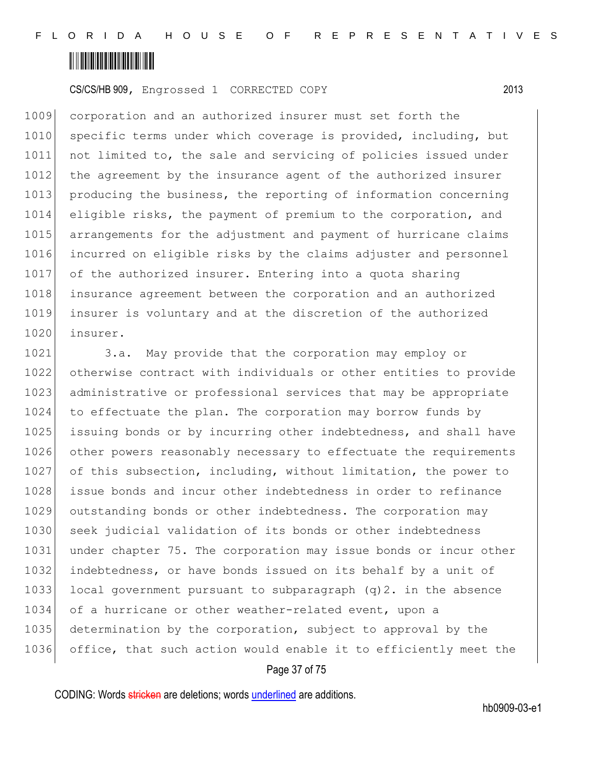

1009 corporation and an authorized insurer must set forth the 1010 specific terms under which coverage is provided, including, but 1011 not limited to, the sale and servicing of policies issued under 1012 the agreement by the insurance agent of the authorized insurer 1013 producing the business, the reporting of information concerning 1014 eligible risks, the payment of premium to the corporation, and 1015 arrangements for the adjustment and payment of hurricane claims 1016 incurred on eligible risks by the claims adjuster and personnel 1017 of the authorized insurer. Entering into a quota sharing 1018 insurance agreement between the corporation and an authorized 1019 insurer is voluntary and at the discretion of the authorized 1020 insurer.

1021 3.a. May provide that the corporation may employ or 1022 otherwise contract with individuals or other entities to provide 1023 administrative or professional services that may be appropriate 1024 to effectuate the plan. The corporation may borrow funds by 1025 issuing bonds or by incurring other indebtedness, and shall have 1026 other powers reasonably necessary to effectuate the requirements 1027 of this subsection, including, without limitation, the power to 1028 issue bonds and incur other indebtedness in order to refinance 1029 outstanding bonds or other indebtedness. The corporation may 1030 seek judicial validation of its bonds or other indebtedness 1031 under chapter 75. The corporation may issue bonds or incur other 1032 indebtedness, or have bonds issued on its behalf by a unit of 1033 local government pursuant to subparagraph  $(q)$ 2. in the absence 1034 of a hurricane or other weather-related event, upon a 1035 determination by the corporation, subject to approval by the 1036 office, that such action would enable it to efficiently meet the

#### Page 37 of 75

CODING: Words stricken are deletions; words underlined are additions.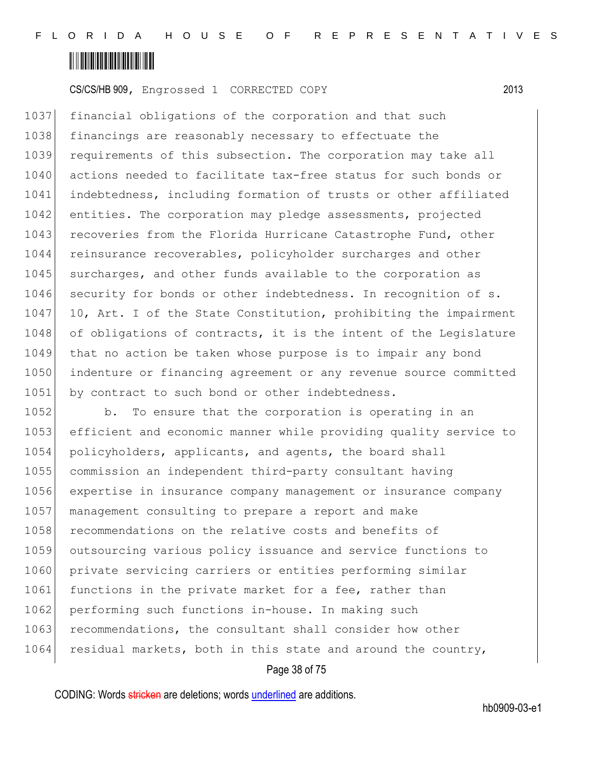

1037 financial obligations of the corporation and that such 1038 financings are reasonably necessary to effectuate the 1039 requirements of this subsection. The corporation may take all 1040 actions needed to facilitate tax-free status for such bonds or 1041 indebtedness, including formation of trusts or other affiliated 1042 entities. The corporation may pledge assessments, projected 1043 recoveries from the Florida Hurricane Catastrophe Fund, other 1044 reinsurance recoverables, policyholder surcharges and other 1045 surcharges, and other funds available to the corporation as 1046 security for bonds or other indebtedness. In recognition of s. 1047 10, Art. I of the State Constitution, prohibiting the impairment 1048 of obligations of contracts, it is the intent of the Legislature 1049 that no action be taken whose purpose is to impair any bond 1050 indenture or financing agreement or any revenue source committed 1051 by contract to such bond or other indebtedness.

1052 b. To ensure that the corporation is operating in an 1053 efficient and economic manner while providing quality service to 1054 policyholders, applicants, and agents, the board shall 1055 commission an independent third-party consultant having 1056 expertise in insurance company management or insurance company 1057 management consulting to prepare a report and make 1058 recommendations on the relative costs and benefits of 1059 outsourcing various policy issuance and service functions to 1060 private servicing carriers or entities performing similar 1061 functions in the private market for a fee, rather than 1062 performing such functions in-house. In making such 1063 recommendations, the consultant shall consider how other 1064 residual markets, both in this state and around the country,

#### Page 38 of 75

CODING: Words stricken are deletions; words underlined are additions.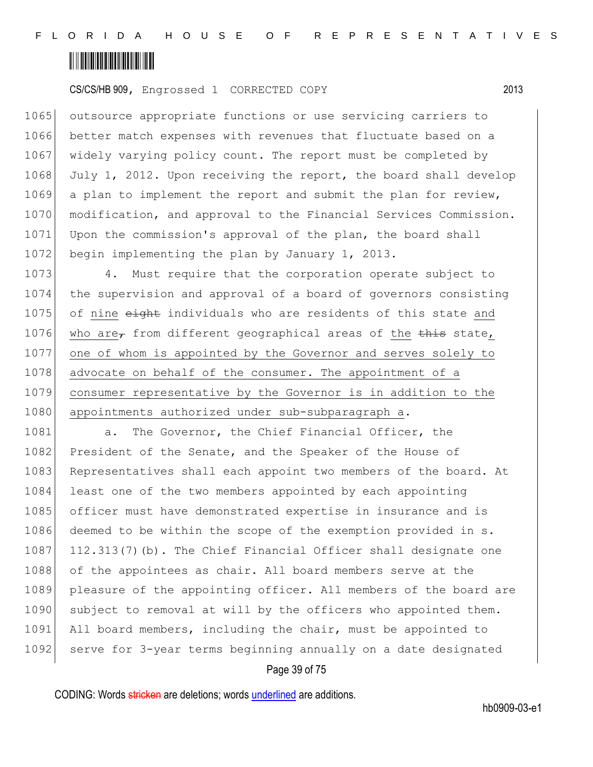

1065 outsource appropriate functions or use servicing carriers to 1066 better match expenses with revenues that fluctuate based on a 1067 widely varying policy count. The report must be completed by 1068 July 1, 2012. Upon receiving the report, the board shall develop 1069 a plan to implement the report and submit the plan for review, 1070 modification, and approval to the Financial Services Commission. 1071 Upon the commission's approval of the plan, the board shall 1072 begin implementing the plan by January 1, 2013.

1073 4. Must require that the corporation operate subject to 1074 the supervision and approval of a board of governors consisting 1075 of nine eight individuals who are residents of this state and 1076 who are, from different geographical areas of the  $\frac{1}{2}$  state, 1077 one of whom is appointed by the Governor and serves solely to 1078 advocate on behalf of the consumer. The appointment of a 1079 consumer representative by the Governor is in addition to the 1080 appointments authorized under sub-subparagraph a.

1081 a. The Governor, the Chief Financial Officer, the 1082 President of the Senate, and the Speaker of the House of 1083 Representatives shall each appoint two members of the board. At 1084 least one of the two members appointed by each appointing 1085 officer must have demonstrated expertise in insurance and is 1086 deemed to be within the scope of the exemption provided in s. 1087 112.313(7)(b). The Chief Financial Officer shall designate one 1088 of the appointees as chair. All board members serve at the 1089 pleasure of the appointing officer. All members of the board are 1090 subject to removal at will by the officers who appointed them. 1091 All board members, including the chair, must be appointed to 1092 serve for 3-year terms beginning annually on a date designated

#### Page 39 of 75

CODING: Words stricken are deletions; words underlined are additions.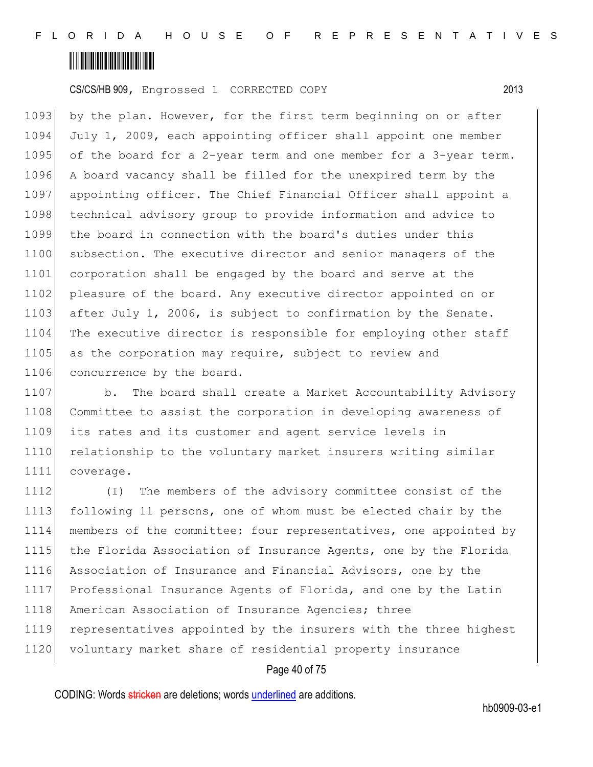

1093 by the plan. However, for the first term beginning on or after 1094 July 1, 2009, each appointing officer shall appoint one member 1095 of the board for a 2-year term and one member for a 3-year term. 1096 A board vacancy shall be filled for the unexpired term by the 1097 appointing officer. The Chief Financial Officer shall appoint a 1098 technical advisory group to provide information and advice to 1099 the board in connection with the board's duties under this 1100 subsection. The executive director and senior managers of the 1101 corporation shall be engaged by the board and serve at the 1102 pleasure of the board. Any executive director appointed on or 1103 after July 1, 2006, is subject to confirmation by the Senate. 1104 The executive director is responsible for employing other staff 1105 as the corporation may require, subject to review and 1106 concurrence by the board.

1107 b. The board shall create a Market Accountability Advisory 1108 Committee to assist the corporation in developing awareness of 1109 its rates and its customer and agent service levels in 1110 relationship to the voluntary market insurers writing similar 1111 coverage.

 (I) The members of the advisory committee consist of the following 11 persons, one of whom must be elected chair by the members of the committee: four representatives, one appointed by 1115 the Florida Association of Insurance Agents, one by the Florida Association of Insurance and Financial Advisors, one by the Professional Insurance Agents of Florida, and one by the Latin 1118 American Association of Insurance Agencies; three representatives appointed by the insurers with the three highest 1120 voluntary market share of residential property insurance

#### Page 40 of 75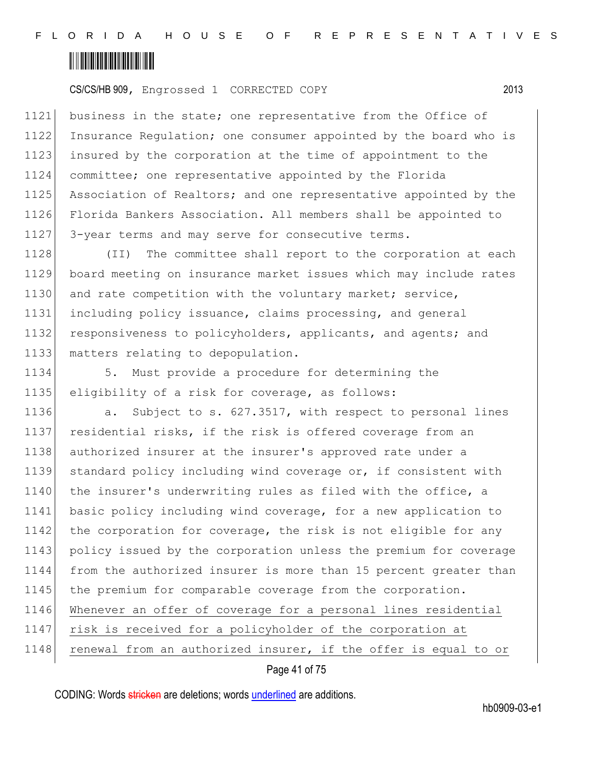

1121 business in the state; one representative from the Office of 1122 Insurance Regulation; one consumer appointed by the board who is 1123 insured by the corporation at the time of appointment to the 1124 committee; one representative appointed by the Florida 1125 Association of Realtors; and one representative appointed by the 1126 Florida Bankers Association. All members shall be appointed to 1127 3-year terms and may serve for consecutive terms.

 (II) The committee shall report to the corporation at each board meeting on insurance market issues which may include rates 1130 and rate competition with the voluntary market; service, including policy issuance, claims processing, and general 1132 responsiveness to policyholders, applicants, and agents; and matters relating to depopulation.

1134 5. Must provide a procedure for determining the 1135 eligibility of a risk for coverage, as follows:

1136 **a.** Subject to s. 627.3517, with respect to personal lines 1137 residential risks, if the risk is offered coverage from an 1138 authorized insurer at the insurer's approved rate under a 1139 standard policy including wind coverage or, if consistent with 1140 the insurer's underwriting rules as filed with the office, a 1141 basic policy including wind coverage, for a new application to 1142 the corporation for coverage, the risk is not eligible for any 1143 policy issued by the corporation unless the premium for coverage 1144 from the authorized insurer is more than 15 percent greater than 1145 the premium for comparable coverage from the corporation. 1146 Whenever an offer of coverage for a personal lines residential 1147 risk is received for a policyholder of the corporation at 1148 renewal from an authorized insurer, if the offer is equal to or

Page 41 of 75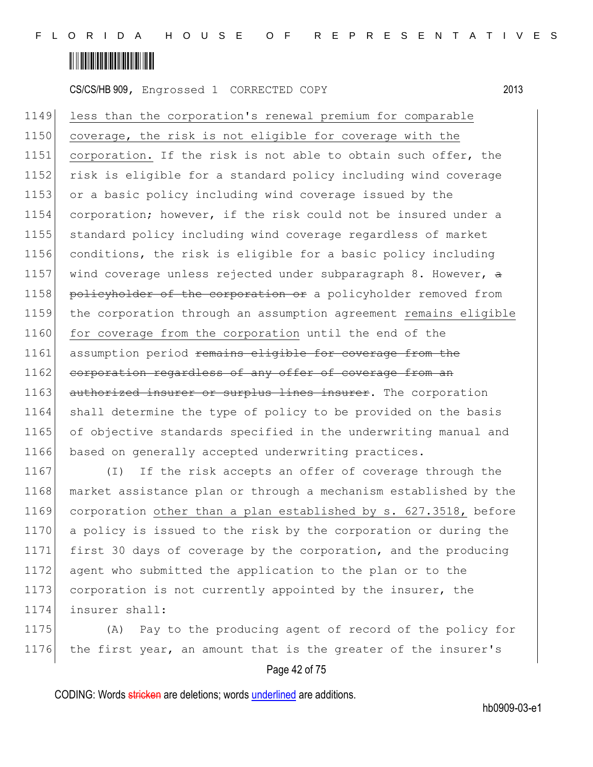

1149 less than the corporation's renewal premium for comparable 1150 coverage, the risk is not eligible for coverage with the 1151 corporation. If the risk is not able to obtain such offer, the 1152 risk is eligible for a standard policy including wind coverage 1153 or a basic policy including wind coverage issued by the 1154 corporation; however, if the risk could not be insured under a 1155 standard policy including wind coverage regardless of market 1156 conditions, the risk is eligible for a basic policy including 1157 wind coverage unless rejected under subparagraph 8. However,  $\theta$ 1158 policyholder of the corporation or a policyholder removed from 1159 the corporation through an assumption agreement remains eligible 1160 for coverage from the corporation until the end of the 1161 assumption period remains eligible for coverage from the 1162 corporation regardless of any offer of coverage from an 1163 authorized insurer or surplus lines insurer. The corporation 1164 shall determine the type of policy to be provided on the basis 1165 of objective standards specified in the underwriting manual and 1166 based on generally accepted underwriting practices.

1167 (I) If the risk accepts an offer of coverage through the market assistance plan or through a mechanism established by the corporation other than a plan established by s. 627.3518, before a policy is issued to the risk by the corporation or during the first 30 days of coverage by the corporation, and the producing agent who submitted the application to the plan or to the 1173 corporation is not currently appointed by the insurer, the insurer shall:

1175 (A) Pay to the producing agent of record of the policy for 1176 the first year, an amount that is the greater of the insurer's

#### Page 42 of 75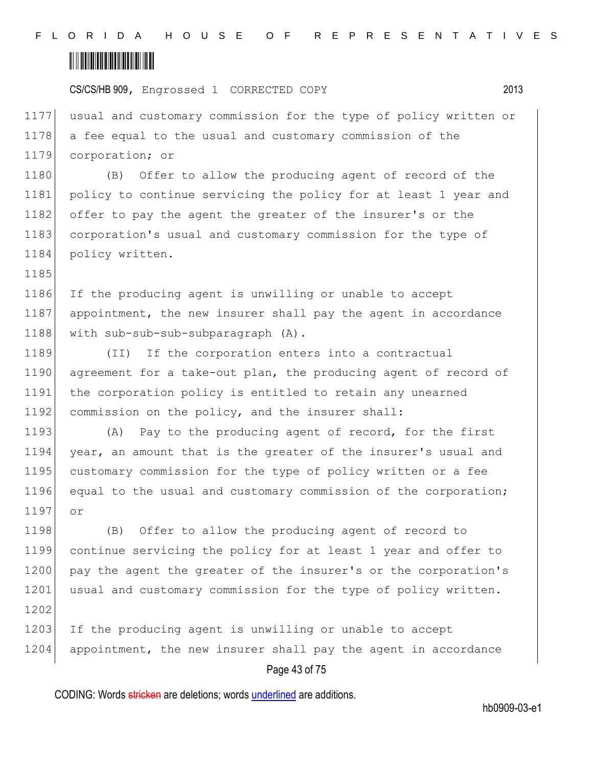# <u> III III III III III III III III II</u>

1185

CS/CS/HB 909, Engrossed 1 CORRECTED COPY 2013

1177 usual and customary commission for the type of policy written or 1178 a fee equal to the usual and customary commission of the 1179 corporation; or

1180 (B) Offer to allow the producing agent of record of the 1181 policy to continue servicing the policy for at least 1 year and 1182 offer to pay the agent the greater of the insurer's or the 1183 corporation's usual and customary commission for the type of 1184 policy written.

1186 If the producing agent is unwilling or unable to accept 1187 appointment, the new insurer shall pay the agent in accordance 1188 with sub-sub-sub-subparagraph (A).

1189 (II) If the corporation enters into a contractual 1190 agreement for a take-out plan, the producing agent of record of 1191 the corporation policy is entitled to retain any unearned 1192 commission on the policy, and the insurer shall:

1193 (A) Pay to the producing agent of record, for the first 1194 year, an amount that is the greater of the insurer's usual and 1195 customary commission for the type of policy written or a fee 1196 equal to the usual and customary commission of the corporation; 1197 or

1198 (B) Offer to allow the producing agent of record to 1199 continue servicing the policy for at least 1 year and offer to 1200 pay the agent the greater of the insurer's or the corporation's 1201 usual and customary commission for the type of policy written. 1202

1203 If the producing agent is unwilling or unable to accept 1204 appointment, the new insurer shall pay the agent in accordance

#### Page 43 of 75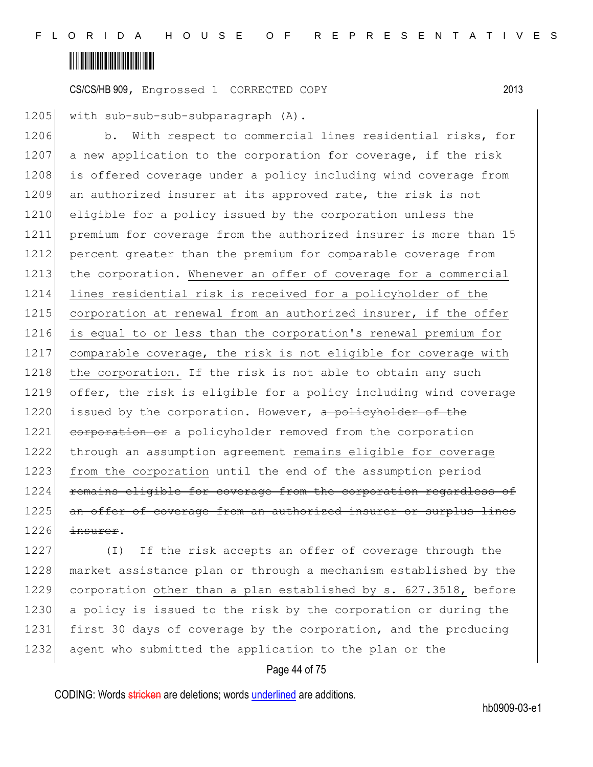

1205 with sub-sub-sub-subparagraph (A).

1206 b. With respect to commercial lines residential risks, for 1207 a new application to the corporation for coverage, if the risk 1208 is offered coverage under a policy including wind coverage from 1209 an authorized insurer at its approved rate, the risk is not 1210 eligible for a policy issued by the corporation unless the 1211 premium for coverage from the authorized insurer is more than 15 1212 percent greater than the premium for comparable coverage from 1213 the corporation. Whenever an offer of coverage for a commercial 1214 lines residential risk is received for a policyholder of the 1215 corporation at renewal from an authorized insurer, if the offer 1216 is equal to or less than the corporation's renewal premium for 1217 comparable coverage, the risk is not eligible for coverage with 1218 the corporation. If the risk is not able to obtain any such 1219 offer, the risk is eligible for a policy including wind coverage 1220 issued by the corporation. However, a policyholder of the 1221 corporation or a policyholder removed from the corporation 1222 through an assumption agreement remains eligible for coverage 1223 from the corporation until the end of the assumption period 1224 remains eligible for coverage from the corporation regardless of 1225 an offer of coverage from an authorized insurer or surplus lines  $1226$  insurer.

1227 (I) If the risk accepts an offer of coverage through the 1228 market assistance plan or through a mechanism established by the 1229 corporation other than a plan established by s. 627.3518, before 1230 a policy is issued to the risk by the corporation or during the 1231 first 30 days of coverage by the corporation, and the producing 1232 agent who submitted the application to the plan or the

#### Page 44 of 75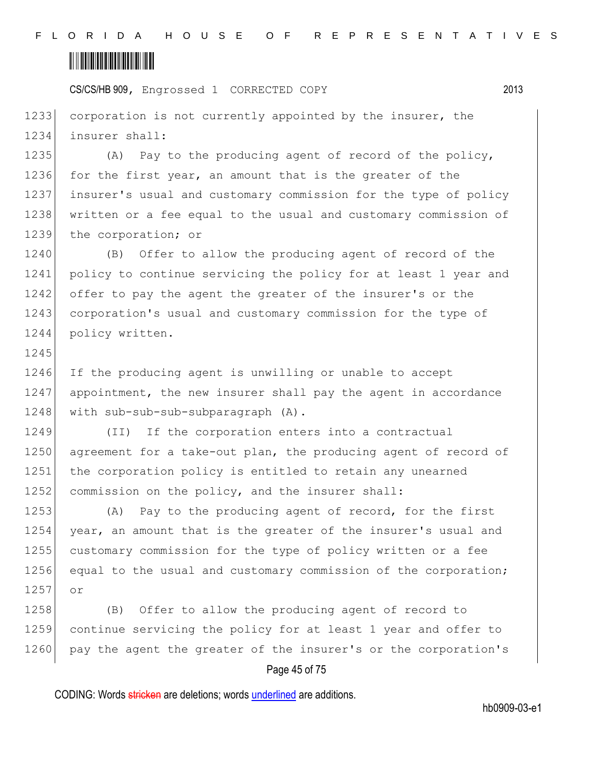# <u> III III III III III III III III II</u>

1245

CS/CS/HB 909, Engrossed 1 CORRECTED COPY 2013

1233 corporation is not currently appointed by the insurer, the 1234 insurer shall:

1235 (A) Pay to the producing agent of record of the policy, 1236 for the first year, an amount that is the greater of the 1237 insurer's usual and customary commission for the type of policy 1238 written or a fee equal to the usual and customary commission of 1239 the corporation; or

1240 (B) Offer to allow the producing agent of record of the 1241 policy to continue servicing the policy for at least 1 year and 1242 offer to pay the agent the greater of the insurer's or the 1243 corporation's usual and customary commission for the type of 1244 policy written.

1246 If the producing agent is unwilling or unable to accept 1247 appointment, the new insurer shall pay the agent in accordance 1248 with sub-sub-sub-subparagraph (A).

1249 (II) If the corporation enters into a contractual 1250 agreement for a take-out plan, the producing agent of record of 1251 the corporation policy is entitled to retain any unearned 1252 commission on the policy, and the insurer shall:

1253 (A) Pay to the producing agent of record, for the first 1254 year, an amount that is the greater of the insurer's usual and 1255 customary commission for the type of policy written or a fee 1256 equal to the usual and customary commission of the corporation; 1257 or

1258 (B) Offer to allow the producing agent of record to 1259 continue servicing the policy for at least 1 year and offer to 1260 pay the agent the greater of the insurer's or the corporation's

#### Page 45 of 75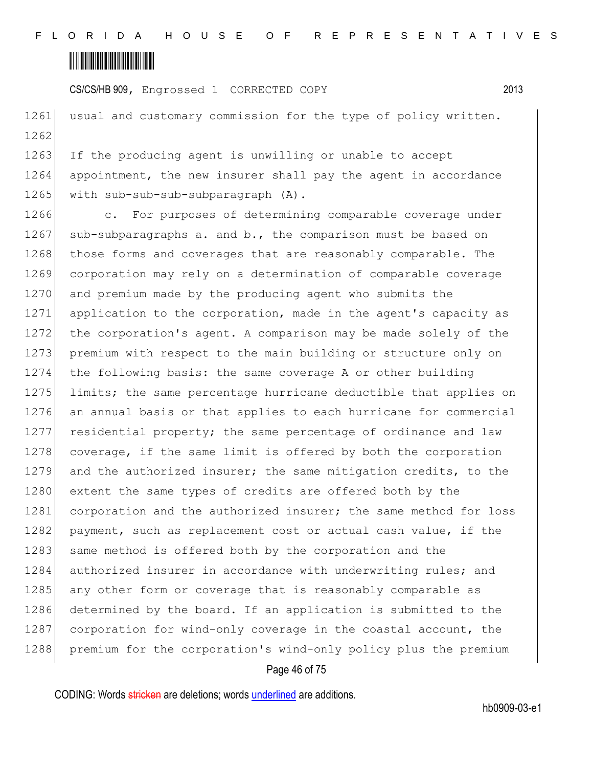

1261 usual and customary commission for the type of policy written. 1262

1263 If the producing agent is unwilling or unable to accept 1264 appointment, the new insurer shall pay the agent in accordance 1265 | with sub-sub-sub-subparagraph (A).

1266 c. For purposes of determining comparable coverage under 1267 sub-subparagraphs a. and b., the comparison must be based on 1268 those forms and coverages that are reasonably comparable. The 1269 corporation may rely on a determination of comparable coverage 1270 and premium made by the producing agent who submits the 1271 application to the corporation, made in the agent's capacity as 1272 the corporation's agent. A comparison may be made solely of the 1273 premium with respect to the main building or structure only on 1274 the following basis: the same coverage A or other building 1275 limits; the same percentage hurricane deductible that applies on 1276 an annual basis or that applies to each hurricane for commercial 1277 residential property; the same percentage of ordinance and law 1278 coverage, if the same limit is offered by both the corporation 1279 and the authorized insurer; the same mitigation credits, to the 1280 extent the same types of credits are offered both by the 1281 corporation and the authorized insurer; the same method for loss 1282 payment, such as replacement cost or actual cash value, if the 1283 same method is offered both by the corporation and the 1284 authorized insurer in accordance with underwriting rules; and 1285 any other form or coverage that is reasonably comparable as 1286 determined by the board. If an application is submitted to the 1287 corporation for wind-only coverage in the coastal account, the 1288 premium for the corporation's wind-only policy plus the premium

#### Page 46 of 75

CODING: Words stricken are deletions; words underlined are additions.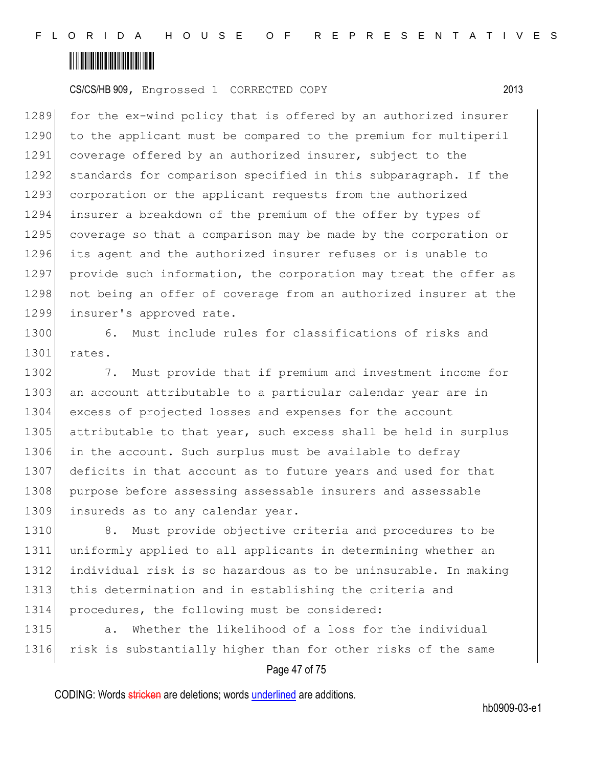

1289 for the ex-wind policy that is offered by an authorized insurer 1290 to the applicant must be compared to the premium for multiperil 1291 coverage offered by an authorized insurer, subject to the 1292 standards for comparison specified in this subparagraph. If the 1293 corporation or the applicant requests from the authorized 1294 insurer a breakdown of the premium of the offer by types of 1295 coverage so that a comparison may be made by the corporation or 1296 its agent and the authorized insurer refuses or is unable to 1297 provide such information, the corporation may treat the offer as 1298 not being an offer of coverage from an authorized insurer at the 1299 insurer's approved rate.

1300 6. Must include rules for classifications of risks and 1301 rates.

1302 7. Must provide that if premium and investment income for 1303 an account attributable to a particular calendar year are in 1304 excess of projected losses and expenses for the account 1305 attributable to that year, such excess shall be held in surplus 1306 in the account. Such surplus must be available to defray 1307 deficits in that account as to future years and used for that 1308 purpose before assessing assessable insurers and assessable 1309 insureds as to any calendar year.

1310 8. Must provide objective criteria and procedures to be uniformly applied to all applicants in determining whether an individual risk is so hazardous as to be uninsurable. In making this determination and in establishing the criteria and procedures, the following must be considered:

1315 a. Whether the likelihood of a loss for the individual 1316 risk is substantially higher than for other risks of the same

#### Page 47 of 75

CODING: Words stricken are deletions; words underlined are additions.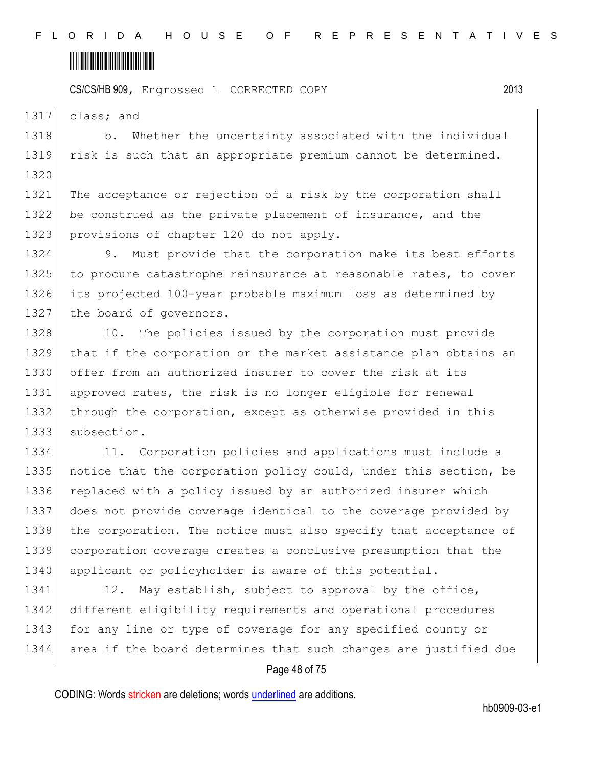

1317 class; and

1318 b. Whether the uncertainty associated with the individual 1319 risk is such that an appropriate premium cannot be determined. 1320

1321 The acceptance or rejection of a risk by the corporation shall 1322 be construed as the private placement of insurance, and the 1323 provisions of chapter 120 do not apply.

1324 9. Must provide that the corporation make its best efforts 1325 to procure catastrophe reinsurance at reasonable rates, to cover 1326 its projected 100-year probable maximum loss as determined by 1327 the board of governors.

1328 10. The policies issued by the corporation must provide 1329 that if the corporation or the market assistance plan obtains an 1330 offer from an authorized insurer to cover the risk at its 1331 approved rates, the risk is no longer eligible for renewal 1332 through the corporation, except as otherwise provided in this 1333 subsection.

1334 11. Corporation policies and applications must include a 1335 notice that the corporation policy could, under this section, be 1336 replaced with a policy issued by an authorized insurer which 1337 does not provide coverage identical to the coverage provided by 1338 the corporation. The notice must also specify that acceptance of 1339 corporation coverage creates a conclusive presumption that the 1340 applicant or policyholder is aware of this potential.

1341 12. May establish, subject to approval by the office, 1342 different eligibility requirements and operational procedures 1343 for any line or type of coverage for any specified county or 1344 area if the board determines that such changes are justified due

#### Page 48 of 75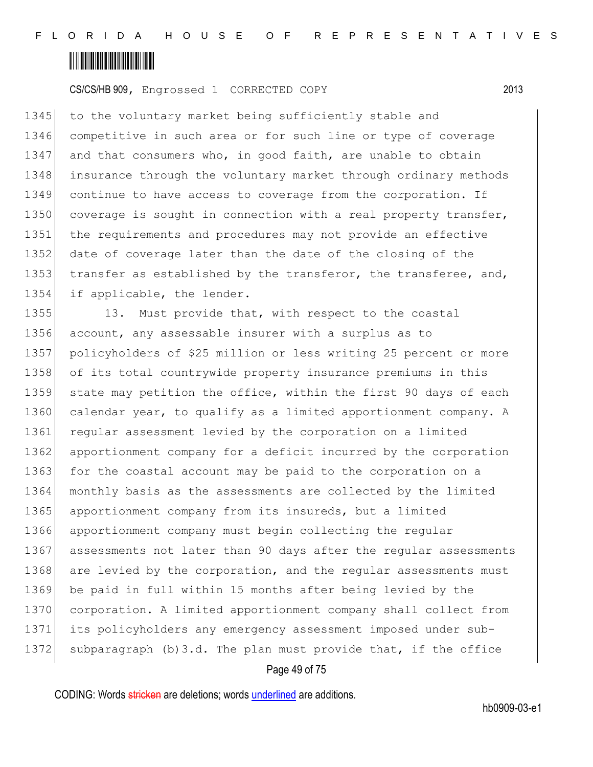

1345 to the voluntary market being sufficiently stable and 1346 competitive in such area or for such line or type of coverage 1347 and that consumers who, in good faith, are unable to obtain 1348 insurance through the voluntary market through ordinary methods 1349 continue to have access to coverage from the corporation. If 1350 coverage is sought in connection with a real property transfer, 1351 the requirements and procedures may not provide an effective 1352 date of coverage later than the date of the closing of the 1353 transfer as established by the transferor, the transferee, and, 1354 if applicable, the lender.

1355 13. Must provide that, with respect to the coastal 1356 account, any assessable insurer with a surplus as to 1357 policyholders of \$25 million or less writing 25 percent or more 1358 of its total countrywide property insurance premiums in this 1359 state may petition the office, within the first 90 days of each 1360 calendar year, to qualify as a limited apportionment company. A 1361 reqular assessment levied by the corporation on a limited 1362 apportionment company for a deficit incurred by the corporation 1363 for the coastal account may be paid to the corporation on a 1364 monthly basis as the assessments are collected by the limited 1365 apportionment company from its insureds, but a limited 1366 apportionment company must begin collecting the regular 1367 assessments not later than 90 days after the regular assessments 1368 are levied by the corporation, and the regular assessments must 1369 be paid in full within 15 months after being levied by the 1370 corporation. A limited apportionment company shall collect from 1371 its policyholders any emergency assessment imposed under sub-1372 subparagraph (b) 3.d. The plan must provide that, if the office

#### Page 49 of 75

CODING: Words stricken are deletions; words underlined are additions.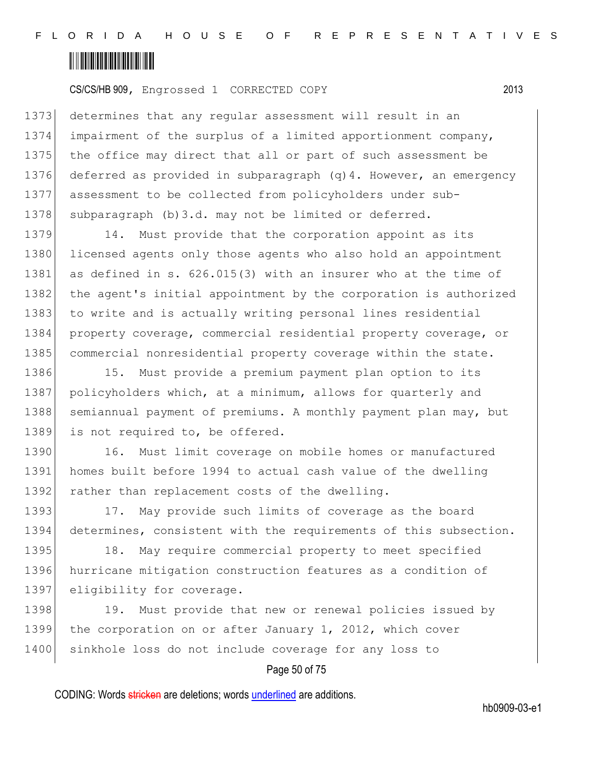

 determines that any regular assessment will result in an impairment of the surplus of a limited apportionment company, 1375 the office may direct that all or part of such assessment be deferred as provided in subparagraph (q)4. However, an emergency assessment to be collected from policyholders under sub-1378 subparagraph (b)3.d. may not be limited or deferred.

1379 14. Must provide that the corporation appoint as its 1380 licensed agents only those agents who also hold an appointment 1381 as defined in s. 626.015(3) with an insurer who at the time of 1382 the agent's initial appointment by the corporation is authorized 1383 to write and is actually writing personal lines residential 1384 property coverage, commercial residential property coverage, or 1385 commercial nonresidential property coverage within the state.

1386 15. Must provide a premium payment plan option to its 1387 policyholders which, at a minimum, allows for quarterly and 1388 semiannual payment of premiums. A monthly payment plan may, but 1389 is not required to, be offered.

1390 16. Must limit coverage on mobile homes or manufactured 1391 homes built before 1994 to actual cash value of the dwelling 1392 rather than replacement costs of the dwelling.

1393 17. May provide such limits of coverage as the board 1394 determines, consistent with the requirements of this subsection.

1395 18. May require commercial property to meet specified 1396 hurricane mitigation construction features as a condition of 1397 eligibility for coverage.

1398 19. Must provide that new or renewal policies issued by 1399 the corporation on or after January 1, 2012, which cover 1400 sinkhole loss do not include coverage for any loss to

#### Page 50 of 75

CODING: Words stricken are deletions; words underlined are additions.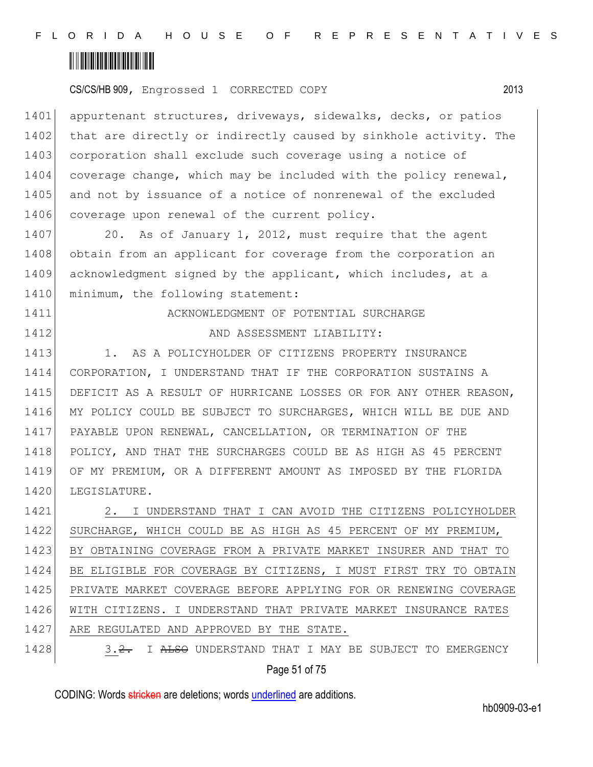

1401 appurtenant structures, driveways, sidewalks, decks, or patios 1402 that are directly or indirectly caused by sinkhole activity. The 1403 corporation shall exclude such coverage using a notice of 1404 coverage change, which may be included with the policy renewal, 1405 and not by issuance of a notice of nonrenewal of the excluded 1406 coverage upon renewal of the current policy.

1407 20. As of January 1, 2012, must require that the agent 1408 obtain from an applicant for coverage from the corporation an 1409 acknowledgment signed by the applicant, which includes, at a 1410 minimum, the following statement:

1411 **ACKNOWLEDGMENT OF POTENTIAL SURCHARGE** 

1412 **AND ASSESSMENT LIABILITY:** 

1413 1. AS A POLICYHOLDER OF CITIZENS PROPERTY INSURANCE 1414 CORPORATION, I UNDERSTAND THAT IF THE CORPORATION SUSTAINS A 1415 DEFICIT AS A RESULT OF HURRICANE LOSSES OR FOR ANY OTHER REASON, 1416 MY POLICY COULD BE SUBJECT TO SURCHARGES, WHICH WILL BE DUE AND 1417 PAYABLE UPON RENEWAL, CANCELLATION, OR TERMINATION OF THE 1418 POLICY, AND THAT THE SURCHARGES COULD BE AS HIGH AS 45 PERCENT 1419 OF MY PREMIUM, OR A DIFFERENT AMOUNT AS IMPOSED BY THE FLORIDA 1420 LEGISLATURE.

1421 2. I UNDERSTAND THAT I CAN AVOID THE CITIZENS POLICYHOLDER 1422 SURCHARGE, WHICH COULD BE AS HIGH AS 45 PERCENT OF MY PREMIUM, 1423 BY OBTAINING COVERAGE FROM A PRIVATE MARKET INSURER AND THAT TO 1424 BE ELIGIBLE FOR COVERAGE BY CITIZENS, I MUST FIRST TRY TO OBTAIN 1425 PRIVATE MARKET COVERAGE BEFORE APPLYING FOR OR RENEWING COVERAGE 1426 WITH CITIZENS. I UNDERSTAND THAT PRIVATE MARKET INSURANCE RATES 1427 ARE REGULATED AND APPROVED BY THE STATE.

Page 51 of 75 1428 3.2. I ALSO UNDERSTAND THAT I MAY BE SUBJECT TO EMERGENCY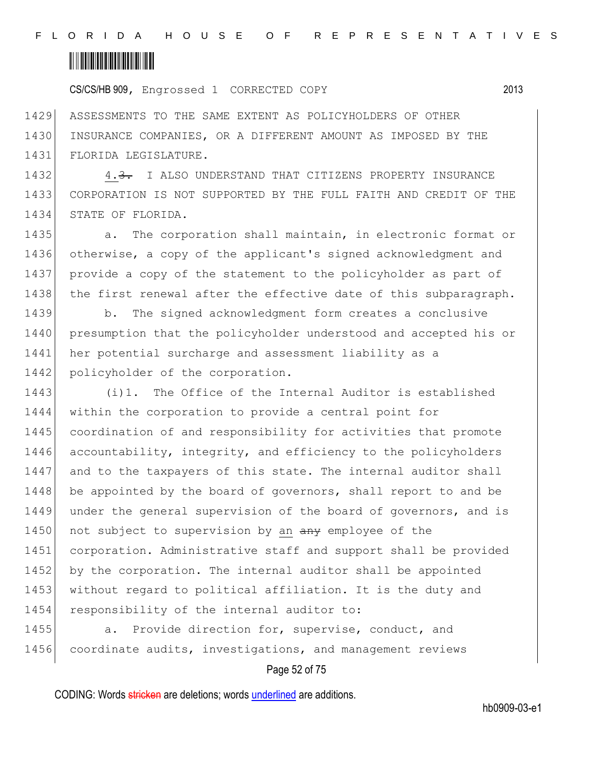### <u> III III III III III III III III II</u>

CS/CS/HB 909, Engrossed 1 CORRECTED COPY 2013

1429 ASSESSMENTS TO THE SAME EXTENT AS POLICYHOLDERS OF OTHER 1430 INSURANCE COMPANIES, OR A DIFFERENT AMOUNT AS IMPOSED BY THE 1431 FLORIDA LEGISLATURE.

1432 4.3. I ALSO UNDERSTAND THAT CITIZENS PROPERTY INSURANCE 1433 CORPORATION IS NOT SUPPORTED BY THE FULL FAITH AND CREDIT OF THE 1434 STATE OF FLORIDA.

1435 a. The corporation shall maintain, in electronic format or 1436 otherwise, a copy of the applicant's signed acknowledgment and 1437 provide a copy of the statement to the policyholder as part of 1438 the first renewal after the effective date of this subparagraph.

1439 b. The signed acknowledgment form creates a conclusive 1440 presumption that the policyholder understood and accepted his or 1441 her potential surcharge and assessment liability as a 1442 policyholder of the corporation.

1443 (i)1. The Office of the Internal Auditor is established 1444 within the corporation to provide a central point for 1445 coordination of and responsibility for activities that promote 1446 accountability, integrity, and efficiency to the policyholders 1447 and to the taxpayers of this state. The internal auditor shall 1448 be appointed by the board of governors, shall report to and be 1449 under the general supervision of the board of governors, and is 1450 not subject to supervision by an any employee of the 1451 corporation. Administrative staff and support shall be provided 1452 by the corporation. The internal auditor shall be appointed 1453 without regard to political affiliation. It is the duty and 1454 responsibility of the internal auditor to:

1455 a. Provide direction for, supervise, conduct, and 1456 coordinate audits, investigations, and management reviews

#### Page 52 of 75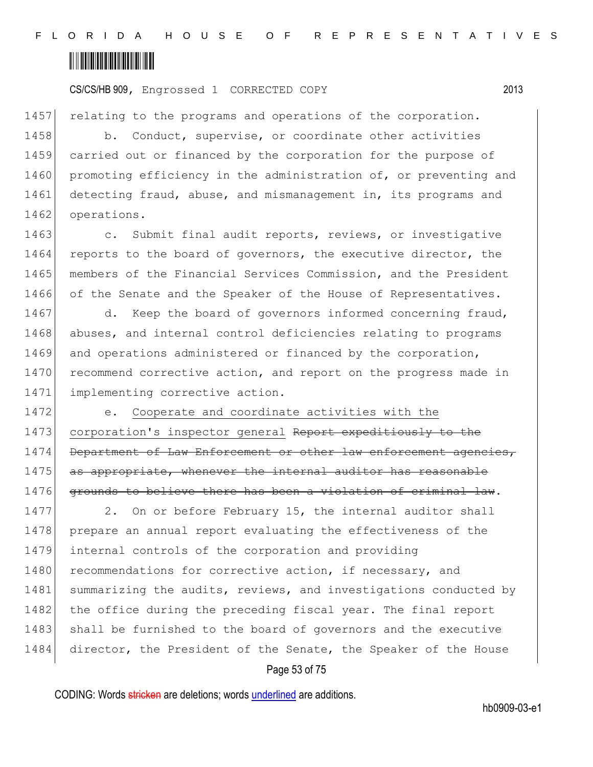

1457 relating to the programs and operations of the corporation.

1458 b. Conduct, supervise, or coordinate other activities 1459 carried out or financed by the corporation for the purpose of 1460 promoting efficiency in the administration of, or preventing and 1461 detecting fraud, abuse, and mismanagement in, its programs and 1462 operations.

1463 c. Submit final audit reports, reviews, or investigative 1464 reports to the board of governors, the executive director, the 1465 members of the Financial Services Commission, and the President 1466 of the Senate and the Speaker of the House of Representatives.

1467 d. Keep the board of governors informed concerning fraud, 1468 abuses, and internal control deficiencies relating to programs 1469 and operations administered or financed by the corporation, 1470 recommend corrective action, and report on the progress made in 1471 implementing corrective action.

1472 e. Cooperate and coordinate activities with the 1473 corporation's inspector general Report expeditiously to the 1474 Department of Law Enforcement or other law enforcement agencies, 1475 as appropriate, whenever the internal auditor has reasonable 1476 grounds to believe there has been a violation of criminal law.

1477 2. On or before February 15, the internal auditor shall 1478 prepare an annual report evaluating the effectiveness of the 1479 internal controls of the corporation and providing 1480 recommendations for corrective action, if necessary, and 1481 summarizing the audits, reviews, and investigations conducted by 1482 the office during the preceding fiscal year. The final report 1483 shall be furnished to the board of governors and the executive 1484 director, the President of the Senate, the Speaker of the House

#### Page 53 of 75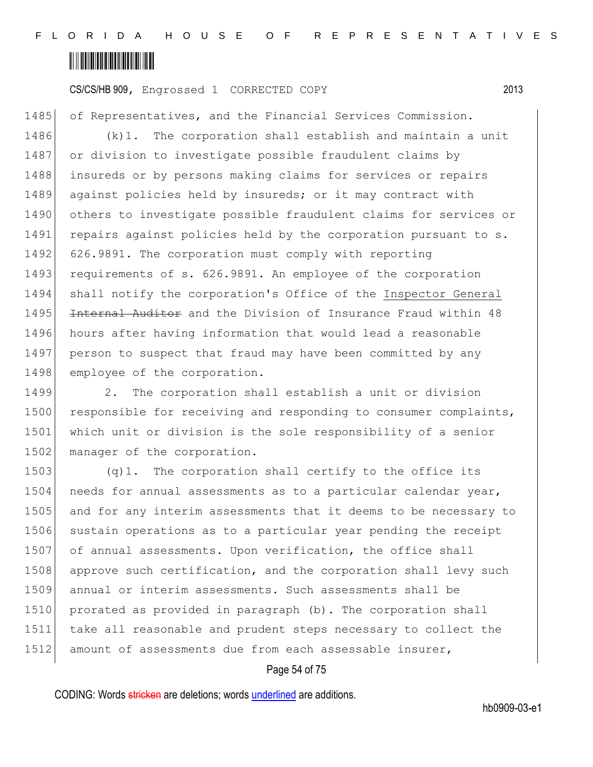

1485 of Representatives, and the Financial Services Commission.

1486 (k)1. The corporation shall establish and maintain a unit 1487 or division to investigate possible fraudulent claims by 1488 insureds or by persons making claims for services or repairs 1489 against policies held by insureds; or it may contract with 1490 others to investigate possible fraudulent claims for services or 1491 repairs against policies held by the corporation pursuant to s. 1492 626.9891. The corporation must comply with reporting 1493 requirements of s. 626.9891. An employee of the corporation 1494 shall notify the corporation's Office of the Inspector General 1495 Internal Auditor and the Division of Insurance Fraud within 48 1496 hours after having information that would lead a reasonable 1497 person to suspect that fraud may have been committed by any 1498 employee of the corporation.

1499 2. The corporation shall establish a unit or division 1500 responsible for receiving and responding to consumer complaints, 1501 which unit or division is the sole responsibility of a senior 1502 manager of the corporation.

1503 (q)1. The corporation shall certify to the office its 1504 needs for annual assessments as to a particular calendar year, 1505 and for any interim assessments that it deems to be necessary to 1506 sustain operations as to a particular year pending the receipt 1507 of annual assessments. Upon verification, the office shall 1508 approve such certification, and the corporation shall levy such 1509 annual or interim assessments. Such assessments shall be 1510 prorated as provided in paragraph (b). The corporation shall 1511 take all reasonable and prudent steps necessary to collect the 1512 amount of assessments due from each assessable insurer,

#### Page 54 of 75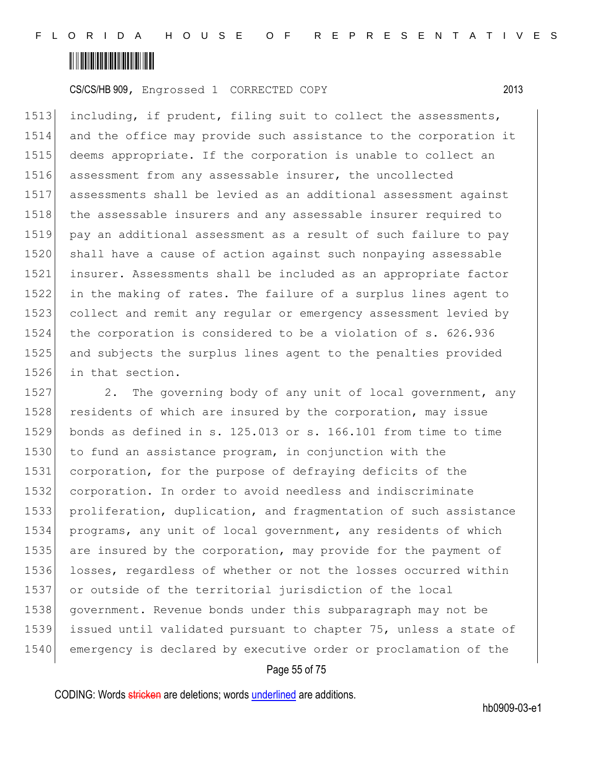

 including, if prudent, filing suit to collect the assessments, and the office may provide such assistance to the corporation it deems appropriate. If the corporation is unable to collect an 1516 assessment from any assessable insurer, the uncollected assessments shall be levied as an additional assessment against 1518 the assessable insurers and any assessable insurer required to pay an additional assessment as a result of such failure to pay 1520 shall have a cause of action against such nonpaying assessable insurer. Assessments shall be included as an appropriate factor in the making of rates. The failure of a surplus lines agent to collect and remit any regular or emergency assessment levied by the corporation is considered to be a violation of s. 626.936 and subjects the surplus lines agent to the penalties provided in that section.

1527 2. The governing body of any unit of local government, any 1528 residents of which are insured by the corporation, may issue bonds as defined in s. 125.013 or s. 166.101 from time to time to fund an assistance program, in conjunction with the corporation, for the purpose of defraying deficits of the corporation. In order to avoid needless and indiscriminate proliferation, duplication, and fragmentation of such assistance programs, any unit of local government, any residents of which are insured by the corporation, may provide for the payment of 1536 losses, regardless of whether or not the losses occurred within or outside of the territorial jurisdiction of the local government. Revenue bonds under this subparagraph may not be issued until validated pursuant to chapter 75, unless a state of emergency is declared by executive order or proclamation of the

#### Page 55 of 75

CODING: Words stricken are deletions; words underlined are additions.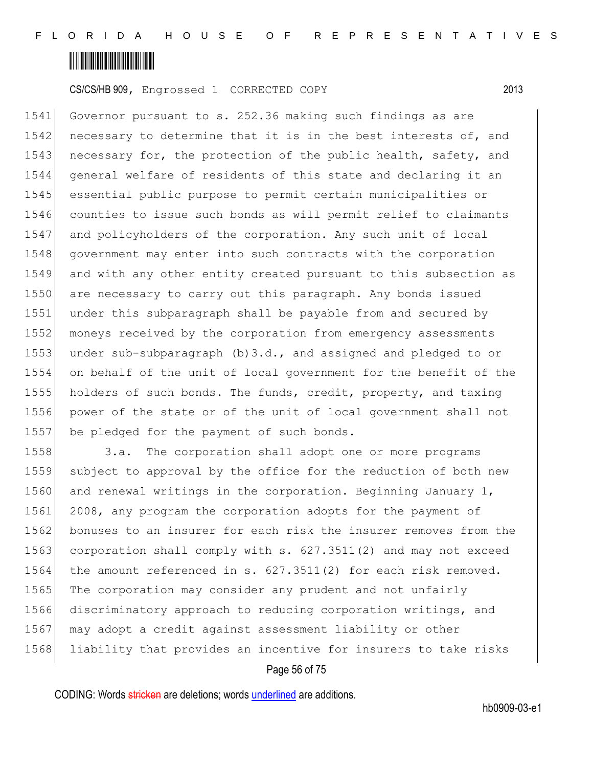

 Governor pursuant to s. 252.36 making such findings as are 1542 necessary to determine that it is in the best interests of, and 1543 necessary for, the protection of the public health, safety, and general welfare of residents of this state and declaring it an essential public purpose to permit certain municipalities or counties to issue such bonds as will permit relief to claimants and policyholders of the corporation. Any such unit of local 1548 government may enter into such contracts with the corporation and with any other entity created pursuant to this subsection as 1550 are necessary to carry out this paragraph. Any bonds issued under this subparagraph shall be payable from and secured by moneys received by the corporation from emergency assessments 1553 under sub-subparagraph (b) 3.d., and assigned and pledged to or on behalf of the unit of local government for the benefit of the holders of such bonds. The funds, credit, property, and taxing power of the state or of the unit of local government shall not 1557 be pledged for the payment of such bonds.

1558 3.a. The corporation shall adopt one or more programs 1559 subject to approval by the office for the reduction of both new 1560 and renewal writings in the corporation. Beginning January 1, 1561 2008, any program the corporation adopts for the payment of 1562 bonuses to an insurer for each risk the insurer removes from the 1563 corporation shall comply with s. 627.3511(2) and may not exceed 1564 the amount referenced in s. 627.3511(2) for each risk removed. 1565 The corporation may consider any prudent and not unfairly 1566 discriminatory approach to reducing corporation writings, and 1567 may adopt a credit against assessment liability or other 1568 liability that provides an incentive for insurers to take risks

#### Page 56 of 75

CODING: Words stricken are deletions; words underlined are additions.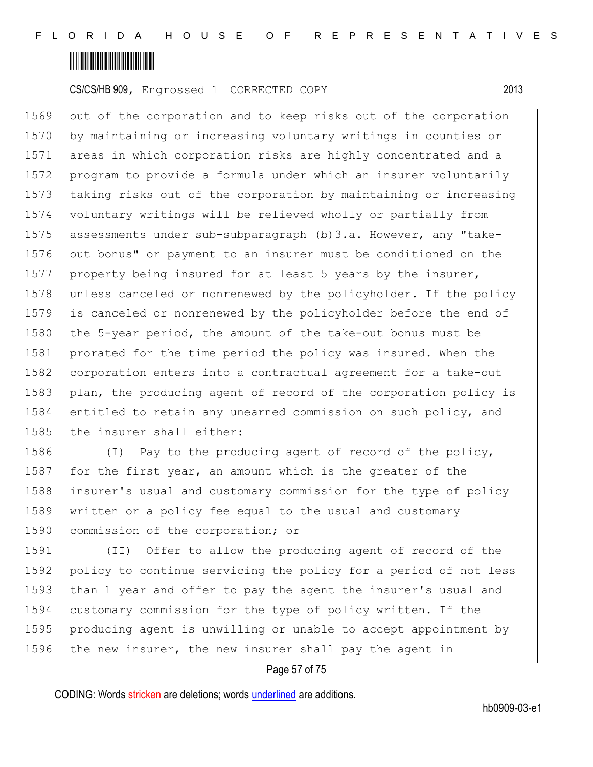

1569 out of the corporation and to keep risks out of the corporation 1570 by maintaining or increasing voluntary writings in counties or 1571 areas in which corporation risks are highly concentrated and a 1572 program to provide a formula under which an insurer voluntarily 1573 taking risks out of the corporation by maintaining or increasing 1574 voluntary writings will be relieved wholly or partially from 1575 assessments under sub-subparagraph (b)3.a. However, any "take-1576 out bonus" or payment to an insurer must be conditioned on the 1577 property being insured for at least 5 years by the insurer, 1578 unless canceled or nonrenewed by the policyholder. If the policy 1579 is canceled or nonrenewed by the policyholder before the end of 1580 the 5-year period, the amount of the take-out bonus must be 1581 prorated for the time period the policy was insured. When the 1582 corporation enters into a contractual agreement for a take-out 1583 plan, the producing agent of record of the corporation policy is 1584 entitled to retain any unearned commission on such policy, and 1585 the insurer shall either:

1586 (I) Pay to the producing agent of record of the policy, 1587 for the first year, an amount which is the greater of the 1588 insurer's usual and customary commission for the type of policy 1589 written or a policy fee equal to the usual and customary 1590 commission of the corporation; or

1591 (II) Offer to allow the producing agent of record of the 1592 policy to continue servicing the policy for a period of not less 1593 than 1 year and offer to pay the agent the insurer's usual and 1594 customary commission for the type of policy written. If the 1595 producing agent is unwilling or unable to accept appointment by 1596 the new insurer, the new insurer shall pay the agent in

#### Page 57 of 75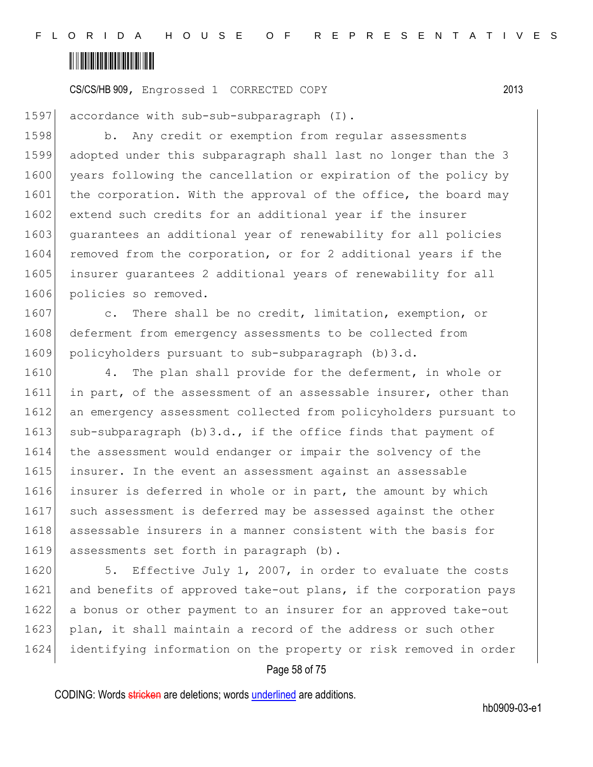

1597 accordance with sub-sub-subparagraph (I).

1598 b. Any credit or exemption from regular assessments 1599 adopted under this subparagraph shall last no longer than the 3 1600 years following the cancellation or expiration of the policy by 1601 the corporation. With the approval of the office, the board may 1602 extend such credits for an additional year if the insurer 1603 guarantees an additional year of renewability for all policies 1604 removed from the corporation, or for 2 additional years if the 1605 insurer guarantees 2 additional years of renewability for all 1606 policies so removed.

1607 c. There shall be no credit, limitation, exemption, or 1608 deferment from emergency assessments to be collected from 1609 policyholders pursuant to sub-subparagraph (b)3.d.

1610 4. The plan shall provide for the deferment, in whole or 1611 in part, of the assessment of an assessable insurer, other than 1612 an emergency assessment collected from policyholders pursuant to 1613 sub-subparagraph (b)  $3.d.,$  if the office finds that payment of 1614 the assessment would endanger or impair the solvency of the 1615 insurer. In the event an assessment against an assessable 1616 insurer is deferred in whole or in part, the amount by which 1617 such assessment is deferred may be assessed against the other 1618 assessable insurers in a manner consistent with the basis for 1619 assessments set forth in paragraph (b).

1620 5. Effective July 1, 2007, in order to evaluate the costs 1621 and benefits of approved take-out plans, if the corporation pays 1622 a bonus or other payment to an insurer for an approved take-out 1623 plan, it shall maintain a record of the address or such other 1624 identifying information on the property or risk removed in order

#### Page 58 of 75

CODING: Words stricken are deletions; words underlined are additions.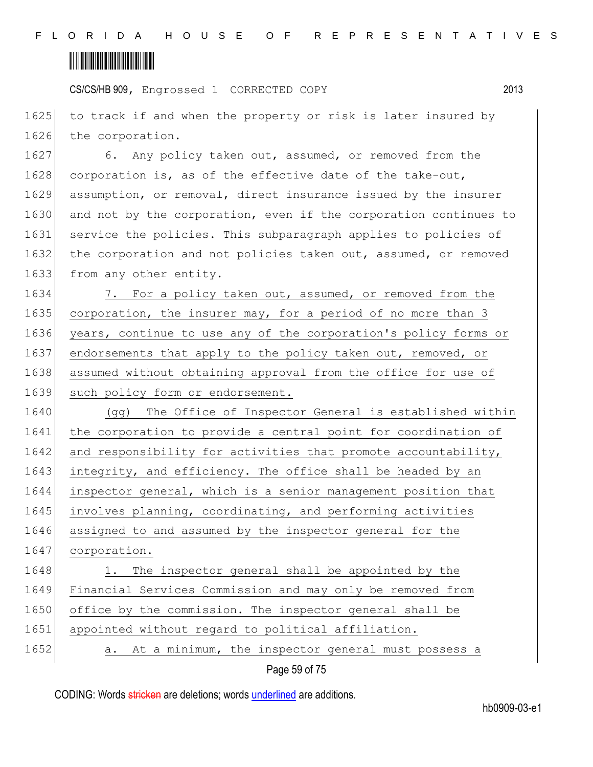## <u> III III III III III III III III II</u>

CS/CS/HB 909, Engrossed 1 CORRECTED COPY 2013

1625 to track if and when the property or risk is later insured by 1626 the corporation.

1627 6. Any policy taken out, assumed, or removed from the 1628 corporation is, as of the effective date of the take-out, 1629 assumption, or removal, direct insurance issued by the insurer 1630 and not by the corporation, even if the corporation continues to 1631 service the policies. This subparagraph applies to policies of 1632 the corporation and not policies taken out, assumed, or removed 1633 from any other entity.

1634 7. For a policy taken out, assumed, or removed from the 1635 corporation, the insurer may, for a period of no more than 3 1636 years, continue to use any of the corporation's policy forms or 1637 endorsements that apply to the policy taken out, removed, or 1638 assumed without obtaining approval from the office for use of 1639 such policy form or endorsement.

1640 (gg) The Office of Inspector General is established within 1641 the corporation to provide a central point for coordination of 1642 and responsibility for activities that promote accountability, 1643 integrity, and efficiency. The office shall be headed by an 1644 inspector general, which is a senior management position that 1645 involves planning, coordinating, and performing activities 1646 assigned to and assumed by the inspector general for the 1647 corporation. 1648 1. The inspector general shall be appointed by the

1649 Financial Services Commission and may only be removed from 1650 office by the commission. The inspector general shall be 1651 appointed without regard to political affiliation. 1652 a. At a minimum, the inspector general must possess a

Page 59 of 75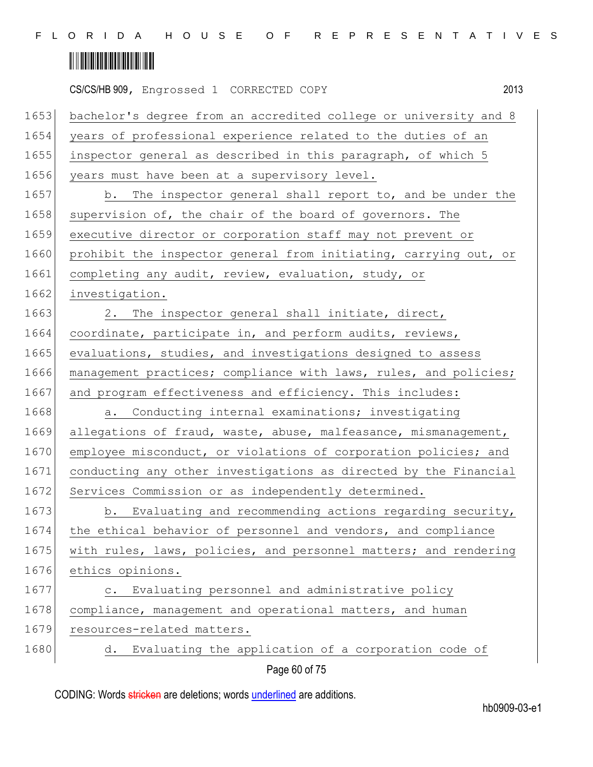|      | 2013<br>CS/CS/HB 909, Engrossed 1 CORRECTED COPY                 |
|------|------------------------------------------------------------------|
| 1653 | bachelor's degree from an accredited college or university and 8 |
| 1654 | years of professional experience related to the duties of an     |
| 1655 | inspector general as described in this paragraph, of which 5     |
| 1656 | years must have been at a supervisory level.                     |
| 1657 | b. The inspector general shall report to, and be under the       |
| 1658 | supervision of, the chair of the board of governors. The         |
| 1659 | executive director or corporation staff may not prevent or       |
| 1660 | prohibit the inspector general from initiating, carrying out, or |
| 1661 | completing any audit, review, evaluation, study, or              |
| 1662 | investigation.                                                   |
| 1663 | 2. The inspector general shall initiate, direct,                 |
| 1664 | coordinate, participate in, and perform audits, reviews,         |
| 1665 | evaluations, studies, and investigations designed to assess      |
| 1666 | management practices; compliance with laws, rules, and policies; |
| 1667 | and program effectiveness and efficiency. This includes:         |
| 1668 | Conducting internal examinations; investigating<br>a.            |
| 1669 | allegations of fraud, waste, abuse, malfeasance, mismanagement,  |
| 1670 | employee misconduct, or violations of corporation policies; and  |
| 1671 | conducting any other investigations as directed by the Financial |
| 1672 | Services Commission or as independently determined.              |
| 1673 | b. Evaluating and recommending actions regarding security,       |
| 1674 | the ethical behavior of personnel and vendors, and compliance    |
| 1675 | with rules, laws, policies, and personnel matters; and rendering |
| 1676 | ethics opinions.                                                 |
| 1677 | c. Evaluating personnel and administrative policy                |
| 1678 | compliance, management and operational matters, and human        |
| 1679 | resources-related matters.                                       |
| 1680 | d. Evaluating the application of a corporation code of           |
|      | Page 60 of 75                                                    |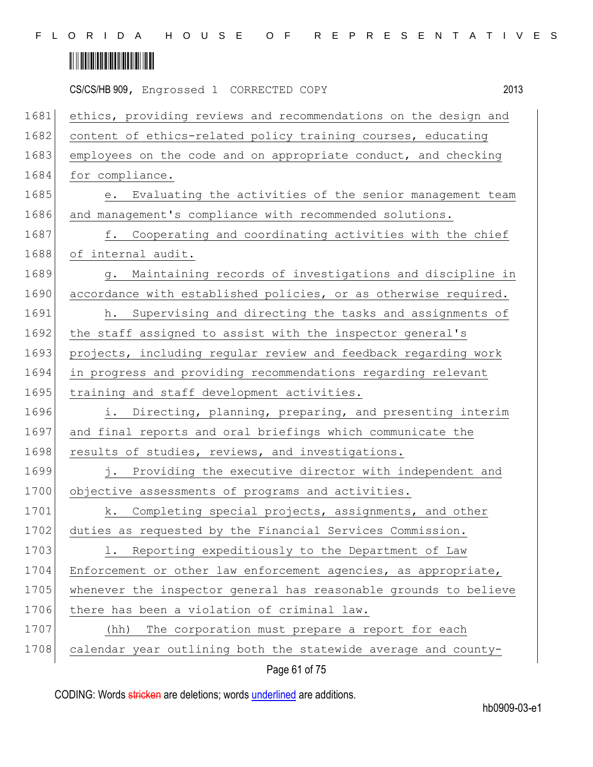|      | 2013<br>CS/CS/HB 909, Engrossed 1 CORRECTED COPY                 |
|------|------------------------------------------------------------------|
| 1681 | ethics, providing reviews and recommendations on the design and  |
| 1682 | content of ethics-related policy training courses, educating     |
| 1683 | employees on the code and on appropriate conduct, and checking   |
| 1684 | for compliance.                                                  |
| 1685 | e. Evaluating the activities of the senior management team       |
| 1686 | and management's compliance with recommended solutions.          |
| 1687 | f. Cooperating and coordinating activities with the chief        |
| 1688 | of internal audit.                                               |
| 1689 | Maintaining records of investigations and discipline in<br>g.    |
| 1690 | accordance with established policies, or as otherwise required.  |
| 1691 | h. Supervising and directing the tasks and assignments of        |
| 1692 | the staff assigned to assist with the inspector general's        |
| 1693 | projects, including regular review and feedback regarding work   |
| 1694 | in progress and providing recommendations regarding relevant     |
| 1695 | training and staff development activities.                       |
| 1696 | i. Directing, planning, preparing, and presenting interim        |
| 1697 | and final reports and oral briefings which communicate the       |
| 1698 | results of studies, reviews, and investigations.                 |
| 1699 | j. Providing the executive director with independent and         |
| 1700 | objective assessments of programs and activities.                |
| 1701 | k. Completing special projects, assignments, and other           |
| 1702 | duties as requested by the Financial Services Commission.        |
| 1703 | 1. Reporting expeditiously to the Department of Law              |
| 1704 | Enforcement or other law enforcement agencies, as appropriate,   |
| 1705 | whenever the inspector general has reasonable grounds to believe |
| 1706 | there has been a violation of criminal law.                      |
| 1707 | The corporation must prepare a report for each<br>(hh)           |
| 1708 | calendar year outlining both the statewide average and county-   |
|      |                                                                  |

Page 61 of 75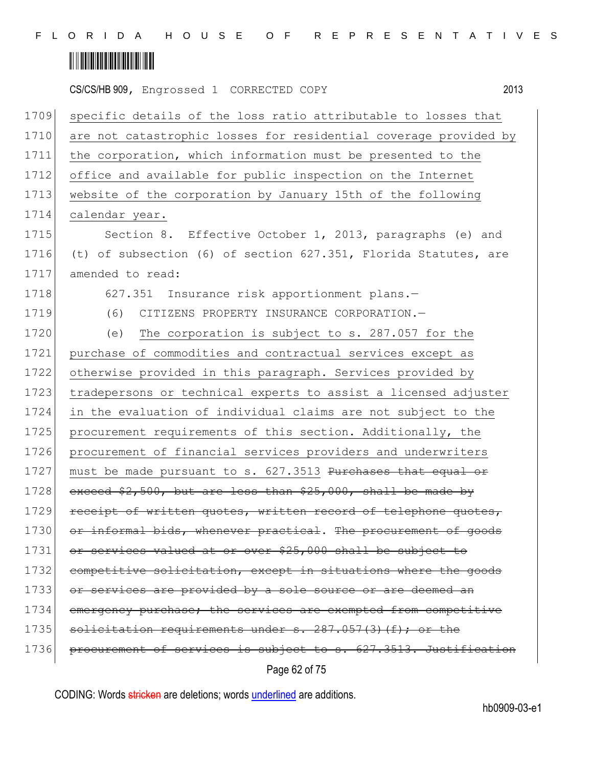|      | CS/CS/HB 909, Engrossed 1 CORRECTED COPY<br>2013                 |  |
|------|------------------------------------------------------------------|--|
| 1709 | specific details of the loss ratio attributable to losses that   |  |
| 1710 | are not catastrophic losses for residential coverage provided by |  |
| 1711 | the corporation, which information must be presented to the      |  |
| 1712 | office and available for public inspection on the Internet       |  |
| 1713 | website of the corporation by January 15th of the following      |  |
| 1714 | calendar year.                                                   |  |
| 1715 | Section 8. Effective October 1, 2013, paragraphs (e) and         |  |
| 1716 | (t) of subsection (6) of section 627.351, Florida Statutes, are  |  |
| 1717 | amended to read:                                                 |  |
| 1718 | 627.351 Insurance risk apportionment plans.-                     |  |
| 1719 | (6)<br>CITIZENS PROPERTY INSURANCE CORPORATION.-                 |  |
| 1720 | (e)<br>The corporation is subject to s. 287.057 for the          |  |
| 1721 | purchase of commodities and contractual services except as       |  |
| 1722 | otherwise provided in this paragraph. Services provided by       |  |
| 1723 | tradepersons or technical experts to assist a licensed adjuster  |  |
| 1724 | in the evaluation of individual claims are not subject to the    |  |
| 1725 | procurement requirements of this section. Additionally, the      |  |
| 1726 | procurement of financial services providers and underwriters     |  |
| 1727 | must be made pursuant to s. 627.3513 Purchases that equal or     |  |
| 1728 | exceed $$2,500$ , but are less than $$25,000$ , shall be made by |  |
| 1729 | receipt of written quotes, written record of telephone quotes,   |  |
| 1730 | or informal bids, whenever practical. The procurement of goods   |  |
| 1731 | or services valued at or over \$25,000 shall be subject to       |  |
| 1732 | competitive solicitation, except in situations where the goods   |  |
| 1733 | or services are provided by a sole source or are deemed an       |  |
| 1734 | emergency purchase; the services are exempted from competitive   |  |
| 1735 | solicitation requirements under s. 287.057(3)(f); or the         |  |
| 1736 | procurement of services is subject to s. 627.3513. Justification |  |
|      | Page 62 of 75                                                    |  |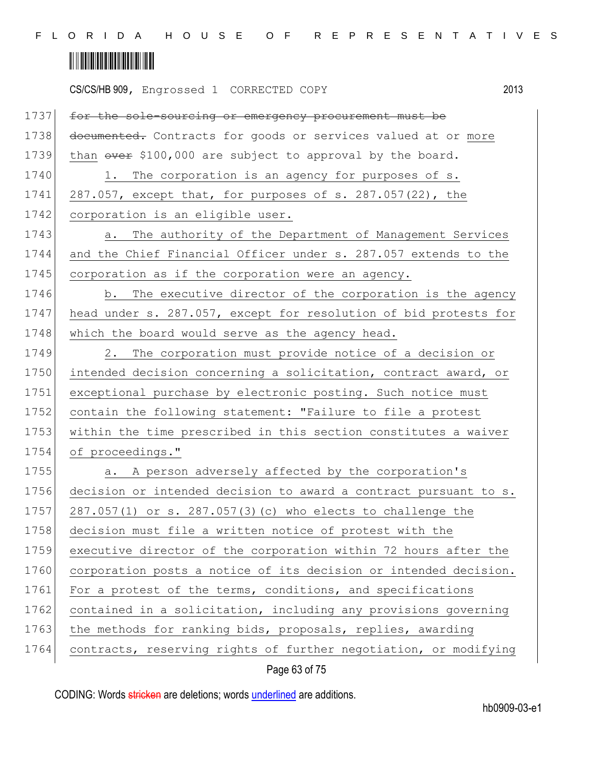|      | CS/CS/HB 909, Engrossed 1 CORRECTED COPY                           | 2013 |
|------|--------------------------------------------------------------------|------|
| 1737 | for the sole-sourcing or emergency procurement must be             |      |
| 1738 | documented. Contracts for goods or services valued at or more      |      |
| 1739 | than $\frac{1}{2}$ \$100,000 are subject to approval by the board. |      |
| 1740 | The corporation is an agency for purposes of s.<br>1.              |      |
| 1741 | 287.057, except that, for purposes of s. 287.057(22), the          |      |
| 1742 | corporation is an eligible user.                                   |      |
| 1743 | The authority of the Department of Management Services<br>a.       |      |
| 1744 | and the Chief Financial Officer under s. 287.057 extends to the    |      |
| 1745 | corporation as if the corporation were an agency.                  |      |
| 1746 | The executive director of the corporation is the agency<br>b.      |      |
| 1747 | head under s. 287.057, except for resolution of bid protests for   |      |
| 1748 | which the board would serve as the agency head.                    |      |
| 1749 | The corporation must provide notice of a decision or<br>2.         |      |
| 1750 | intended decision concerning a solicitation, contract award, or    |      |
| 1751 | exceptional purchase by electronic posting. Such notice must       |      |
| 1752 | contain the following statement: "Failure to file a protest        |      |
| 1753 | within the time prescribed in this section constitutes a waiver    |      |
| 1754 | of proceedings."                                                   |      |
| 1755 | A person adversely affected by the corporation's<br>a.             |      |
| 1756 | decision or intended decision to award a contract pursuant to s.   |      |
| 1757 | 287.057(1) or s. 287.057(3)(c) who elects to challenge the         |      |
| 1758 | decision must file a written notice of protest with the            |      |
| 1759 | executive director of the corporation within 72 hours after the    |      |
| 1760 | corporation posts a notice of its decision or intended decision.   |      |
| 1761 | For a protest of the terms, conditions, and specifications         |      |
| 1762 | contained in a solicitation, including any provisions governing    |      |
| 1763 | the methods for ranking bids, proposals, replies, awarding         |      |
| 1764 | contracts, reserving rights of further negotiation, or modifying   |      |

Page 63 of 75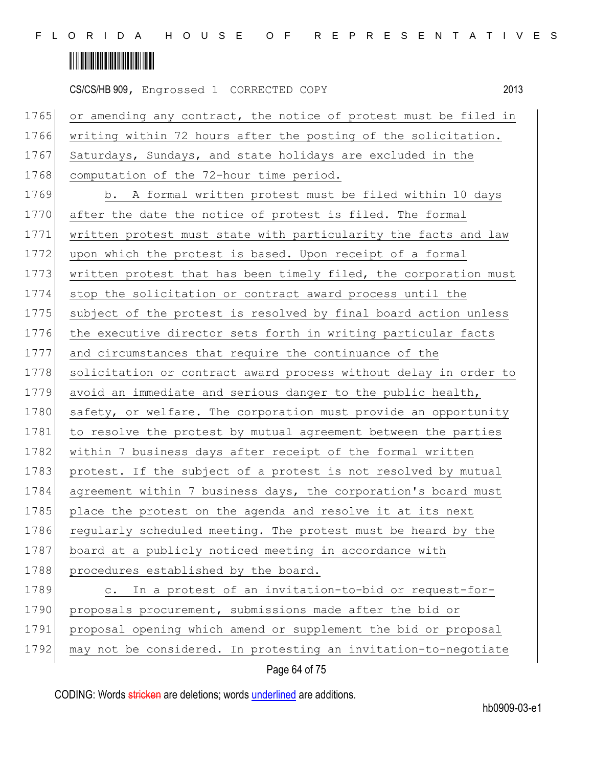### <u> III III III III III III III III II</u>

CS/CS/HB 909, Engrossed 1 CORRECTED COPY 2013 1765 or amending any contract, the notice of protest must be filed in 1766 writing within 72 hours after the posting of the solicitation. 1767 Saturdays, Sundays, and state holidays are excluded in the 1768 computation of the 72-hour time period. 1769 b. A formal written protest must be filed within 10 days 1770 after the date the notice of protest is filed. The formal 1771 written protest must state with particularity the facts and law 1772 upon which the protest is based. Upon receipt of a formal 1773 written protest that has been timely filed, the corporation must 1774 stop the solicitation or contract award process until the 1775 subject of the protest is resolved by final board action unless 1776 the executive director sets forth in writing particular facts 1777 and circumstances that require the continuance of the 1778 solicitation or contract award process without delay in order to 1779 avoid an immediate and serious danger to the public health, 1780 safety, or welfare. The corporation must provide an opportunity 1781 to resolve the protest by mutual agreement between the parties 1782 within 7 business days after receipt of the formal written 1783 protest. If the subject of a protest is not resolved by mutual 1784 agreement within 7 business days, the corporation's board must 1785 place the protest on the agenda and resolve it at its next 1786 regularly scheduled meeting. The protest must be heard by the 1787 board at a publicly noticed meeting in accordance with 1788 procedures established by the board. 1789 c. In a protest of an invitation-to-bid or request-for-1790 proposals procurement, submissions made after the bid or 1791 proposal opening which amend or supplement the bid or proposal 1792 may not be considered. In protesting an invitation-to-negotiate

Page 64 of 75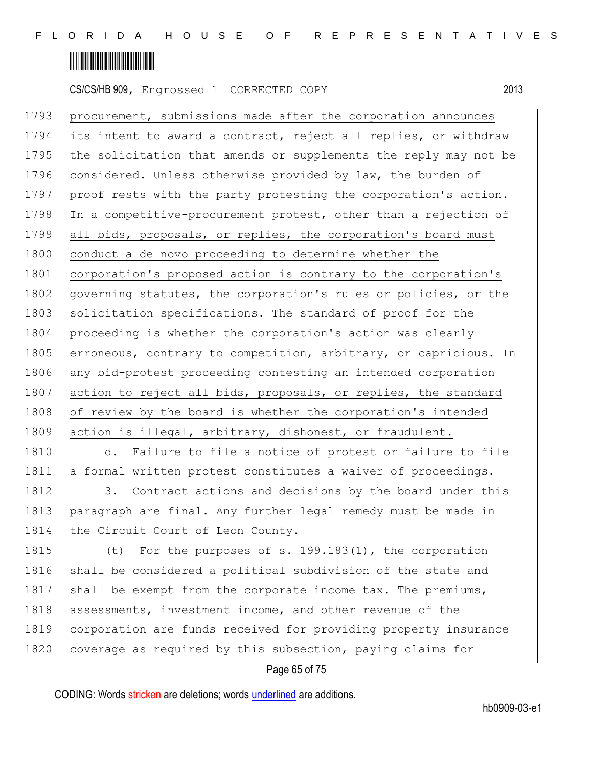

1793 procurement, submissions made after the corporation announces 1794 its intent to award a contract, reject all replies, or withdraw 1795 the solicitation that amends or supplements the reply may not be 1796 considered. Unless otherwise provided by law, the burden of 1797 proof rests with the party protesting the corporation's action. 1798 In a competitive-procurement protest, other than a rejection of 1799 all bids, proposals, or replies, the corporation's board must 1800 conduct a de novo proceeding to determine whether the 1801 corporation's proposed action is contrary to the corporation's 1802 governing statutes, the corporation's rules or policies, or the 1803 solicitation specifications. The standard of proof for the 1804 proceeding is whether the corporation's action was clearly 1805 erroneous, contrary to competition, arbitrary, or capricious. In 1806 any bid-protest proceeding contesting an intended corporation 1807 action to reject all bids, proposals, or replies, the standard 1808 of review by the board is whether the corporation's intended 1809 action is illegal, arbitrary, dishonest, or fraudulent. 1810 d. Failure to file a notice of protest or failure to file 1811 a formal written protest constitutes a waiver of proceedings.

1812 3. Contract actions and decisions by the board under this 1813 paragraph are final. Any further legal remedy must be made in 1814 the Circuit Court of Leon County.

1815 (t) For the purposes of s. 199.183(1), the corporation 1816 shall be considered a political subdivision of the state and 1817 shall be exempt from the corporate income tax. The premiums, 1818 assessments, investment income, and other revenue of the 1819 corporation are funds received for providing property insurance 1820 coverage as required by this subsection, paying claims for

#### Page 65 of 75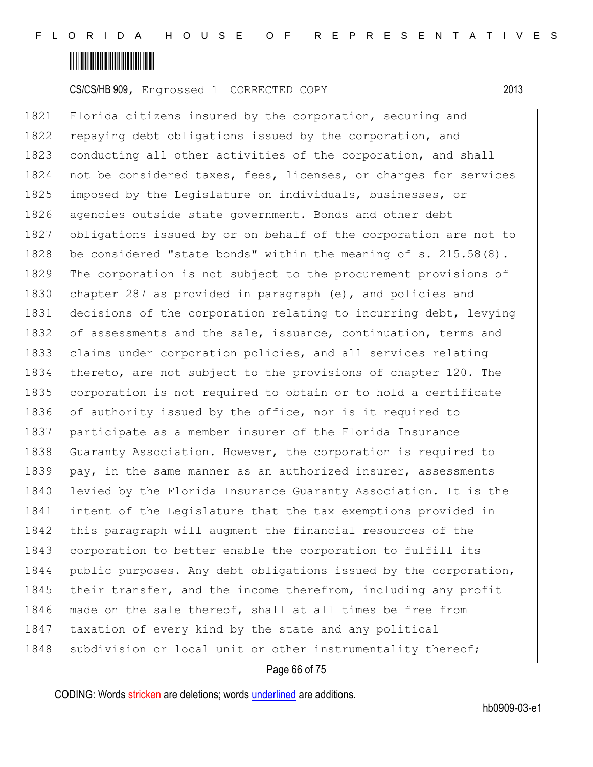

1821 Florida citizens insured by the corporation, securing and 1822 repaying debt obligations issued by the corporation, and 1823 conducting all other activities of the corporation, and shall 1824 not be considered taxes, fees, licenses, or charges for services 1825 imposed by the Legislature on individuals, businesses, or 1826 agencies outside state government. Bonds and other debt 1827 obligations issued by or on behalf of the corporation are not to 1828 be considered "state bonds" within the meaning of s. 215.58(8). 1829 The corporation is not subject to the procurement provisions of 1830 chapter 287 as provided in paragraph (e), and policies and 1831 decisions of the corporation relating to incurring debt, levying 1832 of assessments and the sale, issuance, continuation, terms and 1833 claims under corporation policies, and all services relating 1834 thereto, are not subject to the provisions of chapter 120. The 1835 corporation is not required to obtain or to hold a certificate 1836 of authority issued by the office, nor is it required to 1837 participate as a member insurer of the Florida Insurance 1838 Guaranty Association. However, the corporation is required to 1839 pay, in the same manner as an authorized insurer, assessments 1840 levied by the Florida Insurance Guaranty Association. It is the 1841 intent of the Legislature that the tax exemptions provided in 1842 this paragraph will augment the financial resources of the 1843 corporation to better enable the corporation to fulfill its 1844 public purposes. Any debt obligations issued by the corporation, 1845 their transfer, and the income therefrom, including any profit 1846 made on the sale thereof, shall at all times be free from 1847 taxation of every kind by the state and any political 1848 subdivision or local unit or other instrumentality thereof;

#### Page 66 of 75

CODING: Words stricken are deletions; words underlined are additions.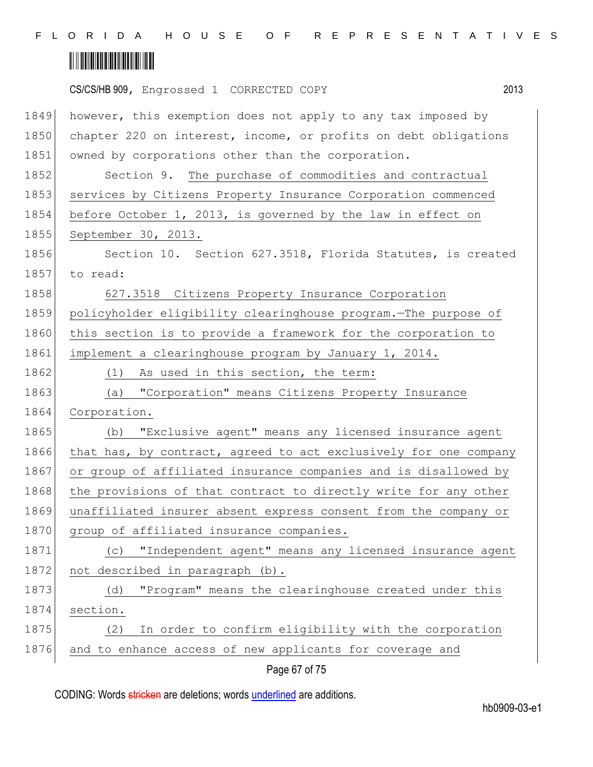

|      | CS/CS/HB 909, Engrossed 1 CORRECTED COPY                         | 2013 |
|------|------------------------------------------------------------------|------|
| 1849 | however, this exemption does not apply to any tax imposed by     |      |
| 1850 | chapter 220 on interest, income, or profits on debt obligations  |      |
| 1851 | owned by corporations other than the corporation.                |      |
| 1852 | Section 9. The purchase of commodities and contractual           |      |
| 1853 | services by Citizens Property Insurance Corporation commenced    |      |
| 1854 | before October 1, 2013, is governed by the law in effect on      |      |
| 1855 | September 30, 2013.                                              |      |
| 1856 | Section 10. Section 627.3518, Florida Statutes, is created       |      |
| 1857 | to read:                                                         |      |
| 1858 | 627.3518 Citizens Property Insurance Corporation                 |      |
| 1859 | policyholder eligibility clearinghouse program. The purpose of   |      |
| 1860 | this section is to provide a framework for the corporation to    |      |
| 1861 | implement a clearinghouse program by January 1, 2014.            |      |
| 1862 | (1)<br>As used in this section, the term:                        |      |
| 1863 | "Corporation" means Citizens Property Insurance<br>(a)           |      |
| 1864 | Corporation.                                                     |      |
| 1865 | "Exclusive agent" means any licensed insurance agent<br>(b)      |      |
| 1866 | that has, by contract, agreed to act exclusively for one company |      |
| 1867 | or group of affiliated insurance companies and is disallowed by  |      |
| 1868 | the provisions of that contract to directly write for any other  |      |
| 1869 | unaffiliated insurer absent express consent from the company or  |      |
| 1870 | group of affiliated insurance companies.                         |      |
| 1871 | "Independent agent" means any licensed insurance agent<br>(C)    |      |
| 1872 | not described in paragraph (b).                                  |      |
| 1873 | "Program" means the clearinghouse created under this<br>(d)      |      |
| 1874 | section.                                                         |      |
| 1875 | In order to confirm eligibility with the corporation<br>(2)      |      |
| 1876 | and to enhance access of new applicants for coverage and         |      |
|      | Page 67 of 75                                                    |      |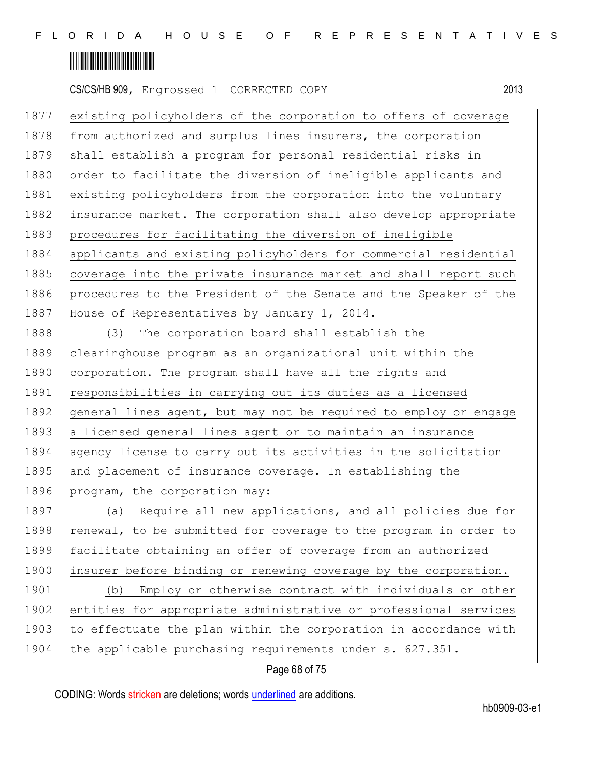

|      | 2013<br>CS/CS/HB 909, Engrossed 1 CORRECTED COPY                 |
|------|------------------------------------------------------------------|
| 1877 | existing policyholders of the corporation to offers of coverage  |
| 1878 | from authorized and surplus lines insurers, the corporation      |
| 1879 | shall establish a program for personal residential risks in      |
| 1880 | order to facilitate the diversion of ineligible applicants and   |
| 1881 | existing policyholders from the corporation into the voluntary   |
| 1882 | insurance market. The corporation shall also develop appropriate |
| 1883 | procedures for facilitating the diversion of ineligible          |
| 1884 | applicants and existing policyholders for commercial residential |
| 1885 | coverage into the private insurance market and shall report such |
| 1886 | procedures to the President of the Senate and the Speaker of the |
| 1887 | House of Representatives by January 1, 2014.                     |
| 1888 | The corporation board shall establish the<br>(3)                 |
| 1889 | clearinghouse program as an organizational unit within the       |
| 1890 | corporation. The program shall have all the rights and           |
| 1891 | responsibilities in carrying out its duties as a licensed        |
| 1892 | general lines agent, but may not be required to employ or engage |
| 1893 | a licensed general lines agent or to maintain an insurance       |
| 1894 | agency license to carry out its activities in the solicitation   |
| 1895 | and placement of insurance coverage. In establishing the         |
| 1896 | program, the corporation may:                                    |
| 1897 | (a) Require all new applications, and all policies due for       |
| 1898 | renewal, to be submitted for coverage to the program in order to |
| 1899 | facilitate obtaining an offer of coverage from an authorized     |
| 1900 | insurer before binding or renewing coverage by the corporation.  |
| 1901 | Employ or otherwise contract with individuals or other<br>(b)    |
| 1902 | entities for appropriate administrative or professional services |
| 1903 | to effectuate the plan within the corporation in accordance with |
| 1904 | the applicable purchasing requirements under s. 627.351.         |

### Page 68 of 75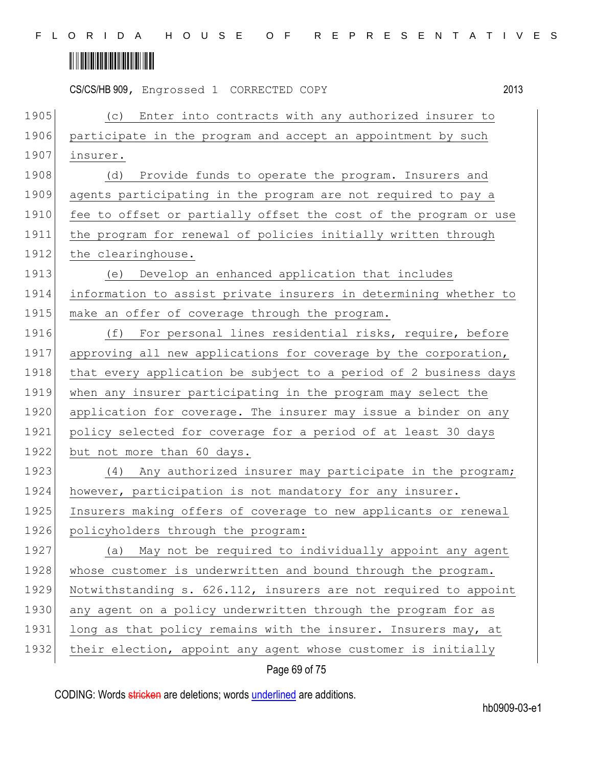|      | 2013<br>CS/CS/HB 909, Engrossed 1 CORRECTED COPY                 |
|------|------------------------------------------------------------------|
| 1905 | Enter into contracts with any authorized insurer to<br>(C)       |
| 1906 | participate in the program and accept an appointment by such     |
| 1907 | insurer.                                                         |
| 1908 | Provide funds to operate the program. Insurers and<br>(d)        |
| 1909 | agents participating in the program are not required to pay a    |
| 1910 | fee to offset or partially offset the cost of the program or use |
| 1911 | the program for renewal of policies initially written through    |
| 1912 | the clearinghouse.                                               |
| 1913 | Develop an enhanced application that includes<br>(e)             |
| 1914 | information to assist private insurers in determining whether to |
| 1915 | make an offer of coverage through the program.                   |
| 1916 | For personal lines residential risks, require, before<br>(f)     |
| 1917 | approving all new applications for coverage by the corporation,  |
| 1918 | that every application be subject to a period of 2 business days |
| 1919 | when any insurer participating in the program may select the     |
| 1920 | application for coverage. The insurer may issue a binder on any  |
| 1921 | policy selected for coverage for a period of at least 30 days    |
| 1922 | but not more than 60 days.                                       |
| 1923 | (4)<br>Any authorized insurer may participate in the program;    |
| 1924 | however, participation is not mandatory for any insurer.         |
| 1925 | Insurers making offers of coverage to new applicants or renewal  |
| 1926 | policyholders through the program:                               |
| 1927 | (a) May not be required to individually appoint any agent        |
| 1928 | whose customer is underwritten and bound through the program.    |
| 1929 | Notwithstanding s. 626.112, insurers are not required to appoint |
| 1930 | any agent on a policy underwritten through the program for as    |
| 1931 | long as that policy remains with the insurer. Insurers may, at   |
| 1932 | their election, appoint any agent whose customer is initially    |
|      |                                                                  |

Page 69 of 75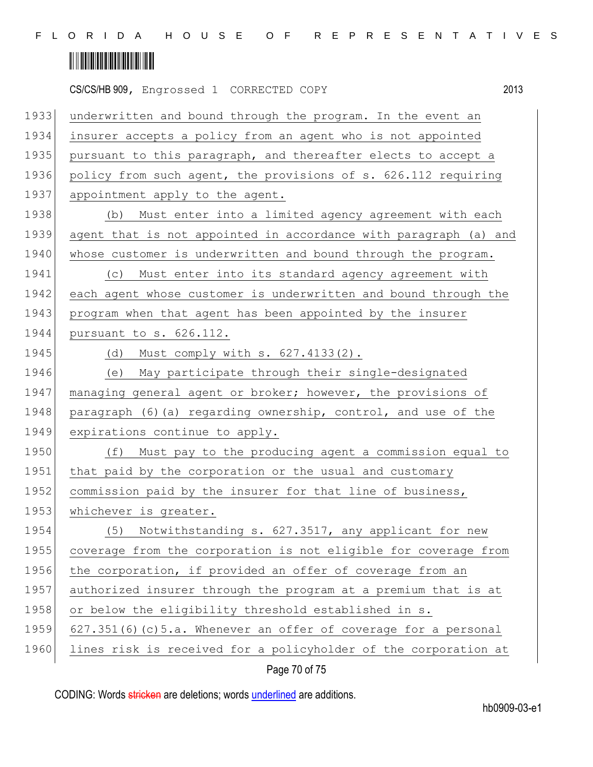|      | 2013<br>CS/CS/HB 909, Engrossed 1 CORRECTED COPY                   |
|------|--------------------------------------------------------------------|
| 1933 | underwritten and bound through the program. In the event an        |
| 1934 | insurer accepts a policy from an agent who is not appointed        |
| 1935 | pursuant to this paragraph, and thereafter elects to accept a      |
| 1936 | policy from such agent, the provisions of s. 626.112 requiring     |
| 1937 | appointment apply to the agent.                                    |
| 1938 | Must enter into a limited agency agreement with each<br>(b)        |
| 1939 | agent that is not appointed in accordance with paragraph (a) and   |
| 1940 | whose customer is underwritten and bound through the program.      |
| 1941 | Must enter into its standard agency agreement with<br>(C)          |
| 1942 | each agent whose customer is underwritten and bound through the    |
| 1943 | program when that agent has been appointed by the insurer          |
| 1944 | pursuant to s. 626.112.                                            |
| 1945 | Must comply with s. 627.4133(2).<br>(d)                            |
| 1946 | May participate through their single-designated<br>(e)             |
| 1947 | managing general agent or broker; however, the provisions of       |
| 1948 | paragraph (6) (a) regarding ownership, control, and use of the     |
| 1949 | expirations continue to apply.                                     |
| 1950 | Must pay to the producing agent a commission equal to<br>(f)       |
| 1951 | that paid by the corporation or the usual and customary            |
| 1952 | commission paid by the insurer for that line of business,          |
| 1953 | whichever is greater.                                              |
| 1954 | Notwithstanding s. 627.3517, any applicant for new<br>(5)          |
| 1955 | coverage from the corporation is not eligible for coverage from    |
| 1956 | the corporation, if provided an offer of coverage from an          |
| 1957 | authorized insurer through the program at a premium that is at     |
| 1958 | or below the eligibility threshold established in s.               |
| 1959 | $627.351(6)$ (c) 5.a. Whenever an offer of coverage for a personal |
| 1960 | lines risk is received for a policyholder of the corporation at    |

Page 70 of 75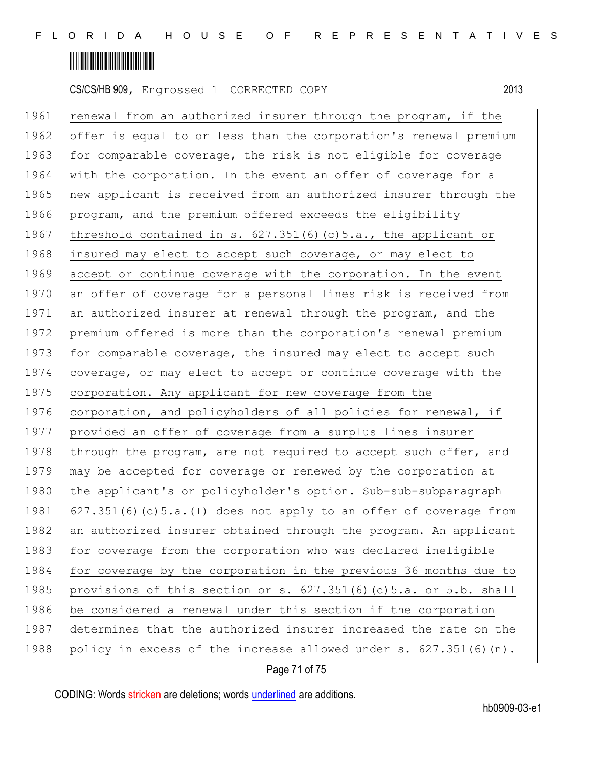

1961 renewal from an authorized insurer through the program, if the 1962 offer is equal to or less than the corporation's renewal premium 1963 for comparable coverage, the risk is not eligible for coverage 1964 with the corporation. In the event an offer of coverage for a 1965 new applicant is received from an authorized insurer through the 1966 program, and the premium offered exceeds the eligibility 1967 threshold contained in s.  $627.351(6)(c)5.a.,$  the applicant or 1968 insured may elect to accept such coverage, or may elect to 1969 accept or continue coverage with the corporation. In the event 1970 an offer of coverage for a personal lines risk is received from 1971 an authorized insurer at renewal through the program, and the 1972 premium offered is more than the corporation's renewal premium 1973 for comparable coverage, the insured may elect to accept such 1974 coverage, or may elect to accept or continue coverage with the 1975 corporation. Any applicant for new coverage from the 1976 corporation, and policyholders of all policies for renewal, if 1977 provided an offer of coverage from a surplus lines insurer 1978 through the program, are not required to accept such offer, and 1979 may be accepted for coverage or renewed by the corporation at 1980 the applicant's or policyholder's option. Sub-sub-subparagraph 1981 627.351(6)(c)5.a.(I) does not apply to an offer of coverage from 1982 an authorized insurer obtained through the program. An applicant 1983 for coverage from the corporation who was declared ineligible 1984 for coverage by the corporation in the previous 36 months due to 1985 provisions of this section or s.  $627.351(6)(c)5.a.$  or 5.b. shall 1986 be considered a renewal under this section if the corporation 1987 determines that the authorized insurer increased the rate on the 1988 policy in excess of the increase allowed under s. 627.351(6)(n).

#### Page 71 of 75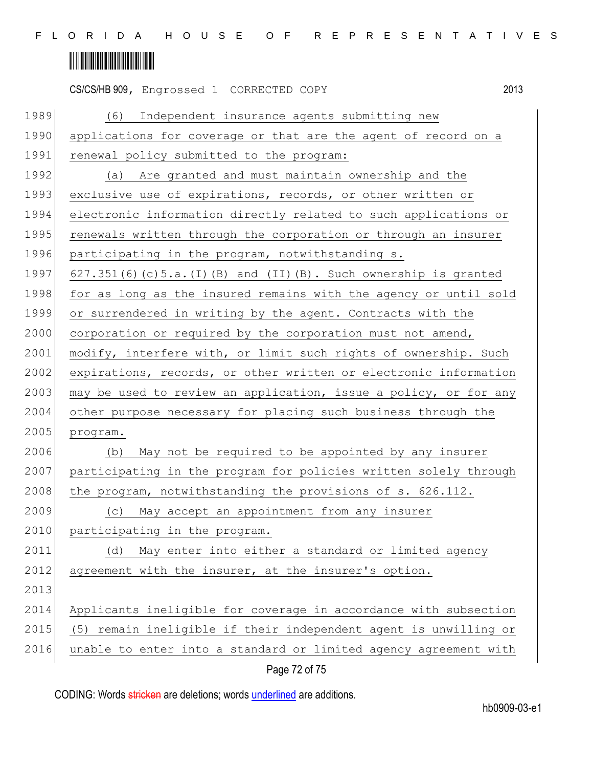|      | 2013<br>CS/CS/HB 909, Engrossed 1 CORRECTED COPY                        |
|------|-------------------------------------------------------------------------|
| 1989 | (6) Independent insurance agents submitting new                         |
| 1990 | applications for coverage or that are the agent of record on a          |
| 1991 | renewal policy submitted to the program:                                |
| 1992 | (a) Are granted and must maintain ownership and the                     |
| 1993 | exclusive use of expirations, records, or other written or              |
| 1994 | electronic information directly related to such applications or         |
| 1995 | renewals written through the corporation or through an insurer          |
| 1996 | participating in the program, notwithstanding s.                        |
| 1997 | $627.351(6)$ (c) $5.a.$ (I) (B) and (II) (B). Such ownership is granted |
| 1998 | for as long as the insured remains with the agency or until sold        |
| 1999 | or surrendered in writing by the agent. Contracts with the              |
| 2000 | corporation or required by the corporation must not amend,              |
| 2001 | modify, interfere with, or limit such rights of ownership. Such         |
| 2002 | expirations, records, or other written or electronic information        |
| 2003 | may be used to review an application, issue a policy, or for any        |
| 2004 | other purpose necessary for placing such business through the           |
| 2005 | program.                                                                |
| 2006 | May not be required to be appointed by any insurer<br>(b)               |
| 2007 | participating in the program for policies written solely through        |
| 2008 | the program, notwithstanding the provisions of s. 626.112.              |
| 2009 | May accept an appointment from any insurer<br>(C)                       |
| 2010 | participating in the program.                                           |
| 2011 | May enter into either a standard or limited agency<br>(d)               |
| 2012 | agreement with the insurer, at the insurer's option.                    |
| 2013 |                                                                         |
| 2014 | Applicants ineligible for coverage in accordance with subsection        |
| 2015 | (5) remain ineligible if their independent agent is unwilling or        |
| 2016 | unable to enter into a standard or limited agency agreement with        |
|      | Page 72 of 75                                                           |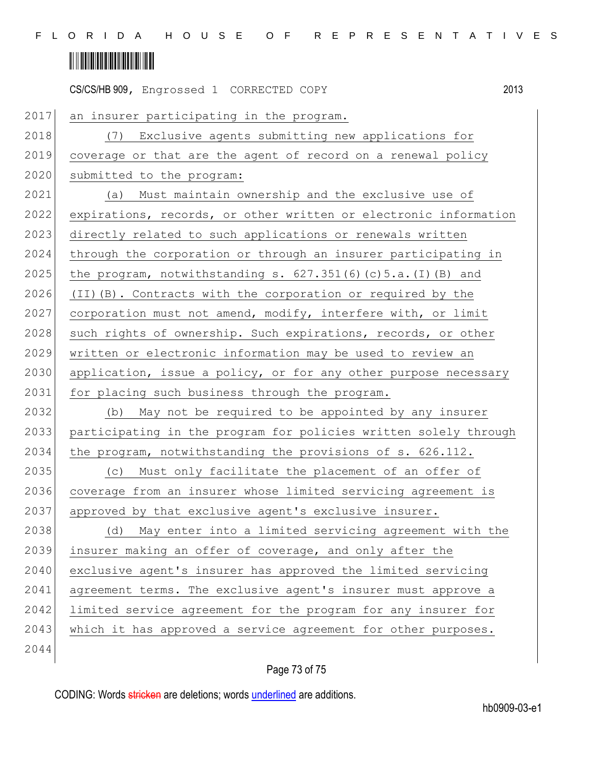## 

|      | CS/CS/HB 909, Engrossed 1 CORRECTED COPY                         | 2013 |
|------|------------------------------------------------------------------|------|
| 2017 | an insurer participating in the program.                         |      |
| 2018 | Exclusive agents submitting new applications for<br>(7)          |      |
| 2019 | coverage or that are the agent of record on a renewal policy     |      |
| 2020 | submitted to the program:                                        |      |
| 2021 | Must maintain ownership and the exclusive use of<br>(a)          |      |
| 2022 | expirations, records, or other written or electronic information |      |
| 2023 | directly related to such applications or renewals written        |      |
| 2024 | through the corporation or through an insurer participating in   |      |
| 2025 | the program, notwithstanding s. $627.351(6)(c)5.a.(I)(B)$ and    |      |
| 2026 | (II) (B). Contracts with the corporation or required by the      |      |
| 2027 | corporation must not amend, modify, interfere with, or limit     |      |
| 2028 | such rights of ownership. Such expirations, records, or other    |      |
| 2029 | written or electronic information may be used to review an       |      |
| 2030 | application, issue a policy, or for any other purpose necessary  |      |
| 2031 | for placing such business through the program.                   |      |
| 2032 | May not be required to be appointed by any insurer<br>(b)        |      |
| 2033 | participating in the program for policies written solely through |      |
| 2034 | the program, notwithstanding the provisions of s. 626.112.       |      |
| 2035 | Must only facilitate the placement of an offer of<br>(C)         |      |
| 2036 | coverage from an insurer whose limited servicing agreement is    |      |
| 2037 | approved by that exclusive agent's exclusive insurer.            |      |
| 2038 | May enter into a limited servicing agreement with the<br>(d)     |      |
| 2039 | insurer making an offer of coverage, and only after the          |      |
| 2040 | exclusive agent's insurer has approved the limited servicing     |      |
| 2041 | agreement terms. The exclusive agent's insurer must approve a    |      |
| 2042 | limited service agreement for the program for any insurer for    |      |
| 2043 | which it has approved a service agreement for other purposes.    |      |
| 2044 |                                                                  |      |

## Page 73 of 75

CODING: Words stricken are deletions; words underlined are additions.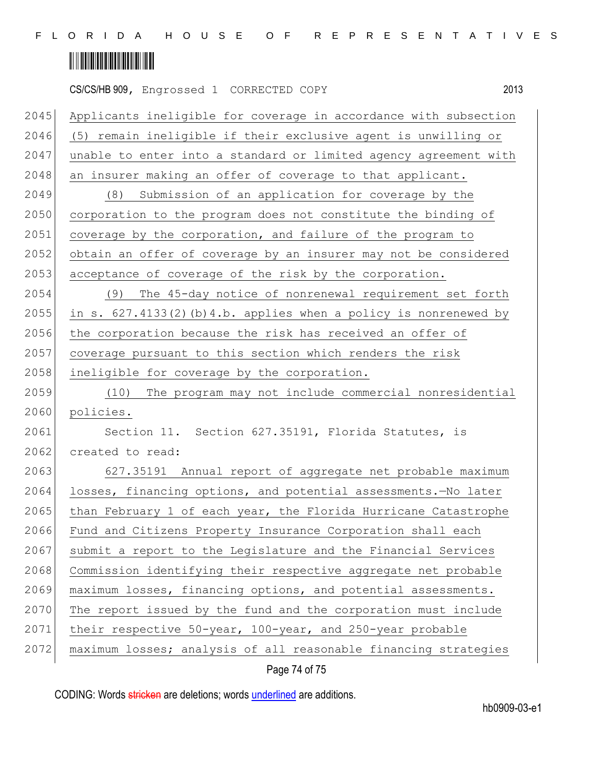## 

|      | 2013<br>CS/CS/HB 909, Engrossed 1 CORRECTED COPY                    |
|------|---------------------------------------------------------------------|
| 2045 | Applicants ineligible for coverage in accordance with subsection    |
| 2046 | (5) remain ineligible if their exclusive agent is unwilling or      |
| 2047 | unable to enter into a standard or limited agency agreement with    |
| 2048 | an insurer making an offer of coverage to that applicant.           |
| 2049 | Submission of an application for coverage by the<br>(8)             |
| 2050 | corporation to the program does not constitute the binding of       |
| 2051 | coverage by the corporation, and failure of the program to          |
| 2052 | obtain an offer of coverage by an insurer may not be considered     |
| 2053 | acceptance of coverage of the risk by the corporation.              |
| 2054 | The 45-day notice of nonrenewal requirement set forth<br>(9)        |
| 2055 | in s. $627.4133(2)$ (b) 4.b. applies when a policy is nonrenewed by |
| 2056 | the corporation because the risk has received an offer of           |
| 2057 | coverage pursuant to this section which renders the risk            |
| 2058 | ineligible for coverage by the corporation.                         |
| 2059 | (10)<br>The program may not include commercial nonresidential       |
| 2060 | policies.                                                           |
| 2061 | Section 11. Section 627.35191, Florida Statutes, is                 |
| 2062 | created to read:                                                    |
| 2063 | 627.35191 Annual report of aggregate net probable maximum           |
| 2064 | losses, financing options, and potential assessments.-No later      |
| 2065 | than February 1 of each year, the Florida Hurricane Catastrophe     |
| 2066 | Fund and Citizens Property Insurance Corporation shall each         |
| 2067 | submit a report to the Legislature and the Financial Services       |
| 2068 | Commission identifying their respective aggregate net probable      |
| 2069 | maximum losses, financing options, and potential assessments.       |
| 2070 | The report issued by the fund and the corporation must include      |
| 2071 | their respective 50-year, 100-year, and 250-year probable           |
| 2072 | maximum losses; analysis of all reasonable financing strategies     |
|      |                                                                     |

Page 74 of 75

CODING: Words stricken are deletions; words underlined are additions.